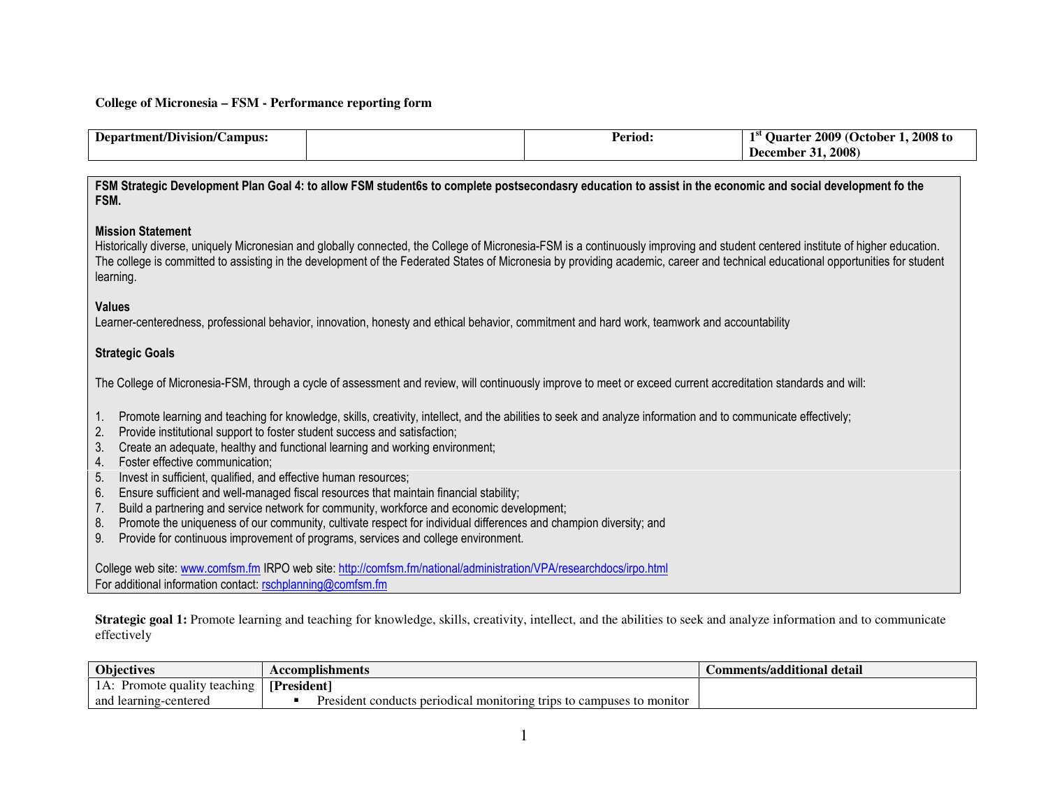### **College of Micronesia – FSM - Performance reporting form**

| Department/Division/Campus: | Period. | 1.2008 to<br>. 2009 (October<br><b>Ouarter</b> |
|-----------------------------|---------|------------------------------------------------|
|                             |         | .2008<br>December                              |

FSM Strategic Development Plan Goal 4: to allow FSM student6s to complete postsecondasry education to assist in the economic and social development fo the FSM.

### Mission Statement

Historically diverse, uniquely Micronesian and globally connected, the College of Micronesia-FSM is a continuously improving and student centered institute of higher education. The college is committed to assisting in the development of the Federated States of Micronesia by providing academic, career and technical educational opportunities for student learning.

#### Values

Learner-centeredness, professional behavior, innovation, honesty and ethical behavior, commitment and hard work, teamwork and accountability

### Strategic Goals

The College of Micronesia-FSM, through a cycle of assessment and review, will continuously improve to meet or exceed current accreditation standards and will:

- 1. Promote learning and teaching for knowledge, skills, creativity, intellect, and the abilities to seek and analyze information and to communicate effectively;
- 2. Provide institutional support to foster student success and satisfaction;
- 3. Create an adequate, healthy and functional learning and working environment;
- 4. Foster effective communication;
- 5. Invest in sufficient, qualified, and effective human resources;
- 6. Ensure sufficient and well-managed fiscal resources that maintain financial stability;
- 7. Build a partnering and service network for community, workforce and economic development;
- 8. Promote the uniqueness of our community, cultivate respect for individual differences and champion diversity; and
- 9. Provide for continuous improvement of programs, services and college environment.

College web site: www.comfsm.fm IRPO web site: http://comfsm.fm/national/administration/VPA/researchdocs/irpo.html For additional information contact: rschplanning@comfsm.fm

**Strategic goal 1:** Promote learning and teaching for knowledge, skills, creativity, intellect, and the abilities to seek and analyze information and to communicate effectively

| <b>Objectives</b>                             | Accomplishments                                                       | Comments/additional detail |
|-----------------------------------------------|-----------------------------------------------------------------------|----------------------------|
| 1A:<br>$\therefore$ Promote quality teaching. | [President]                                                           |                            |
| and learning-centered                         | President conducts periodical monitoring trips to campuses to monitor |                            |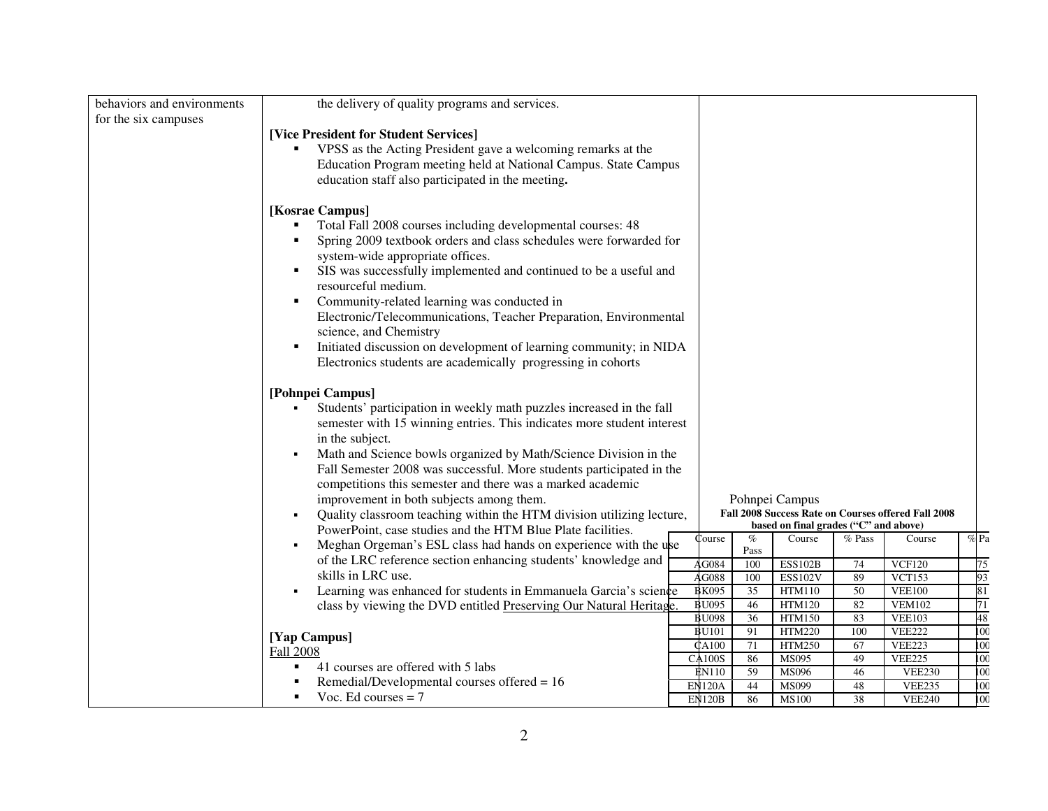| behaviors and environments | the delivery of quality programs and services.                                      |  |                               |              |                                       |          |                                                     |                                      |  |  |  |  |
|----------------------------|-------------------------------------------------------------------------------------|--|-------------------------------|--------------|---------------------------------------|----------|-----------------------------------------------------|--------------------------------------|--|--|--|--|
| for the six campuses       |                                                                                     |  |                               |              |                                       |          |                                                     |                                      |  |  |  |  |
|                            | [Vice President for Student Services]                                               |  |                               |              |                                       |          |                                                     |                                      |  |  |  |  |
|                            | VPSS as the Acting President gave a welcoming remarks at the                        |  |                               |              |                                       |          |                                                     |                                      |  |  |  |  |
|                            | Education Program meeting held at National Campus. State Campus                     |  |                               |              |                                       |          |                                                     |                                      |  |  |  |  |
|                            | education staff also participated in the meeting.                                   |  |                               |              |                                       |          |                                                     |                                      |  |  |  |  |
|                            | [Kosrae Campus]                                                                     |  |                               |              |                                       |          |                                                     |                                      |  |  |  |  |
|                            | Total Fall 2008 courses including developmental courses: 48                         |  |                               |              |                                       |          |                                                     |                                      |  |  |  |  |
|                            | Spring 2009 textbook orders and class schedules were forwarded for                  |  |                               |              |                                       |          |                                                     |                                      |  |  |  |  |
|                            | system-wide appropriate offices.                                                    |  |                               |              |                                       |          |                                                     |                                      |  |  |  |  |
|                            | SIS was successfully implemented and continued to be a useful and<br>$\blacksquare$ |  |                               |              |                                       |          |                                                     |                                      |  |  |  |  |
|                            | resourceful medium.                                                                 |  |                               |              |                                       |          |                                                     |                                      |  |  |  |  |
|                            | Community-related learning was conducted in                                         |  |                               |              |                                       |          |                                                     |                                      |  |  |  |  |
|                            | Electronic/Telecommunications, Teacher Preparation, Environmental                   |  |                               |              |                                       |          |                                                     |                                      |  |  |  |  |
|                            | science, and Chemistry                                                              |  |                               |              |                                       |          |                                                     |                                      |  |  |  |  |
|                            | Initiated discussion on development of learning community; in NIDA                  |  |                               |              |                                       |          |                                                     |                                      |  |  |  |  |
|                            | Electronics students are academically progressing in cohorts                        |  |                               |              |                                       |          |                                                     |                                      |  |  |  |  |
|                            |                                                                                     |  |                               |              |                                       |          |                                                     |                                      |  |  |  |  |
|                            | [Pohnpei Campus]                                                                    |  |                               |              |                                       |          |                                                     |                                      |  |  |  |  |
|                            | Students' participation in weekly math puzzles increased in the fall                |  |                               |              |                                       |          |                                                     |                                      |  |  |  |  |
|                            | semester with 15 winning entries. This indicates more student interest              |  |                               |              |                                       |          |                                                     |                                      |  |  |  |  |
|                            | in the subject.                                                                     |  |                               |              |                                       |          |                                                     |                                      |  |  |  |  |
|                            | Math and Science bowls organized by Math/Science Division in the                    |  |                               |              |                                       |          |                                                     |                                      |  |  |  |  |
|                            | Fall Semester 2008 was successful. More students participated in the                |  |                               |              |                                       |          |                                                     |                                      |  |  |  |  |
|                            | competitions this semester and there was a marked academic                          |  |                               |              |                                       |          |                                                     |                                      |  |  |  |  |
|                            | improvement in both subjects among them.                                            |  | Pohnpei Campus                |              |                                       |          |                                                     |                                      |  |  |  |  |
|                            | Quality classroom teaching within the HTM division utilizing lecture,               |  |                               |              |                                       |          | Fall 2008 Success Rate on Courses offered Fall 2008 |                                      |  |  |  |  |
|                            | PowerPoint, case studies and the HTM Blue Plate facilities.                         |  |                               |              | based on final grades ("C" and above) |          |                                                     |                                      |  |  |  |  |
|                            | Meghan Orgeman's ESL class had hands on experience with the use<br>٠                |  | Course                        | $\%$<br>Pass | Course                                | % Pass   | Course                                              | $\%$ Pa                              |  |  |  |  |
|                            | of the LRC reference section enhancing students' knowledge and                      |  | AG084                         | 100          | <b>ESS102B</b>                        | 74       | VCF120                                              | 75                                   |  |  |  |  |
|                            | skills in LRC use.                                                                  |  | AG088                         | 100          | <b>ESS102V</b>                        | 89       | <b>VCT153</b>                                       | 93                                   |  |  |  |  |
|                            | Learning was enhanced for students in Emmanuela Garcia's science<br>٠               |  | <b>BK095</b>                  | 35           | <b>HTM110</b>                         | 50       | <b>VEE100</b>                                       | 81                                   |  |  |  |  |
|                            | class by viewing the DVD entitled Preserving Our Natural Heritage.                  |  | <b>BU095</b>                  | 46           | HTM120                                | 82       | <b>VEM102</b>                                       | 71                                   |  |  |  |  |
|                            |                                                                                     |  | <b>BU098</b>                  | 36           | <b>HTM150</b>                         | 83       | <b>VEE103</b>                                       | 48                                   |  |  |  |  |
|                            | [Yap Campus]                                                                        |  | <b>BU101</b>                  | 91           | <b>HTM220</b>                         | 100      | <b>VEE222</b>                                       | $\overline{100}$                     |  |  |  |  |
|                            | <b>Fall 2008</b>                                                                    |  | <b>CA100</b>                  | 71           | <b>HTM250</b>                         | 67       | <b>VEE223</b>                                       | $\overline{100}$                     |  |  |  |  |
|                            | 41 courses are offered with 5 labs                                                  |  | <b>CA100S</b><br><b>EN110</b> | 86<br>59     | <b>MS095</b><br>MS096                 | 49<br>46 | <b>VEE225</b><br><b>VEE230</b>                      | $\overline{100}$<br>$\overline{100}$ |  |  |  |  |
|                            | Remedial/Developmental courses offered = 16                                         |  | <b>EN120A</b>                 | 44           | MS099                                 | 48       | <b>VEE235</b>                                       | $\overline{100}$                     |  |  |  |  |
|                            | Voc. Ed courses $= 7$                                                               |  | <b>EN120B</b>                 | 86           | <b>MS100</b>                          | 38       | <b>VEE240</b>                                       | 100                                  |  |  |  |  |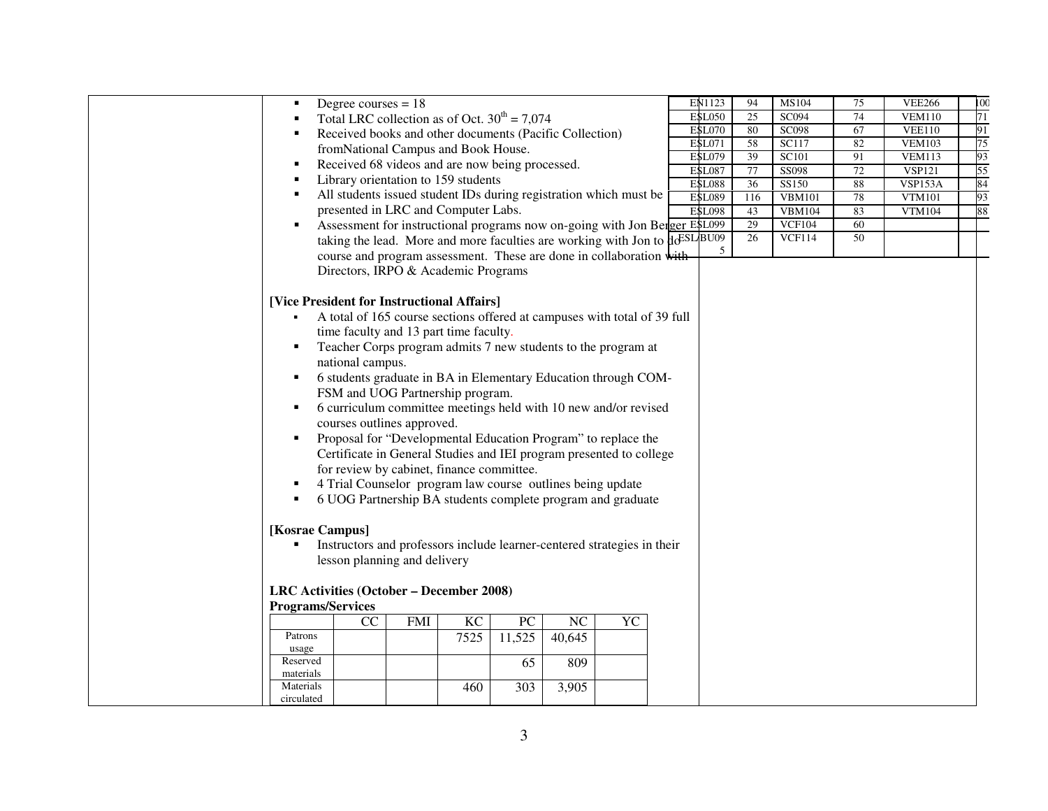|                                            | Degree courses $= 18$                             |            |          |                  |                                                                                |           | EN1123                         | 94                    | MS104                 | 75           | <b>VEE266</b>            | 100      |
|--------------------------------------------|---------------------------------------------------|------------|----------|------------------|--------------------------------------------------------------------------------|-----------|--------------------------------|-----------------------|-----------------------|--------------|--------------------------|----------|
|                                            | Total LRC collection as of Oct. $30^{th} = 7,074$ |            |          |                  |                                                                                |           | <b>ESL050</b>                  | $\overline{25}$       | SC094                 | 74           | <b>VEM110</b>            | 71       |
|                                            |                                                   |            |          |                  | Received books and other documents (Pacific Collection)                        |           | <b>ESL070</b>                  | 80                    | <b>SC098</b>          | 67           | VEE110                   | 91       |
|                                            | fromNational Campus and Book House.               |            |          |                  |                                                                                |           | <b>ESL071</b>                  | 58                    | <b>SC117</b>          | 82           | <b>VEM103</b>            | 75       |
|                                            | Received 68 videos and are now being processed.   |            |          |                  |                                                                                |           | <b>ESL079</b>                  | 39                    | SC101                 | 91           | <b>VEM113</b>            | 93       |
|                                            | Library orientation to 159 students               |            |          |                  |                                                                                |           | <b>ESL087</b><br><b>ESL088</b> | 77<br>$\overline{36}$ | <b>SS098</b><br>SS150 | $72\,$<br>88 | <b>VSP121</b><br>VSP153A | 55<br>84 |
|                                            |                                                   |            |          |                  | All students issued student IDs during registration which must be              |           | <b>ESL089</b>                  | 116                   | <b>VBM101</b>         | 78           | <b>VTM101</b>            | 93       |
|                                            | presented in LRC and Computer Labs.               |            |          |                  |                                                                                |           | <b>ESL098</b>                  | 43                    | <b>VBM104</b>         | 83           | <b>VTM104</b>            | 88       |
|                                            |                                                   |            |          |                  | Assessment for instructional programs now on-going with Jon Berger E\$L099     |           |                                | 29                    | <b>VCF104</b>         | 60           |                          |          |
|                                            |                                                   |            |          |                  | taking the lead. More and more faculties are working with Jon to $\frac{1}{2}$ |           |                                | 26                    | <b>VCF114</b>         | 50           |                          |          |
|                                            |                                                   |            |          |                  | course and program assessment. These are done in collaboration with            |           | 5                              |                       |                       |              |                          |          |
|                                            | Directors, IRPO & Academic Programs               |            |          |                  |                                                                                |           |                                |                       |                       |              |                          |          |
|                                            |                                                   |            |          |                  |                                                                                |           |                                |                       |                       |              |                          |          |
| [Vice President for Instructional Affairs] |                                                   |            |          |                  |                                                                                |           |                                |                       |                       |              |                          |          |
|                                            |                                                   |            |          |                  | A total of 165 course sections offered at campuses with total of 39 full       |           |                                |                       |                       |              |                          |          |
|                                            | time faculty and 13 part time faculty.            |            |          |                  |                                                                                |           |                                |                       |                       |              |                          |          |
| ٠                                          |                                                   |            |          |                  | Teacher Corps program admits 7 new students to the program at                  |           |                                |                       |                       |              |                          |          |
|                                            |                                                   |            |          |                  |                                                                                |           |                                |                       |                       |              |                          |          |
|                                            | national campus.                                  |            |          |                  |                                                                                |           |                                |                       |                       |              |                          |          |
| ٠                                          |                                                   |            |          |                  | 6 students graduate in BA in Elementary Education through COM-                 |           |                                |                       |                       |              |                          |          |
|                                            | FSM and UOG Partnership program.                  |            |          |                  |                                                                                |           |                                |                       |                       |              |                          |          |
| ٠                                          |                                                   |            |          |                  | 6 curriculum committee meetings held with 10 new and/or revised                |           |                                |                       |                       |              |                          |          |
|                                            | courses outlines approved.                        |            |          |                  |                                                                                |           |                                |                       |                       |              |                          |          |
| ٠                                          |                                                   |            |          |                  | Proposal for "Developmental Education Program" to replace the                  |           |                                |                       |                       |              |                          |          |
|                                            |                                                   |            |          |                  | Certificate in General Studies and IEI program presented to college            |           |                                |                       |                       |              |                          |          |
|                                            | for review by cabinet, finance committee.         |            |          |                  |                                                                                |           |                                |                       |                       |              |                          |          |
|                                            |                                                   |            |          |                  | 4 Trial Counselor program law course outlines being update                     |           |                                |                       |                       |              |                          |          |
| ٠                                          |                                                   |            |          |                  | 6 UOG Partnership BA students complete program and graduate                    |           |                                |                       |                       |              |                          |          |
|                                            |                                                   |            |          |                  |                                                                                |           |                                |                       |                       |              |                          |          |
| [Kosrae Campus]                            |                                                   |            |          |                  |                                                                                |           |                                |                       |                       |              |                          |          |
|                                            |                                                   |            |          |                  | Instructors and professors include learner-centered strategies in their        |           |                                |                       |                       |              |                          |          |
|                                            | lesson planning and delivery                      |            |          |                  |                                                                                |           |                                |                       |                       |              |                          |          |
|                                            |                                                   |            |          |                  |                                                                                |           |                                |                       |                       |              |                          |          |
| LRC Activities (October – December 2008)   |                                                   |            |          |                  |                                                                                |           |                                |                       |                       |              |                          |          |
| <b>Programs/Services</b>                   |                                                   |            |          |                  |                                                                                |           |                                |                       |                       |              |                          |          |
|                                            | CC                                                | <b>FMI</b> | $\rm KC$ | ${\rm P}{\bf C}$ | $\rm NC$                                                                       | <b>YC</b> |                                |                       |                       |              |                          |          |
| Patrons                                    |                                                   |            | 7525     | 11,525           | 40,645                                                                         |           |                                |                       |                       |              |                          |          |
| usage                                      |                                                   |            |          |                  |                                                                                |           |                                |                       |                       |              |                          |          |
| Reserved                                   |                                                   |            |          | 65               | 809                                                                            |           |                                |                       |                       |              |                          |          |
| materials<br>Materials                     |                                                   |            | 460      | 303              |                                                                                |           |                                |                       |                       |              |                          |          |
| circulated                                 |                                                   |            |          |                  | 3,905                                                                          |           |                                |                       |                       |              |                          |          |
|                                            |                                                   |            |          |                  |                                                                                |           |                                |                       |                       |              |                          |          |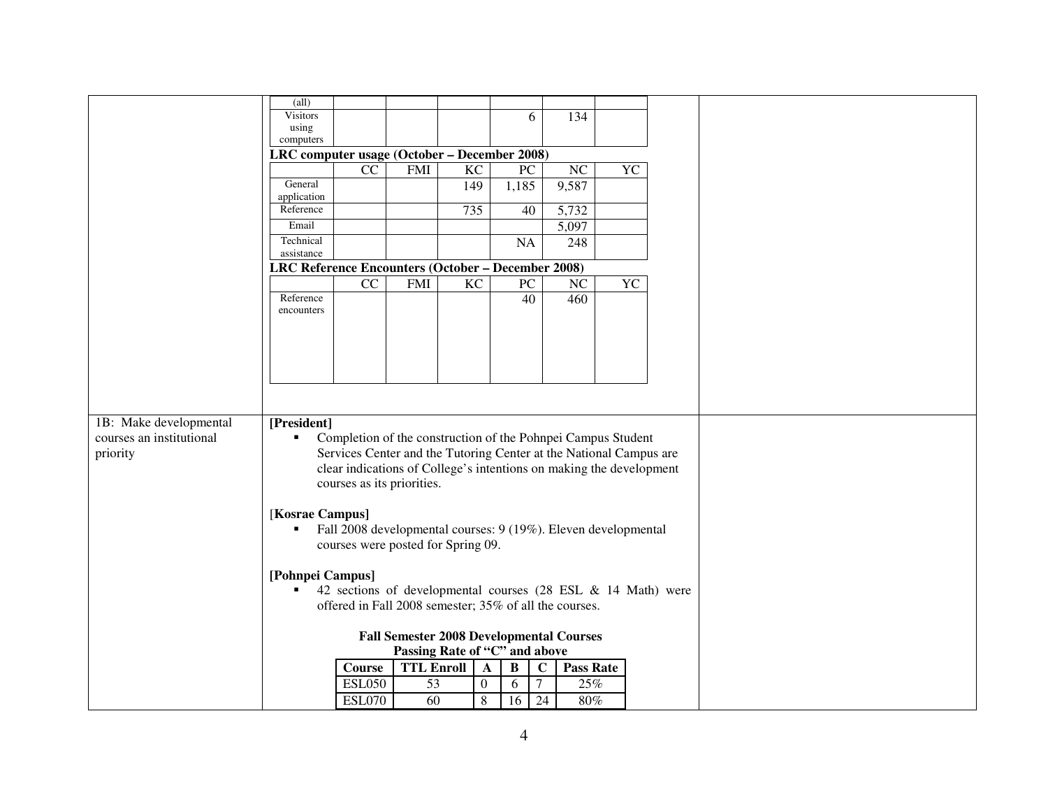|                                                 | $\text{(all)}$                                                                                                                                               |                                                                     |                   |                 |                  |                             |                  |           |  |  |  |  |
|-------------------------------------------------|--------------------------------------------------------------------------------------------------------------------------------------------------------------|---------------------------------------------------------------------|-------------------|-----------------|------------------|-----------------------------|------------------|-----------|--|--|--|--|
|                                                 | Visitors<br>using                                                                                                                                            |                                                                     |                   |                 |                  | 6                           | 134              |           |  |  |  |  |
|                                                 | computers                                                                                                                                                    |                                                                     |                   |                 |                  |                             |                  |           |  |  |  |  |
|                                                 | LRC computer usage (October – December 2008)                                                                                                                 |                                                                     |                   |                 |                  |                             |                  |           |  |  |  |  |
|                                                 |                                                                                                                                                              | CC                                                                  | <b>FMI</b>        | $\overline{KC}$ |                  | $\overline{PC}$             | NC               | YC        |  |  |  |  |
|                                                 | General                                                                                                                                                      |                                                                     |                   | 149             |                  | 1,185                       | 9,587            |           |  |  |  |  |
|                                                 | application                                                                                                                                                  |                                                                     |                   |                 |                  |                             |                  |           |  |  |  |  |
|                                                 | Reference                                                                                                                                                    |                                                                     |                   | 735             |                  | 40                          | 5,732            |           |  |  |  |  |
|                                                 | Email                                                                                                                                                        |                                                                     |                   |                 |                  |                             | 5,097            |           |  |  |  |  |
|                                                 | Technical                                                                                                                                                    |                                                                     |                   |                 |                  | NA                          | 248              |           |  |  |  |  |
|                                                 | assistance<br>LRC Reference Encounters (October - December 2008)                                                                                             |                                                                     |                   |                 |                  |                             |                  |           |  |  |  |  |
|                                                 |                                                                                                                                                              | $\overline{CC}$                                                     | <b>FMI</b>        | $\overline{KC}$ |                  | $\overline{PC}$             | $\overline{NC}$  | <b>YC</b> |  |  |  |  |
|                                                 | Reference                                                                                                                                                    |                                                                     |                   |                 |                  | $\overline{40}$             | 460              |           |  |  |  |  |
|                                                 | encounters                                                                                                                                                   |                                                                     |                   |                 |                  |                             |                  |           |  |  |  |  |
|                                                 |                                                                                                                                                              |                                                                     |                   |                 |                  |                             |                  |           |  |  |  |  |
|                                                 |                                                                                                                                                              |                                                                     |                   |                 |                  |                             |                  |           |  |  |  |  |
|                                                 |                                                                                                                                                              |                                                                     |                   |                 |                  |                             |                  |           |  |  |  |  |
|                                                 |                                                                                                                                                              |                                                                     |                   |                 |                  |                             |                  |           |  |  |  |  |
|                                                 |                                                                                                                                                              |                                                                     |                   |                 |                  |                             |                  |           |  |  |  |  |
|                                                 |                                                                                                                                                              |                                                                     |                   |                 |                  |                             |                  |           |  |  |  |  |
| 1B: Make developmental                          | [President]                                                                                                                                                  |                                                                     |                   |                 |                  |                             |                  |           |  |  |  |  |
| courses an institutional                        | $\blacksquare$                                                                                                                                               | Completion of the construction of the Pohnpei Campus Student        |                   |                 |                  |                             |                  |           |  |  |  |  |
| priority                                        |                                                                                                                                                              | Services Center and the Tutoring Center at the National Campus are  |                   |                 |                  |                             |                  |           |  |  |  |  |
|                                                 |                                                                                                                                                              | clear indications of College's intentions on making the development |                   |                 |                  |                             |                  |           |  |  |  |  |
|                                                 |                                                                                                                                                              | courses as its priorities.                                          |                   |                 |                  |                             |                  |           |  |  |  |  |
|                                                 |                                                                                                                                                              |                                                                     |                   |                 |                  |                             |                  |           |  |  |  |  |
|                                                 | [Kosrae Campus]                                                                                                                                              |                                                                     |                   |                 |                  |                             |                  |           |  |  |  |  |
|                                                 | ٠                                                                                                                                                            | Fall 2008 developmental courses: 9 (19%). Eleven developmental      |                   |                 |                  |                             |                  |           |  |  |  |  |
|                                                 |                                                                                                                                                              |                                                                     |                   |                 |                  |                             |                  |           |  |  |  |  |
|                                                 | courses were posted for Spring 09.                                                                                                                           |                                                                     |                   |                 |                  |                             |                  |           |  |  |  |  |
|                                                 |                                                                                                                                                              |                                                                     |                   |                 |                  |                             |                  |           |  |  |  |  |
|                                                 | [Pohnpei Campus]<br>42 sections of developmental courses (28 ESL & 14 Math) were<br>$\blacksquare$<br>offered in Fall 2008 semester; 35% of all the courses. |                                                                     |                   |                 |                  |                             |                  |           |  |  |  |  |
|                                                 |                                                                                                                                                              |                                                                     |                   |                 |                  |                             |                  |           |  |  |  |  |
| <b>Fall Semester 2008 Developmental Courses</b> |                                                                                                                                                              |                                                                     |                   |                 |                  |                             |                  |           |  |  |  |  |
|                                                 |                                                                                                                                                              |                                                                     |                   |                 |                  |                             |                  |           |  |  |  |  |
|                                                 | Passing Rate of "C" and above                                                                                                                                |                                                                     |                   |                 |                  |                             |                  |           |  |  |  |  |
|                                                 |                                                                                                                                                              | <b>Course</b>                                                       | <b>TTL Enroll</b> |                 | $\mathbf{A}$     | $\, {\bf B}$<br>$\mathbf C$ | <b>Pass Rate</b> |           |  |  |  |  |
|                                                 |                                                                                                                                                              | <b>ESL050</b>                                                       | 53                |                 | $\boldsymbol{0}$ | $\overline{7}$<br>6         | 25%              |           |  |  |  |  |
|                                                 |                                                                                                                                                              | <b>ESL070</b>                                                       | 60                |                 | $\,8\,$          | 16<br>24                    | $80\%$           |           |  |  |  |  |
|                                                 |                                                                                                                                                              |                                                                     |                   |                 |                  |                             |                  |           |  |  |  |  |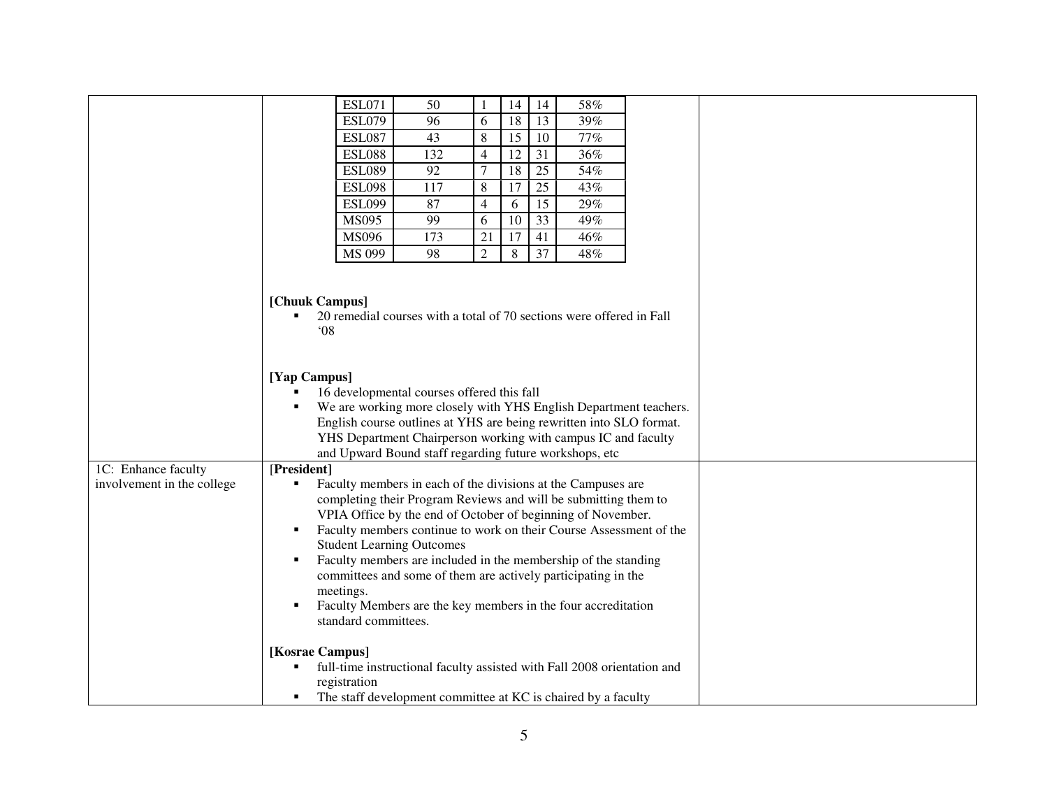|                            |                                                                                                                                                                                                                                                                                                                                                                                                                                                                                                                                                                       | <b>ESL071</b> | 50                                                                   | 1              | 14 | 14              | 58% |  |  |  |  |
|----------------------------|-----------------------------------------------------------------------------------------------------------------------------------------------------------------------------------------------------------------------------------------------------------------------------------------------------------------------------------------------------------------------------------------------------------------------------------------------------------------------------------------------------------------------------------------------------------------------|---------------|----------------------------------------------------------------------|----------------|----|-----------------|-----|--|--|--|--|
|                            |                                                                                                                                                                                                                                                                                                                                                                                                                                                                                                                                                                       | <b>ESL079</b> | 96                                                                   | 6              | 18 | 13              | 39% |  |  |  |  |
|                            |                                                                                                                                                                                                                                                                                                                                                                                                                                                                                                                                                                       | <b>ESL087</b> | 43                                                                   | 8              | 15 | 10              | 77% |  |  |  |  |
|                            |                                                                                                                                                                                                                                                                                                                                                                                                                                                                                                                                                                       | <b>ESL088</b> | 132                                                                  | $\overline{4}$ | 12 | 31              | 36% |  |  |  |  |
|                            |                                                                                                                                                                                                                                                                                                                                                                                                                                                                                                                                                                       | <b>ESL089</b> | 92                                                                   | $\tau$         | 18 | $\overline{25}$ | 54% |  |  |  |  |
|                            |                                                                                                                                                                                                                                                                                                                                                                                                                                                                                                                                                                       | <b>ESL098</b> | 117                                                                  | $\,8\,$        | 17 | 25              | 43% |  |  |  |  |
|                            |                                                                                                                                                                                                                                                                                                                                                                                                                                                                                                                                                                       | <b>ESL099</b> | 87                                                                   | $\overline{4}$ | 6  | 15              | 29% |  |  |  |  |
|                            |                                                                                                                                                                                                                                                                                                                                                                                                                                                                                                                                                                       | <b>MS095</b>  | 99                                                                   | 6              | 10 | 33              | 49% |  |  |  |  |
|                            |                                                                                                                                                                                                                                                                                                                                                                                                                                                                                                                                                                       | MS096         | 173                                                                  | 21             | 17 | 41              | 46% |  |  |  |  |
|                            |                                                                                                                                                                                                                                                                                                                                                                                                                                                                                                                                                                       | MS 099        | 98                                                                   | $\overline{2}$ | 8  | 37              | 48% |  |  |  |  |
|                            | [Chuuk Campus]<br>08                                                                                                                                                                                                                                                                                                                                                                                                                                                                                                                                                  |               | 20 remedial courses with a total of 70 sections were offered in Fall |                |    |                 |     |  |  |  |  |
|                            | [Yap Campus]<br>16 developmental courses offered this fall<br>We are working more closely with YHS English Department teachers.<br>English course outlines at YHS are being rewritten into SLO format.<br>YHS Department Chairperson working with campus IC and faculty<br>and Upward Bound staff regarding future workshops, etc                                                                                                                                                                                                                                     |               |                                                                      |                |    |                 |     |  |  |  |  |
| 1C: Enhance faculty        | [President]                                                                                                                                                                                                                                                                                                                                                                                                                                                                                                                                                           |               |                                                                      |                |    |                 |     |  |  |  |  |
| involvement in the college | Faculty members in each of the divisions at the Campuses are<br>٠<br>completing their Program Reviews and will be submitting them to<br>VPIA Office by the end of October of beginning of November.<br>Faculty members continue to work on their Course Assessment of the<br>٠<br><b>Student Learning Outcomes</b><br>Faculty members are included in the membership of the standing<br>٠<br>committees and some of them are actively participating in the<br>meetings.<br>Faculty Members are the key members in the four accreditation<br>٠<br>standard committees. |               |                                                                      |                |    |                 |     |  |  |  |  |
|                            | [Kosrae Campus]<br>full-time instructional faculty assisted with Fall 2008 orientation and<br>registration<br>The staff development committee at KC is chaired by a faculty<br>٠                                                                                                                                                                                                                                                                                                                                                                                      |               |                                                                      |                |    |                 |     |  |  |  |  |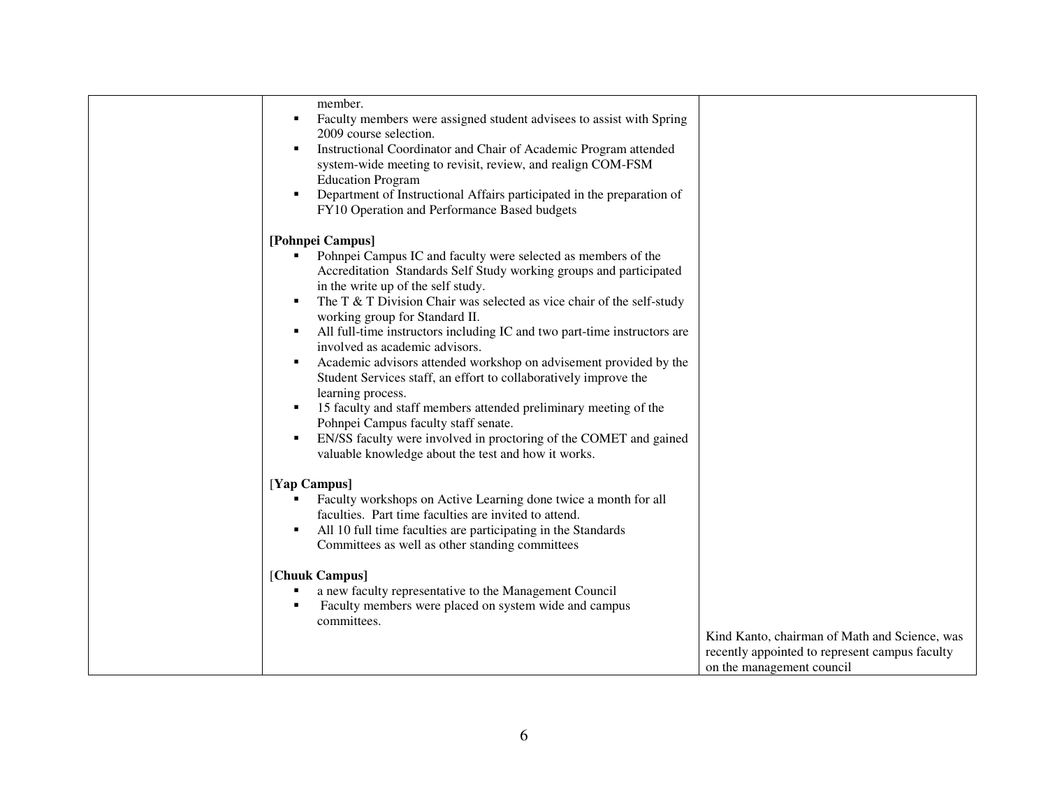| member.<br>Faculty members were assigned student advisees to assist with Spring<br>2009 course selection.<br>Instructional Coordinator and Chair of Academic Program attended<br>٠<br>system-wide meeting to revisit, review, and realign COM-FSM<br><b>Education Program</b><br>Department of Instructional Affairs participated in the preparation of<br>٠<br>FY10 Operation and Performance Based budgets                                                                                                                                                                                                                                                                                                                                                                                                                                |                                                                                                 |
|---------------------------------------------------------------------------------------------------------------------------------------------------------------------------------------------------------------------------------------------------------------------------------------------------------------------------------------------------------------------------------------------------------------------------------------------------------------------------------------------------------------------------------------------------------------------------------------------------------------------------------------------------------------------------------------------------------------------------------------------------------------------------------------------------------------------------------------------|-------------------------------------------------------------------------------------------------|
| [Pohnpei Campus]<br>Pohnpei Campus IC and faculty were selected as members of the<br>Accreditation Standards Self Study working groups and participated<br>in the write up of the self study.<br>The T & T Division Chair was selected as vice chair of the self-study<br>working group for Standard II.<br>All full-time instructors including IC and two part-time instructors are<br>involved as academic advisors.<br>Academic advisors attended workshop on advisement provided by the<br>٠<br>Student Services staff, an effort to collaboratively improve the<br>learning process.<br>15 faculty and staff members attended preliminary meeting of the<br>٠<br>Pohnpei Campus faculty staff senate.<br>EN/SS faculty were involved in proctoring of the COMET and gained<br>٠<br>valuable knowledge about the test and how it works. |                                                                                                 |
| [Yap Campus]<br>Faculty workshops on Active Learning done twice a month for all<br>faculties. Part time faculties are invited to attend.<br>All 10 full time faculties are participating in the Standards<br>٠<br>Committees as well as other standing committees<br>[Chuuk Campus]<br>a new faculty representative to the Management Council<br>٠<br>Faculty members were placed on system wide and campus<br>committees.                                                                                                                                                                                                                                                                                                                                                                                                                  | Kind Kanto, chairman of Math and Science, was<br>recently appointed to represent campus faculty |
|                                                                                                                                                                                                                                                                                                                                                                                                                                                                                                                                                                                                                                                                                                                                                                                                                                             | on the management council                                                                       |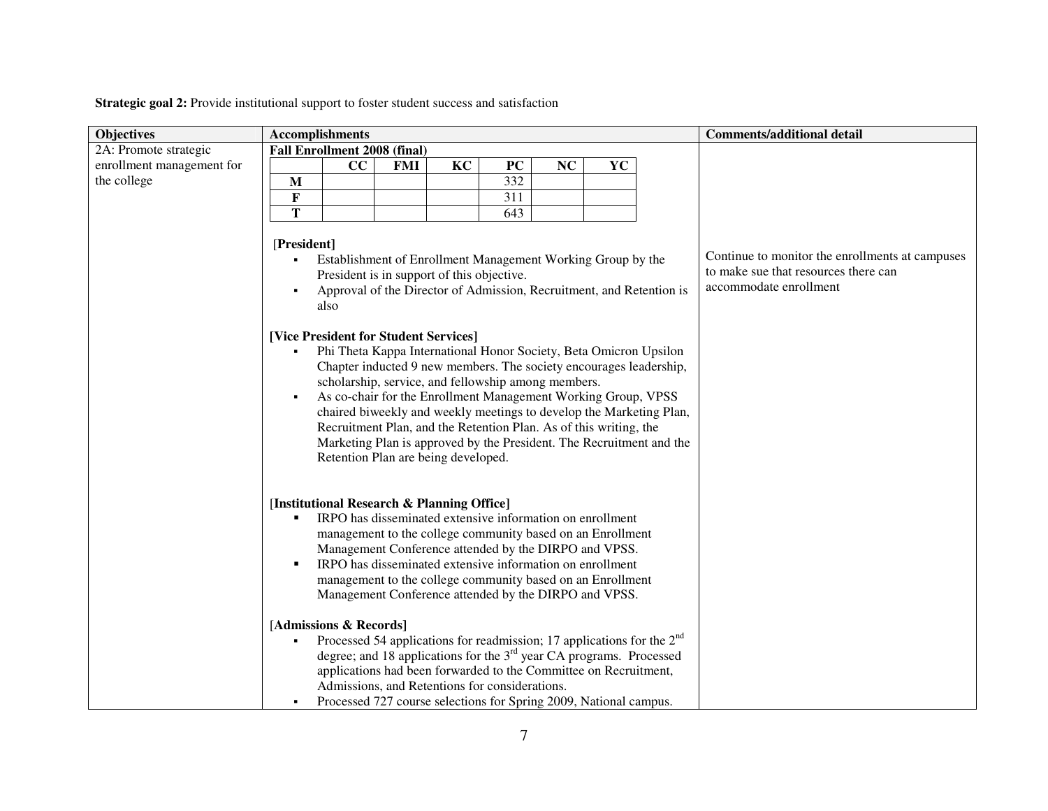**Strategic goal 2:** Provide institutional support to foster student success and satisfaction

| <b>Objectives</b>         | <b>Accomplishments</b>                                                                                                                                                                                                                                                                                                                                                                                                                                                                                                                                                                                                                                                                                                                                                                                                   |                |                                                                                                                   | <b>Comments/additional detail</b> |
|---------------------------|--------------------------------------------------------------------------------------------------------------------------------------------------------------------------------------------------------------------------------------------------------------------------------------------------------------------------------------------------------------------------------------------------------------------------------------------------------------------------------------------------------------------------------------------------------------------------------------------------------------------------------------------------------------------------------------------------------------------------------------------------------------------------------------------------------------------------|----------------|-------------------------------------------------------------------------------------------------------------------|-----------------------------------|
| 2A: Promote strategic     | <b>Fall Enrollment 2008 (final)</b>                                                                                                                                                                                                                                                                                                                                                                                                                                                                                                                                                                                                                                                                                                                                                                                      |                |                                                                                                                   |                                   |
| enrollment management for | cc<br><b>FMI</b>                                                                                                                                                                                                                                                                                                                                                                                                                                                                                                                                                                                                                                                                                                                                                                                                         | KC<br>PC<br>NC | YC                                                                                                                |                                   |
| the college               | M                                                                                                                                                                                                                                                                                                                                                                                                                                                                                                                                                                                                                                                                                                                                                                                                                        | 332            |                                                                                                                   |                                   |
|                           | $\bf F$                                                                                                                                                                                                                                                                                                                                                                                                                                                                                                                                                                                                                                                                                                                                                                                                                  | 311            |                                                                                                                   |                                   |
|                           | T                                                                                                                                                                                                                                                                                                                                                                                                                                                                                                                                                                                                                                                                                                                                                                                                                        | 643            |                                                                                                                   |                                   |
|                           | [President]<br>Establishment of Enrollment Management Working Group by the<br>٠<br>President is in support of this objective.<br>Approval of the Director of Admission, Recruitment, and Retention is<br>$\blacksquare$<br>also<br>[Vice President for Student Services]<br>Phi Theta Kappa International Honor Society, Beta Omicron Upsilon<br>Chapter inducted 9 new members. The society encourages leadership,<br>scholarship, service, and fellowship among members.<br>As co-chair for the Enrollment Management Working Group, VPSS<br>chaired biweekly and weekly meetings to develop the Marketing Plan,<br>Recruitment Plan, and the Retention Plan. As of this writing, the<br>Marketing Plan is approved by the President. The Recruitment and the<br>Retention Plan are being developed.                   |                | Continue to monitor the enrollments at campuses<br>to make sue that resources there can<br>accommodate enrollment |                                   |
|                           | [Institutional Research & Planning Office]<br>IRPO has disseminated extensive information on enrollment<br>п<br>management to the college community based on an Enrollment<br>Management Conference attended by the DIRPO and VPSS.<br>IRPO has disseminated extensive information on enrollment<br>п<br>management to the college community based on an Enrollment<br>Management Conference attended by the DIRPO and VPSS.<br>[Admissions & Records]<br>Processed 54 applications for readmission; 17 applications for the $2nd$<br>degree; and 18 applications for the $3rd$ year CA programs. Processed<br>applications had been forwarded to the Committee on Recruitment,<br>Admissions, and Retentions for considerations.<br>Processed 727 course selections for Spring 2009, National campus.<br>$\blacksquare$ |                |                                                                                                                   |                                   |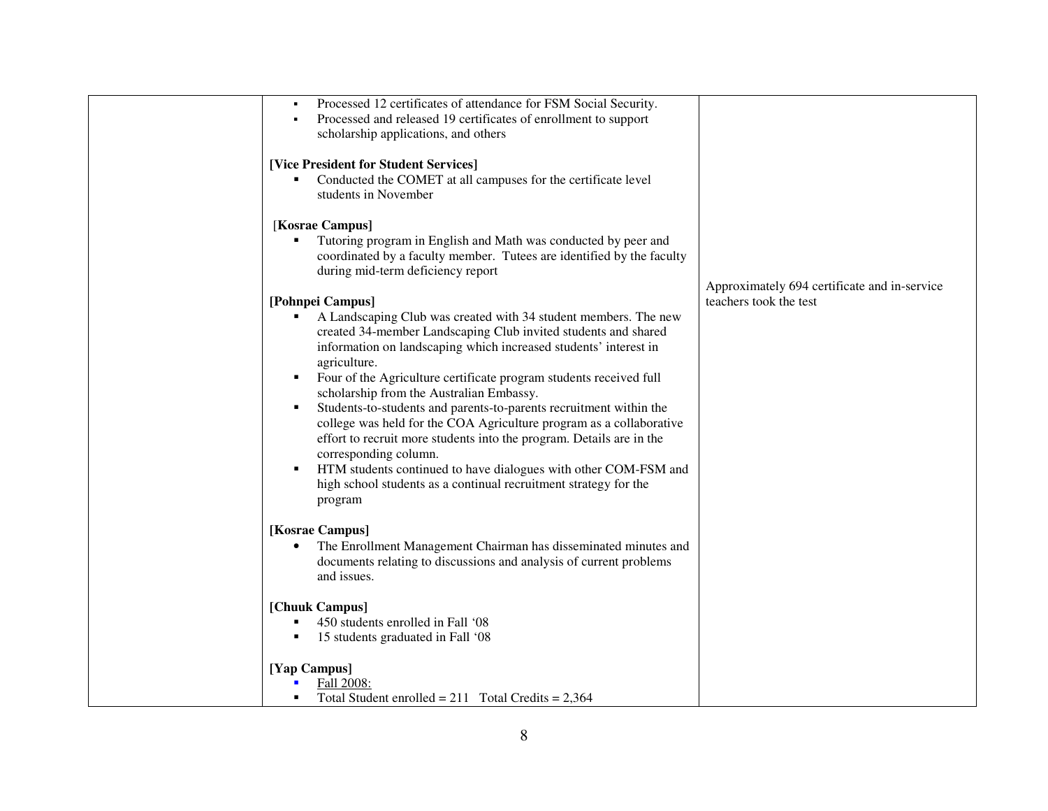| Processed 12 certificates of attendance for FSM Social Security.<br>Processed and released 19 certificates of enrollment to support<br>٠    |                                              |
|---------------------------------------------------------------------------------------------------------------------------------------------|----------------------------------------------|
| scholarship applications, and others                                                                                                        |                                              |
| [Vice President for Student Services]                                                                                                       |                                              |
| Conducted the COMET at all campuses for the certificate level<br>٠<br>students in November                                                  |                                              |
| [Kosrae Campus]                                                                                                                             |                                              |
| Tutoring program in English and Math was conducted by peer and                                                                              |                                              |
| coordinated by a faculty member. Tutees are identified by the faculty<br>during mid-term deficiency report                                  |                                              |
|                                                                                                                                             | Approximately 694 certificate and in-service |
| [Pohnpei Campus]                                                                                                                            | teachers took the test                       |
| A Landscaping Club was created with 34 student members. The new<br>٠<br>created 34-member Landscaping Club invited students and shared      |                                              |
| information on landscaping which increased students' interest in                                                                            |                                              |
| agriculture.<br>Four of the Agriculture certificate program students received full                                                          |                                              |
| scholarship from the Australian Embassy.                                                                                                    |                                              |
| Students-to-students and parents-to-parents recruitment within the<br>٠                                                                     |                                              |
| college was held for the COA Agriculture program as a collaborative<br>effort to recruit more students into the program. Details are in the |                                              |
| corresponding column.                                                                                                                       |                                              |
| HTM students continued to have dialogues with other COM-FSM and                                                                             |                                              |
| high school students as a continual recruitment strategy for the<br>program                                                                 |                                              |
|                                                                                                                                             |                                              |
| [Kosrae Campus]<br>The Enrollment Management Chairman has disseminated minutes and                                                          |                                              |
| documents relating to discussions and analysis of current problems                                                                          |                                              |
| and issues.                                                                                                                                 |                                              |
| [Chuuk Campus]                                                                                                                              |                                              |
| 450 students enrolled in Fall '08                                                                                                           |                                              |
| 15 students graduated in Fall '08                                                                                                           |                                              |
| [Yap Campus]                                                                                                                                |                                              |
| Fall 2008:<br>Total Student enrolled = $211$ Total Credits = $2,364$                                                                        |                                              |
|                                                                                                                                             |                                              |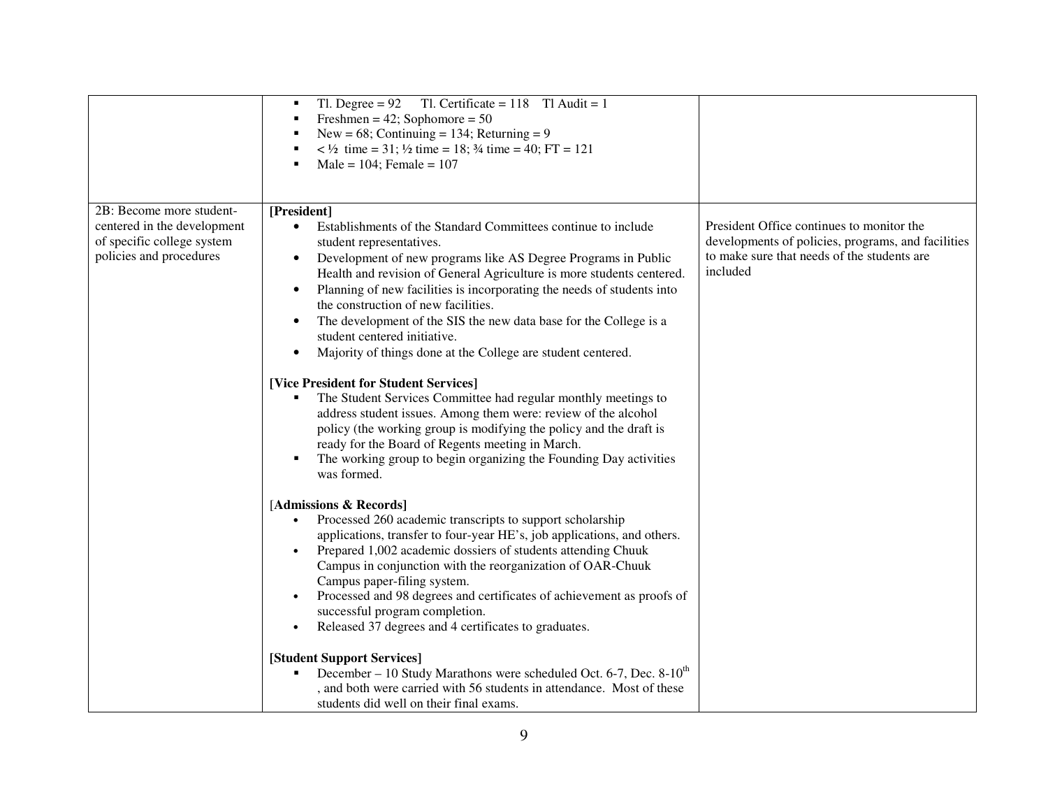|                                                                                                                  | Tl. Degree = $92$ Tl. Certificate = 118 Tl Audit = 1<br>٠<br>Freshmen = $42$ ; Sophomore = $50$<br>٠<br>New = $68$ ; Continuing = 134; Returning = 9<br>$\langle 4 \rangle$ time = 31; $\frac{1}{2}$ time = 18; $\frac{3}{4}$ time = 40; FT = 121<br>٠<br>Male = $104$ ; Female = $107$<br>٠                                                                                                                                                                                                                                                                                                                                                                                                                                                                                                                                                                                                                                                                                                                                                                                                                                                                                                                                                                                                                                                                                                                                                                                                                |                                                                                                                                                            |
|------------------------------------------------------------------------------------------------------------------|-------------------------------------------------------------------------------------------------------------------------------------------------------------------------------------------------------------------------------------------------------------------------------------------------------------------------------------------------------------------------------------------------------------------------------------------------------------------------------------------------------------------------------------------------------------------------------------------------------------------------------------------------------------------------------------------------------------------------------------------------------------------------------------------------------------------------------------------------------------------------------------------------------------------------------------------------------------------------------------------------------------------------------------------------------------------------------------------------------------------------------------------------------------------------------------------------------------------------------------------------------------------------------------------------------------------------------------------------------------------------------------------------------------------------------------------------------------------------------------------------------------|------------------------------------------------------------------------------------------------------------------------------------------------------------|
| 2B: Become more student-<br>centered in the development<br>of specific college system<br>policies and procedures | [President]<br>Establishments of the Standard Committees continue to include<br>$\bullet$<br>student representatives.<br>Development of new programs like AS Degree Programs in Public<br>$\bullet$<br>Health and revision of General Agriculture is more students centered.<br>Planning of new facilities is incorporating the needs of students into<br>$\bullet$<br>the construction of new facilities.<br>The development of the SIS the new data base for the College is a<br>$\bullet$<br>student centered initiative.<br>Majority of things done at the College are student centered.<br>$\bullet$<br>[Vice President for Student Services]<br>The Student Services Committee had regular monthly meetings to<br>address student issues. Among them were: review of the alcohol<br>policy (the working group is modifying the policy and the draft is<br>ready for the Board of Regents meeting in March.<br>The working group to begin organizing the Founding Day activities<br>٠<br>was formed.<br>[Admissions & Records]<br>Processed 260 academic transcripts to support scholarship<br>applications, transfer to four-year HE's, job applications, and others.<br>Prepared 1,002 academic dossiers of students attending Chuuk<br>Campus in conjunction with the reorganization of OAR-Chuuk<br>Campus paper-filing system.<br>Processed and 98 degrees and certificates of achievement as proofs of<br>successful program completion.<br>Released 37 degrees and 4 certificates to graduates. | President Office continues to monitor the<br>developments of policies, programs, and facilities<br>to make sure that needs of the students are<br>included |
|                                                                                                                  | [Student Support Services]<br>December – 10 Study Marathons were scheduled Oct. 6-7, Dec. $8-10^{th}$<br>, and both were carried with 56 students in attendance. Most of these<br>students did well on their final exams.                                                                                                                                                                                                                                                                                                                                                                                                                                                                                                                                                                                                                                                                                                                                                                                                                                                                                                                                                                                                                                                                                                                                                                                                                                                                                   |                                                                                                                                                            |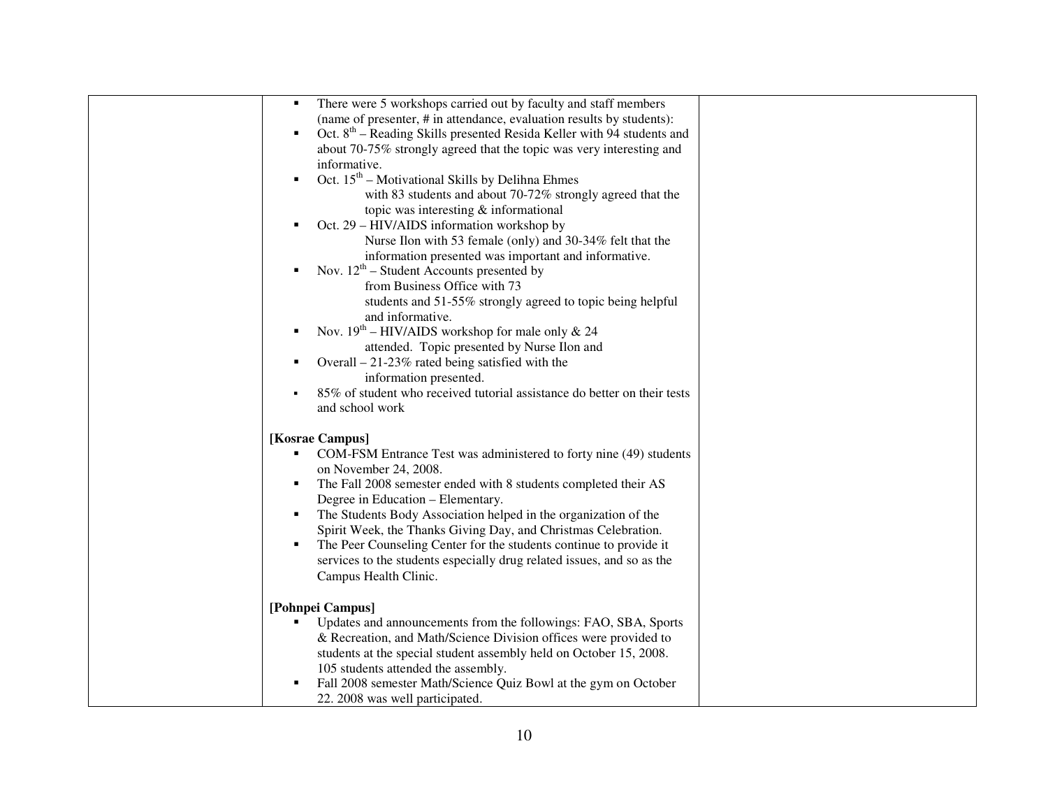| There were 5 workshops carried out by faculty and staff members<br>٠                |  |
|-------------------------------------------------------------------------------------|--|
| (name of presenter, # in attendance, evaluation results by students):               |  |
| Oct. 8 <sup>th</sup> – Reading Skills presented Resida Keller with 94 students and  |  |
| about 70-75% strongly agreed that the topic was very interesting and                |  |
| informative.                                                                        |  |
| Oct. $15th$ – Motivational Skills by Delihna Ehmes                                  |  |
| with 83 students and about 70-72% strongly agreed that the                          |  |
| topic was interesting & informational                                               |  |
| Oct. 29 – HIV/AIDS information workshop by                                          |  |
| Nurse Ilon with 53 female (only) and 30-34% felt that the                           |  |
| information presented was important and informative.                                |  |
| Nov. $12^{th}$ – Student Accounts presented by                                      |  |
| from Business Office with 73                                                        |  |
| students and 51-55% strongly agreed to topic being helpful                          |  |
| and informative.                                                                    |  |
| Nov. $19^{th}$ – HIV/AIDS workshop for male only & 24<br>٠                          |  |
| attended. Topic presented by Nurse Ilon and                                         |  |
| Overall $-21-23\%$ rated being satisfied with the<br>٠                              |  |
| information presented.                                                              |  |
| 85% of student who received tutorial assistance do better on their tests            |  |
| and school work                                                                     |  |
|                                                                                     |  |
| [Kosrae Campus]                                                                     |  |
| COM-FSM Entrance Test was administered to forty nine (49) students                  |  |
| on November 24, 2008.                                                               |  |
| The Fall 2008 semester ended with 8 students completed their AS<br>٠                |  |
| Degree in Education - Elementary.                                                   |  |
| The Students Body Association helped in the organization of the<br>٠                |  |
| Spirit Week, the Thanks Giving Day, and Christmas Celebration.                      |  |
| The Peer Counseling Center for the students continue to provide it<br>٠             |  |
| services to the students especially drug related issues, and so as the              |  |
|                                                                                     |  |
| Campus Health Clinic.                                                               |  |
|                                                                                     |  |
| [Pohnpei Campus]<br>Updates and announcements from the followings: FAO, SBA, Sports |  |
| & Recreation, and Math/Science Division offices were provided to                    |  |
|                                                                                     |  |
| students at the special student assembly held on October 15, 2008.                  |  |
| 105 students attended the assembly.                                                 |  |
| Fall 2008 semester Math/Science Quiz Bowl at the gym on October<br>٠                |  |
| 22. 2008 was well participated.                                                     |  |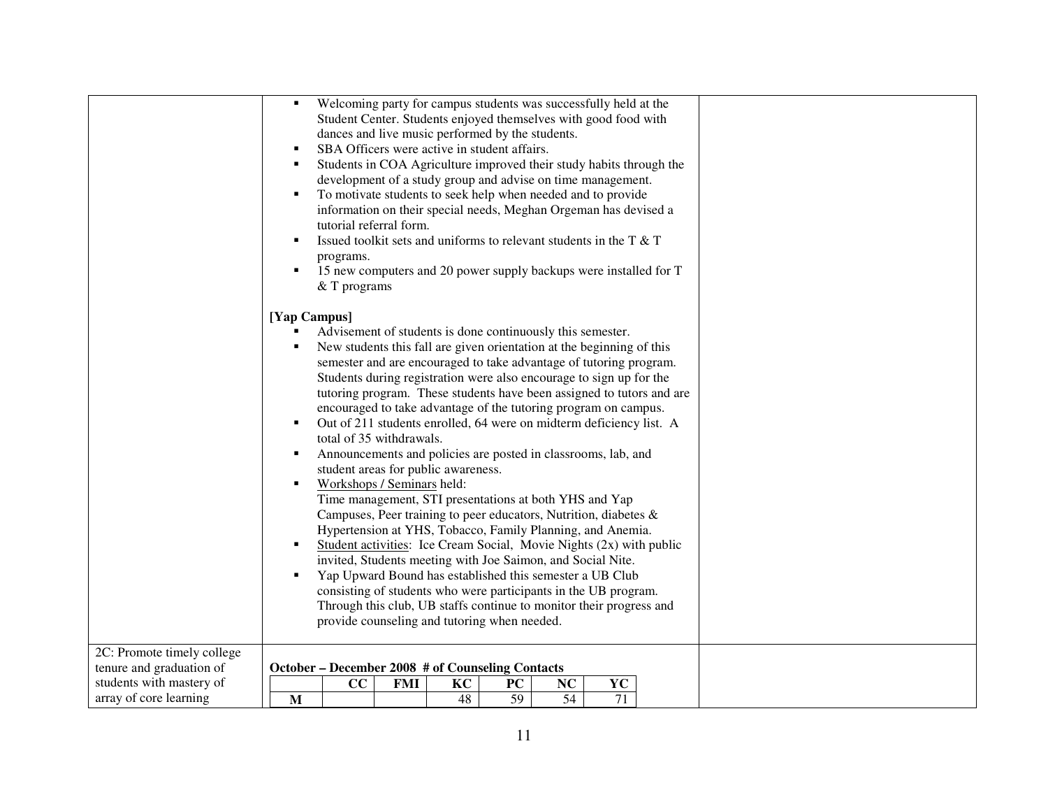|                            | $\blacksquare$                                             |                                                                     |     |    | Welcoming party for campus students was successfully held at the      |    |    |  |  |
|----------------------------|------------------------------------------------------------|---------------------------------------------------------------------|-----|----|-----------------------------------------------------------------------|----|----|--|--|
|                            |                                                            |                                                                     |     |    | Student Center. Students enjoyed themselves with good food with       |    |    |  |  |
|                            |                                                            |                                                                     |     |    | dances and live music performed by the students.                      |    |    |  |  |
|                            | ٠                                                          |                                                                     |     |    | SBA Officers were active in student affairs.                          |    |    |  |  |
|                            | ٠                                                          |                                                                     |     |    | Students in COA Agriculture improved their study habits through the   |    |    |  |  |
|                            |                                                            |                                                                     |     |    | development of a study group and advise on time management.           |    |    |  |  |
|                            | ٠                                                          |                                                                     |     |    | To motivate students to seek help when needed and to provide          |    |    |  |  |
|                            |                                                            |                                                                     |     |    | information on their special needs, Meghan Orgeman has devised a      |    |    |  |  |
|                            |                                                            | tutorial referral form.                                             |     |    |                                                                       |    |    |  |  |
|                            | ٠                                                          |                                                                     |     |    | Issued toolkit sets and uniforms to relevant students in the T & T    |    |    |  |  |
|                            |                                                            | programs.                                                           |     |    |                                                                       |    |    |  |  |
|                            | ٠                                                          | 15 new computers and 20 power supply backups were installed for T   |     |    |                                                                       |    |    |  |  |
|                            |                                                            | $&$ T programs                                                      |     |    |                                                                       |    |    |  |  |
|                            |                                                            |                                                                     |     |    |                                                                       |    |    |  |  |
|                            | [Yap Campus]                                               |                                                                     |     |    |                                                                       |    |    |  |  |
|                            | Advisement of students is done continuously this semester. |                                                                     |     |    |                                                                       |    |    |  |  |
|                            | ٠                                                          |                                                                     |     |    | New students this fall are given orientation at the beginning of this |    |    |  |  |
|                            |                                                            |                                                                     |     |    | semester and are encouraged to take advantage of tutoring program.    |    |    |  |  |
|                            |                                                            |                                                                     |     |    | Students during registration were also encourage to sign up for the   |    |    |  |  |
|                            |                                                            |                                                                     |     |    | tutoring program. These students have been assigned to tutors and are |    |    |  |  |
|                            |                                                            |                                                                     |     |    | encouraged to take advantage of the tutoring program on campus.       |    |    |  |  |
|                            | ٠                                                          |                                                                     |     |    | Out of 211 students enrolled, 64 were on midterm deficiency list. A   |    |    |  |  |
|                            |                                                            | total of 35 withdrawals.                                            |     |    |                                                                       |    |    |  |  |
|                            | ٠                                                          |                                                                     |     |    | Announcements and policies are posted in classrooms, lab, and         |    |    |  |  |
|                            |                                                            | student areas for public awareness.                                 |     |    |                                                                       |    |    |  |  |
|                            | $\blacksquare$                                             | Workshops / Seminars held:                                          |     |    |                                                                       |    |    |  |  |
|                            |                                                            |                                                                     |     |    | Time management, STI presentations at both YHS and Yap                |    |    |  |  |
|                            |                                                            |                                                                     |     |    | Campuses, Peer training to peer educators, Nutrition, diabetes &      |    |    |  |  |
|                            |                                                            |                                                                     |     |    | Hypertension at YHS, Tobacco, Family Planning, and Anemia.            |    |    |  |  |
|                            | ٠                                                          | Student activities: Ice Cream Social, Movie Nights (2x) with public |     |    |                                                                       |    |    |  |  |
|                            |                                                            | invited, Students meeting with Joe Saimon, and Social Nite.         |     |    |                                                                       |    |    |  |  |
|                            | ٠                                                          | Yap Upward Bound has established this semester a UB Club            |     |    |                                                                       |    |    |  |  |
|                            |                                                            | consisting of students who were participants in the UB program.     |     |    |                                                                       |    |    |  |  |
|                            |                                                            | Through this club, UB staffs continue to monitor their progress and |     |    |                                                                       |    |    |  |  |
|                            |                                                            | provide counseling and tutoring when needed.                        |     |    |                                                                       |    |    |  |  |
| 2C: Promote timely college |                                                            |                                                                     |     |    |                                                                       |    |    |  |  |
| tenure and graduation of   |                                                            |                                                                     |     |    |                                                                       |    |    |  |  |
|                            |                                                            |                                                                     |     |    |                                                                       |    |    |  |  |
| students with mastery of   |                                                            | CC                                                                  | FMI | KC | October - December 2008 # of Counseling Contacts<br>PC                | NC | YC |  |  |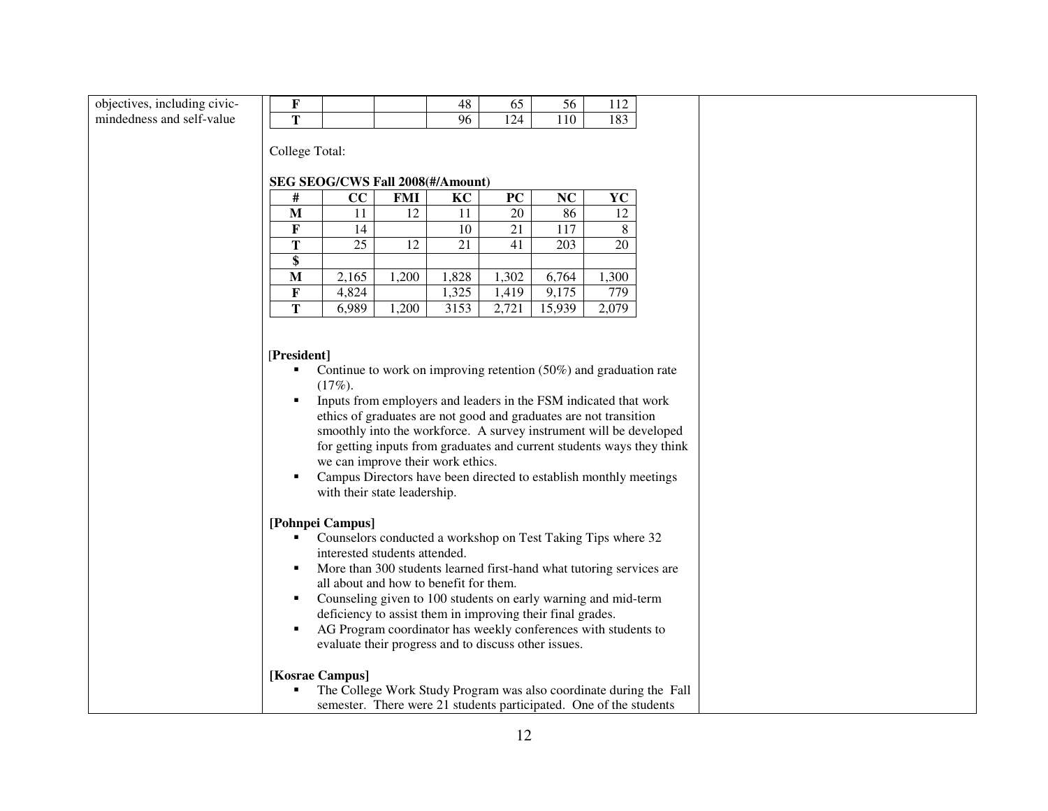| objectives, including civic- | F                                                  |           |                                                                                                                                                                                                                                                                                                                                                                                                                                                                                               | 48    | 65    | 56     | 112       |                                                                        |  |  |  |
|------------------------------|----------------------------------------------------|-----------|-----------------------------------------------------------------------------------------------------------------------------------------------------------------------------------------------------------------------------------------------------------------------------------------------------------------------------------------------------------------------------------------------------------------------------------------------------------------------------------------------|-------|-------|--------|-----------|------------------------------------------------------------------------|--|--|--|
| mindedness and self-value    | T                                                  |           |                                                                                                                                                                                                                                                                                                                                                                                                                                                                                               | 96    | 124   | 110    | 183       |                                                                        |  |  |  |
|                              | College Total:<br>SEG SEOG/CWS Fall 2008(#/Amount) |           |                                                                                                                                                                                                                                                                                                                                                                                                                                                                                               |       |       |        |           |                                                                        |  |  |  |
|                              | #                                                  | CC        | <b>FMI</b>                                                                                                                                                                                                                                                                                                                                                                                                                                                                                    | KC    | PC    | NC     | <b>YC</b> |                                                                        |  |  |  |
|                              | M                                                  | 11        | 12                                                                                                                                                                                                                                                                                                                                                                                                                                                                                            | 11    | 20    | 86     | 12        |                                                                        |  |  |  |
|                              | F                                                  | 14        |                                                                                                                                                                                                                                                                                                                                                                                                                                                                                               | 10    | 21    | 117    | 8         |                                                                        |  |  |  |
|                              | T                                                  | 25        | 12                                                                                                                                                                                                                                                                                                                                                                                                                                                                                            | 21    | 41    | 203    | 20        |                                                                        |  |  |  |
|                              | \$                                                 |           |                                                                                                                                                                                                                                                                                                                                                                                                                                                                                               |       |       |        |           |                                                                        |  |  |  |
|                              | M                                                  | 2,165     | 1,200                                                                                                                                                                                                                                                                                                                                                                                                                                                                                         | 1,828 | 1,302 | 6,764  | 1,300     |                                                                        |  |  |  |
|                              | $\mathbf F$                                        | 4,824     |                                                                                                                                                                                                                                                                                                                                                                                                                                                                                               | 1,325 | 1,419 | 9,175  | 779       |                                                                        |  |  |  |
|                              | T                                                  | 6,989     | 1,200                                                                                                                                                                                                                                                                                                                                                                                                                                                                                         | 3153  | 2,721 | 15,939 | 2,079     |                                                                        |  |  |  |
|                              | [President]<br>٠<br>٠<br>٠<br>[Pohnpei Campus]     | $(17\%).$ | Continue to work on improving retention $(50\%)$ and graduation rate<br>Inputs from employers and leaders in the FSM indicated that work<br>ethics of graduates are not good and graduates are not transition<br>smoothly into the workforce. A survey instrument will be developed<br>we can improve their work ethics.<br>Campus Directors have been directed to establish monthly meetings<br>with their state leadership.<br>Counselors conducted a workshop on Test Taking Tips where 32 |       |       |        |           | for getting inputs from graduates and current students ways they think |  |  |  |
|                              | ٠<br>٠<br>٠<br>[Kosrae Campus]                     |           | interested students attended.<br>More than 300 students learned first-hand what tutoring services are<br>all about and how to benefit for them.<br>Counseling given to 100 students on early warning and mid-term<br>deficiency to assist them in improving their final grades.<br>AG Program coordinator has weekly conferences with students to<br>evaluate their progress and to discuss other issues.                                                                                     |       |       |        |           | The College Work Study Program was also coordinate during the Fall     |  |  |  |
|                              |                                                    |           | semester. There were 21 students participated. One of the students                                                                                                                                                                                                                                                                                                                                                                                                                            |       |       |        |           |                                                                        |  |  |  |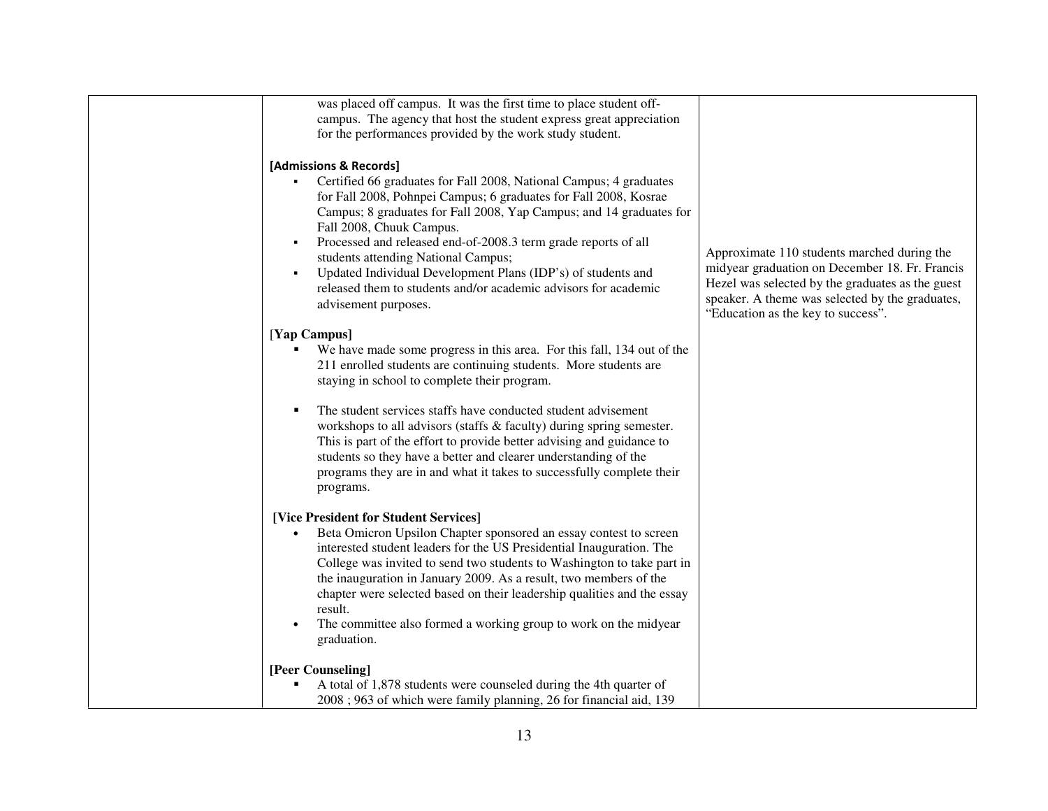| was placed off campus. It was the first time to place student off-      |                                                  |
|-------------------------------------------------------------------------|--------------------------------------------------|
| campus. The agency that host the student express great appreciation     |                                                  |
| for the performances provided by the work study student.                |                                                  |
|                                                                         |                                                  |
| [Admissions & Records]                                                  |                                                  |
| Certified 66 graduates for Fall 2008, National Campus; 4 graduates      |                                                  |
| for Fall 2008, Pohnpei Campus; 6 graduates for Fall 2008, Kosrae        |                                                  |
| Campus; 8 graduates for Fall 2008, Yap Campus; and 14 graduates for     |                                                  |
| Fall 2008, Chuuk Campus.                                                |                                                  |
| Processed and released end-of-2008.3 term grade reports of all          |                                                  |
| students attending National Campus;                                     | Approximate 110 students marched during the      |
| Updated Individual Development Plans (IDP's) of students and            | midyear graduation on December 18. Fr. Francis   |
| released them to students and/or academic advisors for academic         | Hezel was selected by the graduates as the guest |
| advisement purposes.                                                    | speaker. A theme was selected by the graduates,  |
|                                                                         | "Education as the key to success".               |
| [Yap Campus]                                                            |                                                  |
| We have made some progress in this area. For this fall, 134 out of the  |                                                  |
| 211 enrolled students are continuing students. More students are        |                                                  |
| staying in school to complete their program.                            |                                                  |
|                                                                         |                                                  |
| The student services staffs have conducted student advisement           |                                                  |
| workshops to all advisors (staffs & faculty) during spring semester.    |                                                  |
| This is part of the effort to provide better advising and guidance to   |                                                  |
| students so they have a better and clearer understanding of the         |                                                  |
| programs they are in and what it takes to successfully complete their   |                                                  |
| programs.                                                               |                                                  |
|                                                                         |                                                  |
| [Vice President for Student Services]                                   |                                                  |
| Beta Omicron Upsilon Chapter sponsored an essay contest to screen       |                                                  |
| interested student leaders for the US Presidential Inauguration. The    |                                                  |
| College was invited to send two students to Washington to take part in  |                                                  |
| the inauguration in January 2009. As a result, two members of the       |                                                  |
| chapter were selected based on their leadership qualities and the essay |                                                  |
| result.                                                                 |                                                  |
| The committee also formed a working group to work on the midyear        |                                                  |
| graduation.                                                             |                                                  |
|                                                                         |                                                  |
| [Peer Counseling]                                                       |                                                  |
| A total of 1,878 students were counseled during the 4th quarter of      |                                                  |
| 2008; 963 of which were family planning, 26 for financial aid, 139      |                                                  |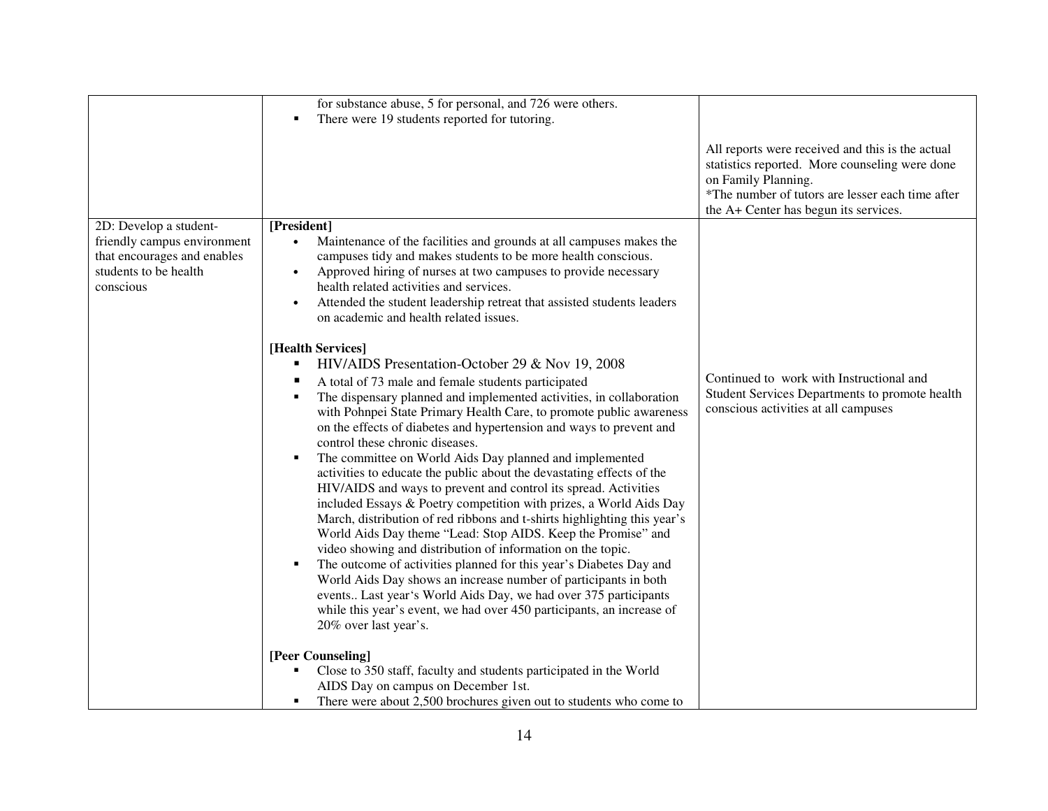|                                                                                                  | for substance abuse, 5 for personal, and 726 were others.                                                                                                                                                                                                                                                                                                                                                                                                                                                                                                                                                                                                                                                                                                                                                                                                                                                                                                                                                                                                                                                                                                                                                     |                                                                                                                                                                                                                        |
|--------------------------------------------------------------------------------------------------|---------------------------------------------------------------------------------------------------------------------------------------------------------------------------------------------------------------------------------------------------------------------------------------------------------------------------------------------------------------------------------------------------------------------------------------------------------------------------------------------------------------------------------------------------------------------------------------------------------------------------------------------------------------------------------------------------------------------------------------------------------------------------------------------------------------------------------------------------------------------------------------------------------------------------------------------------------------------------------------------------------------------------------------------------------------------------------------------------------------------------------------------------------------------------------------------------------------|------------------------------------------------------------------------------------------------------------------------------------------------------------------------------------------------------------------------|
|                                                                                                  | There were 19 students reported for tutoring.<br>п                                                                                                                                                                                                                                                                                                                                                                                                                                                                                                                                                                                                                                                                                                                                                                                                                                                                                                                                                                                                                                                                                                                                                            |                                                                                                                                                                                                                        |
|                                                                                                  |                                                                                                                                                                                                                                                                                                                                                                                                                                                                                                                                                                                                                                                                                                                                                                                                                                                                                                                                                                                                                                                                                                                                                                                                               | All reports were received and this is the actual<br>statistics reported. More counseling were done<br>on Family Planning.<br>*The number of tutors are lesser each time after<br>the A+ Center has begun its services. |
| 2D: Develop a student-                                                                           | [President]                                                                                                                                                                                                                                                                                                                                                                                                                                                                                                                                                                                                                                                                                                                                                                                                                                                                                                                                                                                                                                                                                                                                                                                                   |                                                                                                                                                                                                                        |
| friendly campus environment<br>that encourages and enables<br>students to be health<br>conscious | Maintenance of the facilities and grounds at all campuses makes the<br>campuses tidy and makes students to be more health conscious.<br>Approved hiring of nurses at two campuses to provide necessary<br>$\bullet$<br>health related activities and services.<br>Attended the student leadership retreat that assisted students leaders<br>$\bullet$<br>on academic and health related issues.                                                                                                                                                                                                                                                                                                                                                                                                                                                                                                                                                                                                                                                                                                                                                                                                               |                                                                                                                                                                                                                        |
|                                                                                                  |                                                                                                                                                                                                                                                                                                                                                                                                                                                                                                                                                                                                                                                                                                                                                                                                                                                                                                                                                                                                                                                                                                                                                                                                               |                                                                                                                                                                                                                        |
|                                                                                                  | [Health Services]<br>HIV/AIDS Presentation-October 29 & Nov 19, 2008<br>п<br>A total of 73 male and female students participated<br>The dispensary planned and implemented activities, in collaboration<br>П<br>with Pohnpei State Primary Health Care, to promote public awareness<br>on the effects of diabetes and hypertension and ways to prevent and<br>control these chronic diseases.<br>The committee on World Aids Day planned and implemented<br>Е<br>activities to educate the public about the devastating effects of the<br>HIV/AIDS and ways to prevent and control its spread. Activities<br>included Essays & Poetry competition with prizes, a World Aids Day<br>March, distribution of red ribbons and t-shirts highlighting this year's<br>World Aids Day theme "Lead: Stop AIDS. Keep the Promise" and<br>video showing and distribution of information on the topic.<br>The outcome of activities planned for this year's Diabetes Day and<br>٠<br>World Aids Day shows an increase number of participants in both<br>events Last year's World Aids Day, we had over 375 participants<br>while this year's event, we had over 450 participants, an increase of<br>20% over last year's. | Continued to work with Instructional and<br>Student Services Departments to promote health<br>conscious activities at all campuses                                                                                     |
|                                                                                                  | [Peer Counseling]                                                                                                                                                                                                                                                                                                                                                                                                                                                                                                                                                                                                                                                                                                                                                                                                                                                                                                                                                                                                                                                                                                                                                                                             |                                                                                                                                                                                                                        |
|                                                                                                  | Close to 350 staff, faculty and students participated in the World<br>AIDS Day on campus on December 1st.<br>There were about 2,500 brochures given out to students who come to<br>٠                                                                                                                                                                                                                                                                                                                                                                                                                                                                                                                                                                                                                                                                                                                                                                                                                                                                                                                                                                                                                          |                                                                                                                                                                                                                        |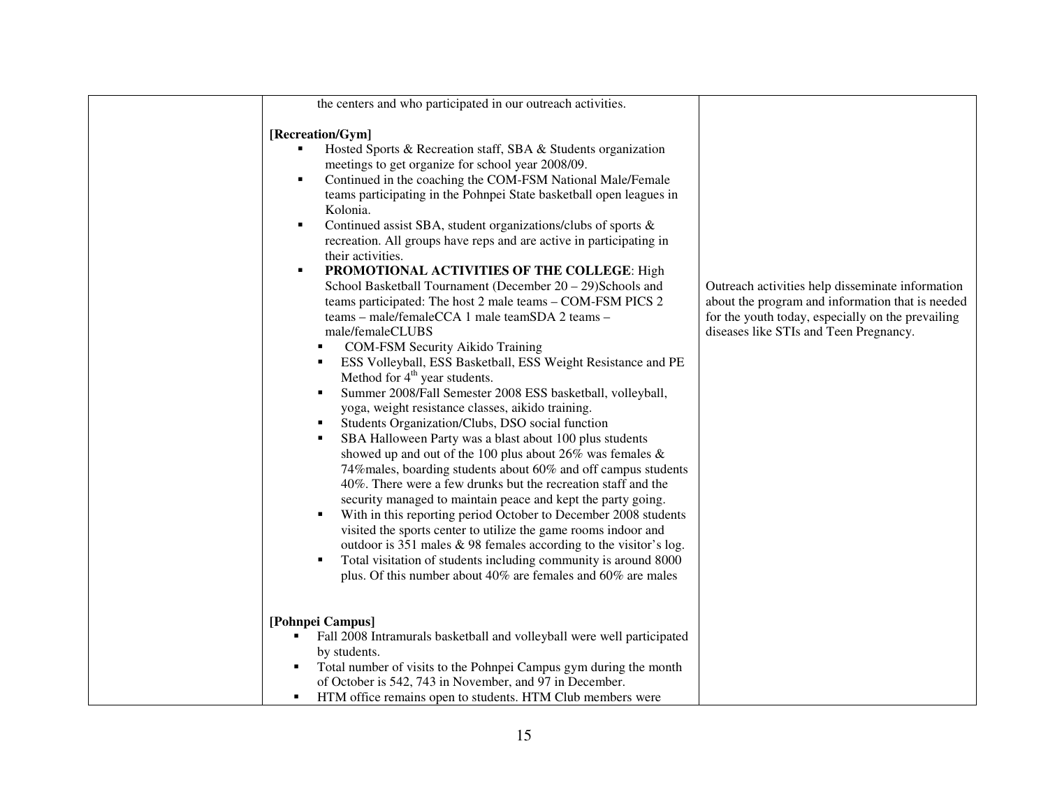| the centers and who participated in our outreach activities.                                                                                                                                                                                                                                                                                                                                                                                                                                                                                                                                                                                                                                                                                                                                                                                                                                                                                                                                                                                                                                                                                                                                                                                                                                                                                                                                                                                                                                                                                                                                                                                                                                                                                                                                        |                                                                                                                                                                                                     |
|-----------------------------------------------------------------------------------------------------------------------------------------------------------------------------------------------------------------------------------------------------------------------------------------------------------------------------------------------------------------------------------------------------------------------------------------------------------------------------------------------------------------------------------------------------------------------------------------------------------------------------------------------------------------------------------------------------------------------------------------------------------------------------------------------------------------------------------------------------------------------------------------------------------------------------------------------------------------------------------------------------------------------------------------------------------------------------------------------------------------------------------------------------------------------------------------------------------------------------------------------------------------------------------------------------------------------------------------------------------------------------------------------------------------------------------------------------------------------------------------------------------------------------------------------------------------------------------------------------------------------------------------------------------------------------------------------------------------------------------------------------------------------------------------------------|-----------------------------------------------------------------------------------------------------------------------------------------------------------------------------------------------------|
| [Recreation/Gym]<br>Hosted Sports & Recreation staff, SBA & Students organization<br>meetings to get organize for school year 2008/09.<br>Continued in the coaching the COM-FSM National Male/Female<br>$\blacksquare$<br>teams participating in the Pohnpei State basketball open leagues in<br>Kolonia.<br>Continued assist SBA, student organizations/clubs of sports &<br>$\blacksquare$<br>recreation. All groups have reps and are active in participating in<br>their activities.<br>PROMOTIONAL ACTIVITIES OF THE COLLEGE: High<br>٠<br>School Basketball Tournament (December $20 - 29$ )Schools and<br>teams participated: The host 2 male teams - COM-FSM PICS 2<br>teams - male/femaleCCA 1 male teamSDA 2 teams -<br>male/femaleCLUBS<br>COM-FSM Security Aikido Training<br>ESS Volleyball, ESS Basketball, ESS Weight Resistance and PE<br>٠<br>Method for 4 <sup>th</sup> year students.<br>Summer 2008/Fall Semester 2008 ESS basketball, volleyball,<br>$\blacksquare$<br>yoga, weight resistance classes, aikido training.<br>Students Organization/Clubs, DSO social function<br>٠<br>SBA Halloween Party was a blast about 100 plus students<br>٠<br>showed up and out of the 100 plus about 26% was females $\&$<br>74% males, boarding students about 60% and off campus students<br>40%. There were a few drunks but the recreation staff and the<br>security managed to maintain peace and kept the party going.<br>With in this reporting period October to December 2008 students<br>٠<br>visited the sports center to utilize the game rooms indoor and<br>outdoor is 351 males $\&$ 98 females according to the visitor's log.<br>Total visitation of students including community is around 8000<br>٠<br>plus. Of this number about 40% are females and 60% are males | Outreach activities help disseminate information<br>about the program and information that is needed<br>for the youth today, especially on the prevailing<br>diseases like STIs and Teen Pregnancy. |
| [Pohnpei Campus]<br>Fall 2008 Intramurals basketball and volleyball were well participated<br>٠                                                                                                                                                                                                                                                                                                                                                                                                                                                                                                                                                                                                                                                                                                                                                                                                                                                                                                                                                                                                                                                                                                                                                                                                                                                                                                                                                                                                                                                                                                                                                                                                                                                                                                     |                                                                                                                                                                                                     |
| by students.                                                                                                                                                                                                                                                                                                                                                                                                                                                                                                                                                                                                                                                                                                                                                                                                                                                                                                                                                                                                                                                                                                                                                                                                                                                                                                                                                                                                                                                                                                                                                                                                                                                                                                                                                                                        |                                                                                                                                                                                                     |
| Total number of visits to the Pohnpei Campus gym during the month<br>٠                                                                                                                                                                                                                                                                                                                                                                                                                                                                                                                                                                                                                                                                                                                                                                                                                                                                                                                                                                                                                                                                                                                                                                                                                                                                                                                                                                                                                                                                                                                                                                                                                                                                                                                              |                                                                                                                                                                                                     |
| of October is 542, 743 in November, and 97 in December.<br>HTM office remains open to students. HTM Club members were<br>٠                                                                                                                                                                                                                                                                                                                                                                                                                                                                                                                                                                                                                                                                                                                                                                                                                                                                                                                                                                                                                                                                                                                                                                                                                                                                                                                                                                                                                                                                                                                                                                                                                                                                          |                                                                                                                                                                                                     |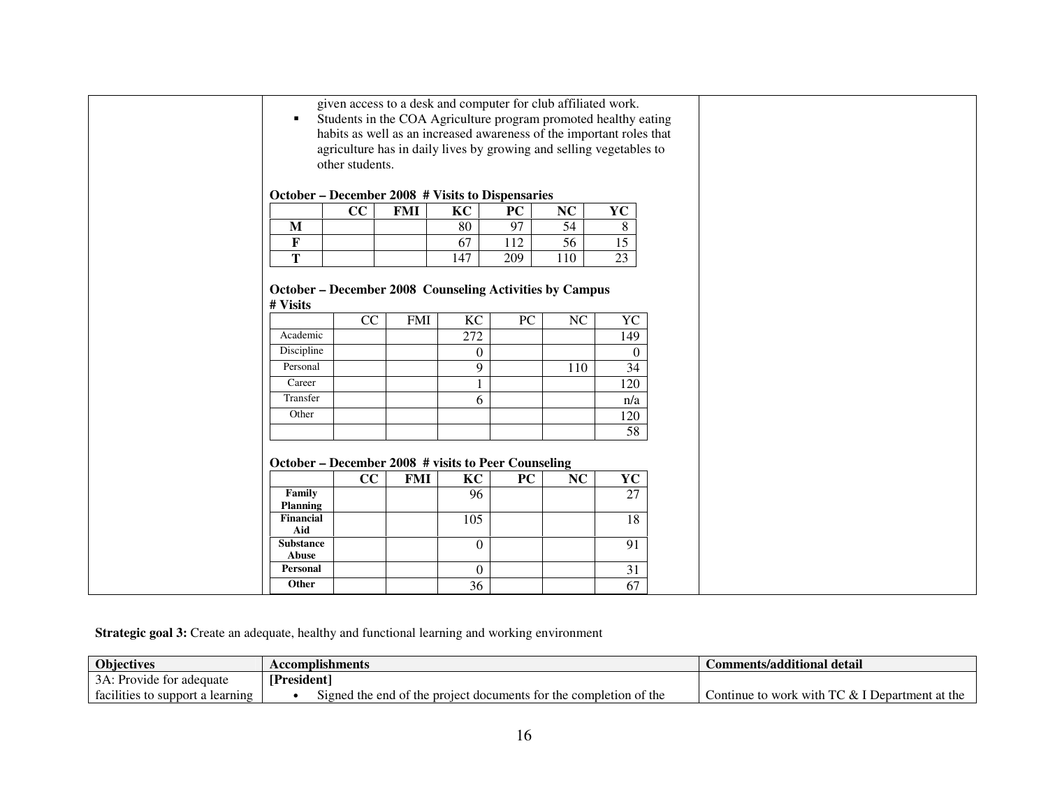| given access to a desk and computer for club affiliated work.<br>Students in the COA Agriculture program promoted healthy eating<br>٠<br>habits as well as an increased awareness of the important roles that<br>agriculture has in daily lives by growing and selling vegetables to<br>other students.<br>October – December 2008 # Visits to Dispensaries |                 |            |                        |                 |                 |                        |  |  |  |  |
|-------------------------------------------------------------------------------------------------------------------------------------------------------------------------------------------------------------------------------------------------------------------------------------------------------------------------------------------------------------|-----------------|------------|------------------------|-----------------|-----------------|------------------------|--|--|--|--|
|                                                                                                                                                                                                                                                                                                                                                             | CC              | <b>FMI</b> | $\overline{KC}$        | PC              | NC              | YC                     |  |  |  |  |
| M                                                                                                                                                                                                                                                                                                                                                           |                 |            | 80                     | 97              | 54              | 8                      |  |  |  |  |
| $\mathbf F$                                                                                                                                                                                                                                                                                                                                                 |                 |            | 67                     | 112             | 56              | $\overline{15}$        |  |  |  |  |
| T                                                                                                                                                                                                                                                                                                                                                           |                 |            | 147                    | 209             | 110             | 23                     |  |  |  |  |
| Academic                                                                                                                                                                                                                                                                                                                                                    | $\overline{CC}$ | <b>FMI</b> | $\overline{KC}$<br>272 | $\overline{PC}$ | $\overline{NC}$ | $\overline{YC}$<br>149 |  |  |  |  |
|                                                                                                                                                                                                                                                                                                                                                             |                 |            |                        |                 |                 |                        |  |  |  |  |
| Discipline                                                                                                                                                                                                                                                                                                                                                  |                 |            | $\boldsymbol{0}$       |                 |                 | $\Omega$               |  |  |  |  |
| Personal                                                                                                                                                                                                                                                                                                                                                    |                 |            | 9                      |                 | 110             | $\overline{34}$        |  |  |  |  |
| Career                                                                                                                                                                                                                                                                                                                                                      |                 |            |                        |                 |                 | 120                    |  |  |  |  |
| Transfer                                                                                                                                                                                                                                                                                                                                                    |                 |            | 6                      |                 |                 | n/a                    |  |  |  |  |
| Other                                                                                                                                                                                                                                                                                                                                                       |                 |            |                        |                 |                 | 120                    |  |  |  |  |
|                                                                                                                                                                                                                                                                                                                                                             |                 |            |                        |                 |                 | $\overline{58}$        |  |  |  |  |
| October – December 2008 # visits to Peer Counseling                                                                                                                                                                                                                                                                                                         |                 |            |                        |                 |                 |                        |  |  |  |  |
|                                                                                                                                                                                                                                                                                                                                                             | CC              | <b>FMI</b> | KC                     | PC              | NC              | YC                     |  |  |  |  |
| Family                                                                                                                                                                                                                                                                                                                                                      |                 |            | 96                     |                 |                 | 27                     |  |  |  |  |
| <b>Planning</b>                                                                                                                                                                                                                                                                                                                                             |                 |            |                        |                 |                 |                        |  |  |  |  |
| <b>Financial</b><br>Aid                                                                                                                                                                                                                                                                                                                                     |                 |            | 105                    |                 |                 | 18                     |  |  |  |  |
| <b>Substance</b><br>Abuse                                                                                                                                                                                                                                                                                                                                   |                 |            | $\Omega$               |                 |                 | 91                     |  |  |  |  |
| Personal                                                                                                                                                                                                                                                                                                                                                    |                 |            | $\boldsymbol{0}$       |                 |                 | 31                     |  |  |  |  |

**Strategic goal 3:** Create an adequate, healthy and functional learning and working environment

| Objectives                                 | Accomplishments                                                   | Comments/additional detail                                         |
|--------------------------------------------|-------------------------------------------------------------------|--------------------------------------------------------------------|
| $3\Delta$ .<br>: Provide for adequate      | <b>President</b>                                                  |                                                                    |
| facilities to support<br>. learning<br>. а | Signed the end of the project documents for the completion of the | $T^{\prime}$<br>' & I Department at the<br>Continue to work with ' |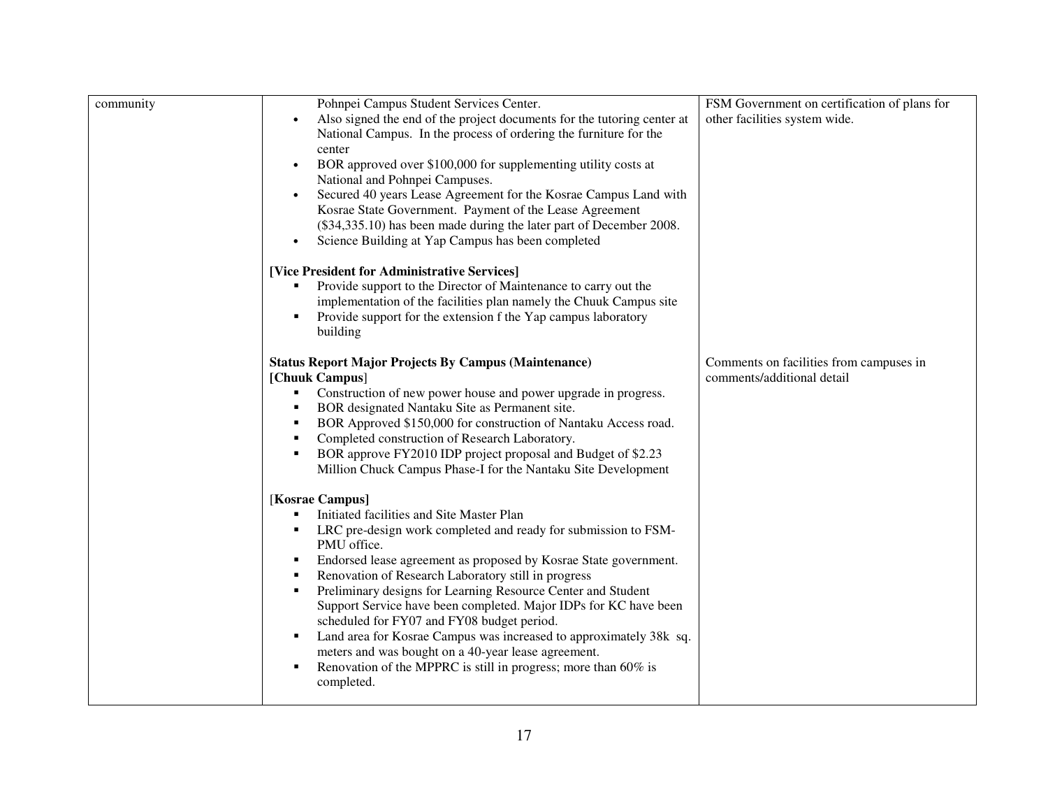| community | Pohnpei Campus Student Services Center.<br>Also signed the end of the project documents for the tutoring center at<br>National Campus. In the process of ordering the furniture for the<br>center<br>BOR approved over \$100,000 for supplementing utility costs at<br>National and Pohnpei Campuses.<br>Secured 40 years Lease Agreement for the Kosrae Campus Land with<br>$\bullet$<br>Kosrae State Government. Payment of the Lease Agreement<br>(\$34,335.10) has been made during the later part of December 2008.<br>Science Building at Yap Campus has been completed<br>$\bullet$                                                                                                               | FSM Government on certification of plans for<br>other facilities system wide. |
|-----------|----------------------------------------------------------------------------------------------------------------------------------------------------------------------------------------------------------------------------------------------------------------------------------------------------------------------------------------------------------------------------------------------------------------------------------------------------------------------------------------------------------------------------------------------------------------------------------------------------------------------------------------------------------------------------------------------------------|-------------------------------------------------------------------------------|
|           | [Vice President for Administrative Services]<br>Provide support to the Director of Maintenance to carry out the<br>implementation of the facilities plan namely the Chuuk Campus site<br>Provide support for the extension f the Yap campus laboratory<br>building                                                                                                                                                                                                                                                                                                                                                                                                                                       |                                                                               |
|           | <b>Status Report Major Projects By Campus (Maintenance)</b><br>[Chuuk Campus]<br>Construction of new power house and power upgrade in progress.<br>٠<br>BOR designated Nantaku Site as Permanent site.<br>٠<br>BOR Approved \$150,000 for construction of Nantaku Access road.<br>٠<br>Completed construction of Research Laboratory.<br>٠<br>BOR approve FY2010 IDP project proposal and Budget of \$2.23<br>Million Chuck Campus Phase-I for the Nantaku Site Development                                                                                                                                                                                                                              | Comments on facilities from campuses in<br>comments/additional detail         |
|           | [Kosrae Campus]<br>Initiated facilities and Site Master Plan<br>٠<br>LRC pre-design work completed and ready for submission to FSM-<br>٠<br>PMU office.<br>Endorsed lease agreement as proposed by Kosrae State government.<br>٠<br>Renovation of Research Laboratory still in progress<br>٠<br>Preliminary designs for Learning Resource Center and Student<br>٠<br>Support Service have been completed. Major IDPs for KC have been<br>scheduled for FY07 and FY08 budget period.<br>Land area for Kosrae Campus was increased to approximately 38k sq.<br>meters and was bought on a 40-year lease agreement.<br>Renovation of the MPPRC is still in progress; more than $60\%$ is<br>٠<br>completed. |                                                                               |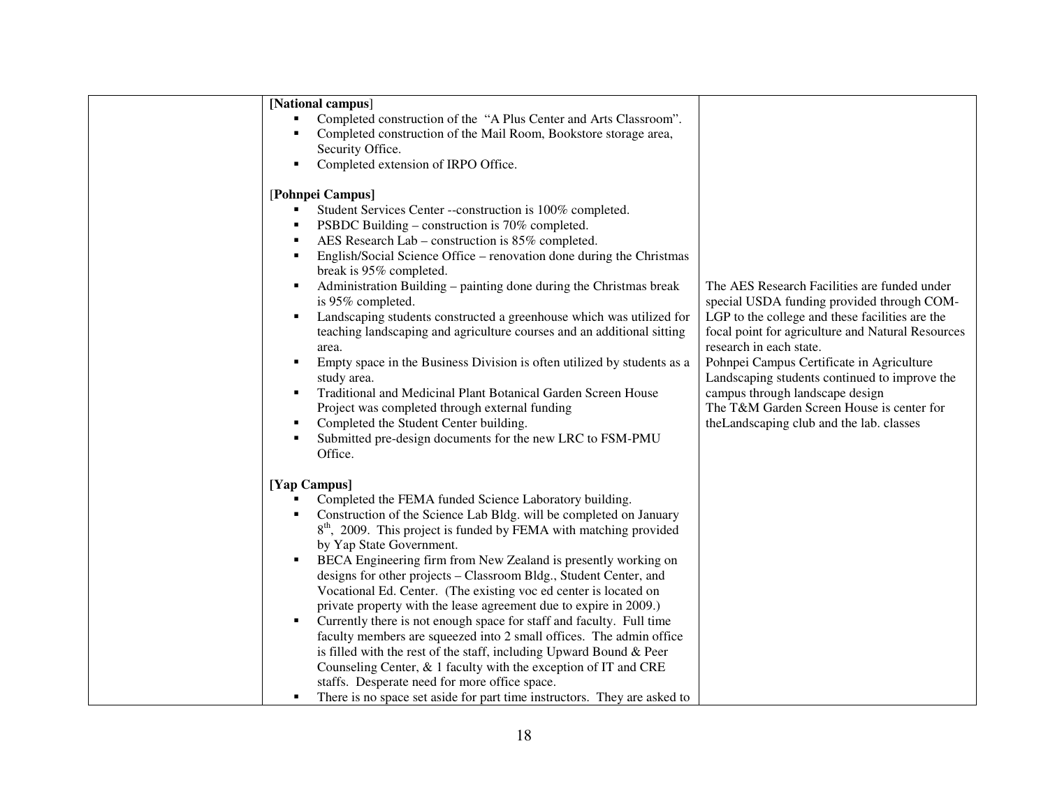| [National campus]                                                                                                                                                                     |                                                                                                                                                                                                                                                                                                                                                                                                                                                                                                                                                                                                                                                                                                                                                                                                                                                          |                                                                                                                                                                                                                                                                                                                                                                                                                                                          |
|---------------------------------------------------------------------------------------------------------------------------------------------------------------------------------------|----------------------------------------------------------------------------------------------------------------------------------------------------------------------------------------------------------------------------------------------------------------------------------------------------------------------------------------------------------------------------------------------------------------------------------------------------------------------------------------------------------------------------------------------------------------------------------------------------------------------------------------------------------------------------------------------------------------------------------------------------------------------------------------------------------------------------------------------------------|----------------------------------------------------------------------------------------------------------------------------------------------------------------------------------------------------------------------------------------------------------------------------------------------------------------------------------------------------------------------------------------------------------------------------------------------------------|
| Security Office.<br>Completed extension of IRPO Office.<br>٠                                                                                                                          | Completed construction of the "A Plus Center and Arts Classroom".<br>Completed construction of the Mail Room, Bookstore storage area,                                                                                                                                                                                                                                                                                                                                                                                                                                                                                                                                                                                                                                                                                                                    |                                                                                                                                                                                                                                                                                                                                                                                                                                                          |
| [Pohnpei Campus]<br>٠<br>٠<br>٠<br>break is 95% completed.<br>٠<br>is 95% completed.<br>٠<br>area.<br>٠<br>study area.<br>٠<br>Completed the Student Center building.<br>٠<br>Office. | Student Services Center --construction is 100% completed.<br>PSBDC Building – construction is 70% completed.<br>AES Research Lab – construction is 85% completed.<br>English/Social Science Office – renovation done during the Christmas<br>Administration Building – painting done during the Christmas break<br>Landscaping students constructed a greenhouse which was utilized for<br>teaching landscaping and agriculture courses and an additional sitting<br>Empty space in the Business Division is often utilized by students as a<br>Traditional and Medicinal Plant Botanical Garden Screen House<br>Project was completed through external funding<br>Submitted pre-design documents for the new LRC to FSM-PMU                                                                                                                             | The AES Research Facilities are funded under<br>special USDA funding provided through COM-<br>LGP to the college and these facilities are the<br>focal point for agriculture and Natural Resources<br>research in each state.<br>Pohnpei Campus Certificate in Agriculture<br>Landscaping students continued to improve the<br>campus through landscape design<br>The T&M Garden Screen House is center for<br>the Landscaping club and the lab. classes |
| [Yap Campus]<br>by Yap State Government.<br>٠<br>staffs. Desperate need for more office space.<br>٠                                                                                   | Completed the FEMA funded Science Laboratory building.<br>Construction of the Science Lab Bldg. will be completed on January<br>$8th$ , 2009. This project is funded by FEMA with matching provided<br>BECA Engineering firm from New Zealand is presently working on<br>designs for other projects - Classroom Bldg., Student Center, and<br>Vocational Ed. Center. (The existing voc ed center is located on<br>private property with the lease agreement due to expire in 2009.)<br>Currently there is not enough space for staff and faculty. Full time<br>faculty members are squeezed into 2 small offices. The admin office<br>is filled with the rest of the staff, including Upward Bound & Peer<br>Counseling Center, & 1 faculty with the exception of IT and CRE<br>There is no space set aside for part time instructors. They are asked to |                                                                                                                                                                                                                                                                                                                                                                                                                                                          |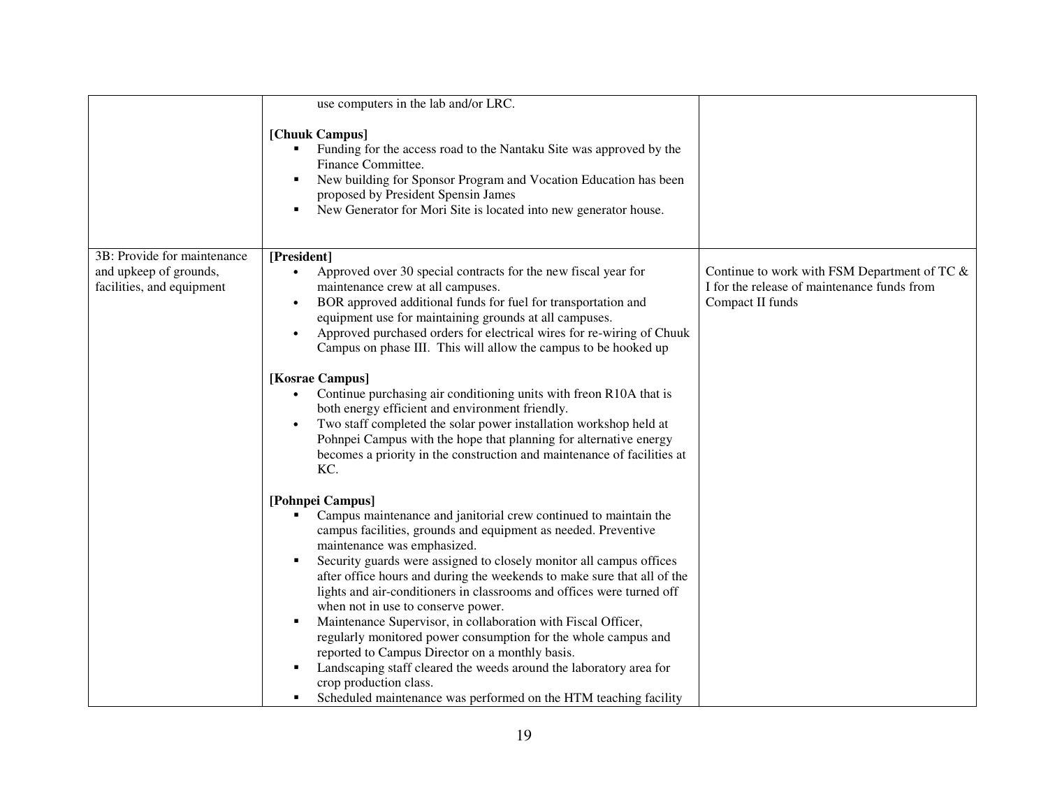|                                                     | use computers in the lab and/or LRC.                                                                                                                                                                                                                                                                                                                                                                                                                                                                                                                                                                                                                                                                                                                                                              |                                                                                                                 |
|-----------------------------------------------------|---------------------------------------------------------------------------------------------------------------------------------------------------------------------------------------------------------------------------------------------------------------------------------------------------------------------------------------------------------------------------------------------------------------------------------------------------------------------------------------------------------------------------------------------------------------------------------------------------------------------------------------------------------------------------------------------------------------------------------------------------------------------------------------------------|-----------------------------------------------------------------------------------------------------------------|
|                                                     | [Chuuk Campus]<br>Funding for the access road to the Nantaku Site was approved by the<br>Finance Committee.<br>New building for Sponsor Program and Vocation Education has been<br>proposed by President Spensin James<br>New Generator for Mori Site is located into new generator house.<br>٠                                                                                                                                                                                                                                                                                                                                                                                                                                                                                                   |                                                                                                                 |
| 3B: Provide for maintenance                         | [President]                                                                                                                                                                                                                                                                                                                                                                                                                                                                                                                                                                                                                                                                                                                                                                                       |                                                                                                                 |
| and upkeep of grounds,<br>facilities, and equipment | Approved over 30 special contracts for the new fiscal year for<br>$\bullet$<br>maintenance crew at all campuses.<br>BOR approved additional funds for fuel for transportation and<br>$\bullet$<br>equipment use for maintaining grounds at all campuses.<br>Approved purchased orders for electrical wires for re-wiring of Chuuk<br>$\bullet$<br>Campus on phase III. This will allow the campus to be hooked up                                                                                                                                                                                                                                                                                                                                                                                 | Continue to work with FSM Department of TC &<br>I for the release of maintenance funds from<br>Compact II funds |
|                                                     | [Kosrae Campus]                                                                                                                                                                                                                                                                                                                                                                                                                                                                                                                                                                                                                                                                                                                                                                                   |                                                                                                                 |
|                                                     | Continue purchasing air conditioning units with freon R10A that is<br>both energy efficient and environment friendly.<br>Two staff completed the solar power installation workshop held at<br>$\bullet$<br>Pohnpei Campus with the hope that planning for alternative energy<br>becomes a priority in the construction and maintenance of facilities at<br>KC.                                                                                                                                                                                                                                                                                                                                                                                                                                    |                                                                                                                 |
|                                                     | [Pohnpei Campus]                                                                                                                                                                                                                                                                                                                                                                                                                                                                                                                                                                                                                                                                                                                                                                                  |                                                                                                                 |
|                                                     | Campus maintenance and janitorial crew continued to maintain the<br>campus facilities, grounds and equipment as needed. Preventive<br>maintenance was emphasized.<br>Security guards were assigned to closely monitor all campus offices<br>after office hours and during the weekends to make sure that all of the<br>lights and air-conditioners in classrooms and offices were turned off<br>when not in use to conserve power.<br>Maintenance Supervisor, in collaboration with Fiscal Officer,<br>٠<br>regularly monitored power consumption for the whole campus and<br>reported to Campus Director on a monthly basis.<br>Landscaping staff cleared the weeds around the laboratory area for<br>crop production class.<br>Scheduled maintenance was performed on the HTM teaching facility |                                                                                                                 |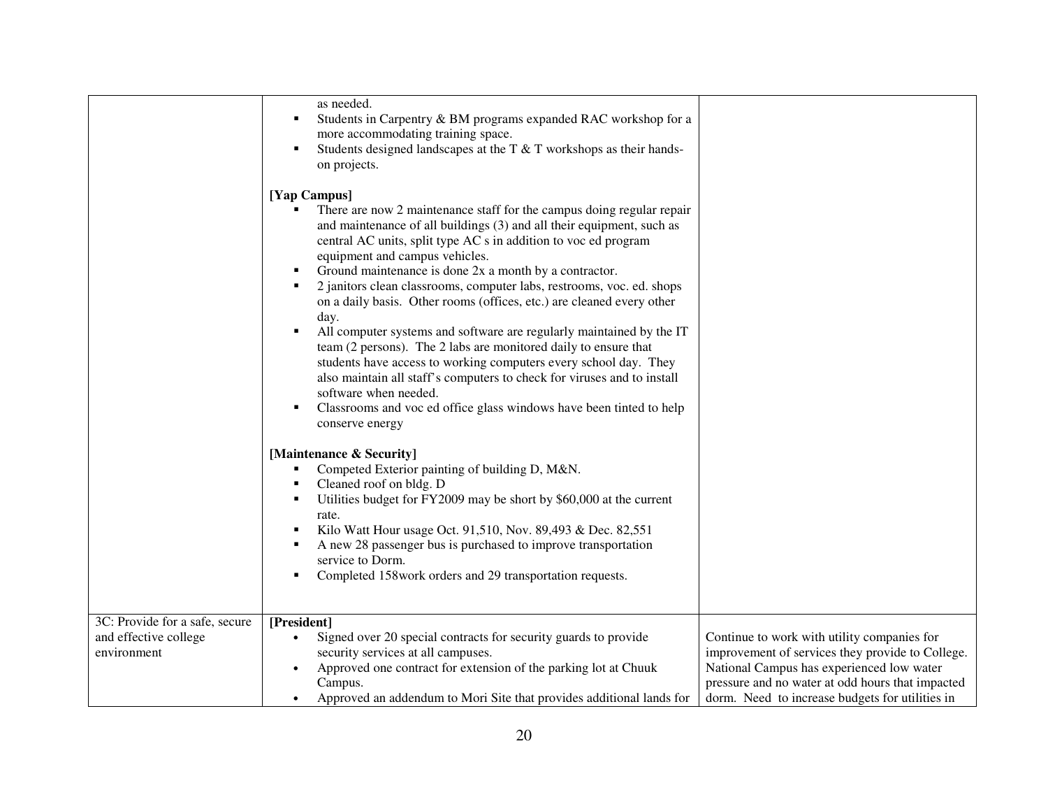|                                                                        | as needed.<br>Students in Carpentry & BM programs expanded RAC workshop for a<br>more accommodating training space.<br>Students designed landscapes at the T & T workshops as their hands-<br>on projects.                                                                                                                                                                                                                                                                                                                                                                                                                                                                                                                                                                                                                                                                                                |                                                                                                                                                                                                                                                     |
|------------------------------------------------------------------------|-----------------------------------------------------------------------------------------------------------------------------------------------------------------------------------------------------------------------------------------------------------------------------------------------------------------------------------------------------------------------------------------------------------------------------------------------------------------------------------------------------------------------------------------------------------------------------------------------------------------------------------------------------------------------------------------------------------------------------------------------------------------------------------------------------------------------------------------------------------------------------------------------------------|-----------------------------------------------------------------------------------------------------------------------------------------------------------------------------------------------------------------------------------------------------|
|                                                                        | [Yap Campus]<br>There are now 2 maintenance staff for the campus doing regular repair<br>and maintenance of all buildings (3) and all their equipment, such as<br>central AC units, split type AC s in addition to voc ed program<br>equipment and campus vehicles.<br>Ground maintenance is done 2x a month by a contractor.<br>2 janitors clean classrooms, computer labs, restrooms, voc. ed. shops<br>on a daily basis. Other rooms (offices, etc.) are cleaned every other<br>day.<br>All computer systems and software are regularly maintained by the IT<br>team (2 persons). The 2 labs are monitored daily to ensure that<br>students have access to working computers every school day. They<br>also maintain all staff's computers to check for viruses and to install<br>software when needed.<br>Classrooms and voc ed office glass windows have been tinted to help<br>л<br>conserve energy |                                                                                                                                                                                                                                                     |
|                                                                        | [Maintenance & Security]<br>Competed Exterior painting of building D, M&N.<br>Cleaned roof on bldg. D<br>Utilities budget for FY2009 may be short by \$60,000 at the current<br>rate.<br>Kilo Watt Hour usage Oct. 91,510, Nov. 89,493 & Dec. 82,551<br>A new 28 passenger bus is purchased to improve transportation<br>service to Dorm.<br>Completed 158work orders and 29 transportation requests.                                                                                                                                                                                                                                                                                                                                                                                                                                                                                                     |                                                                                                                                                                                                                                                     |
| 3C: Provide for a safe, secure<br>and effective college<br>environment | [President]<br>Signed over 20 special contracts for security guards to provide<br>security services at all campuses.<br>Approved one contract for extension of the parking lot at Chuuk<br>$\bullet$<br>Campus.<br>Approved an addendum to Mori Site that provides additional lands for                                                                                                                                                                                                                                                                                                                                                                                                                                                                                                                                                                                                                   | Continue to work with utility companies for<br>improvement of services they provide to College.<br>National Campus has experienced low water<br>pressure and no water at odd hours that impacted<br>dorm. Need to increase budgets for utilities in |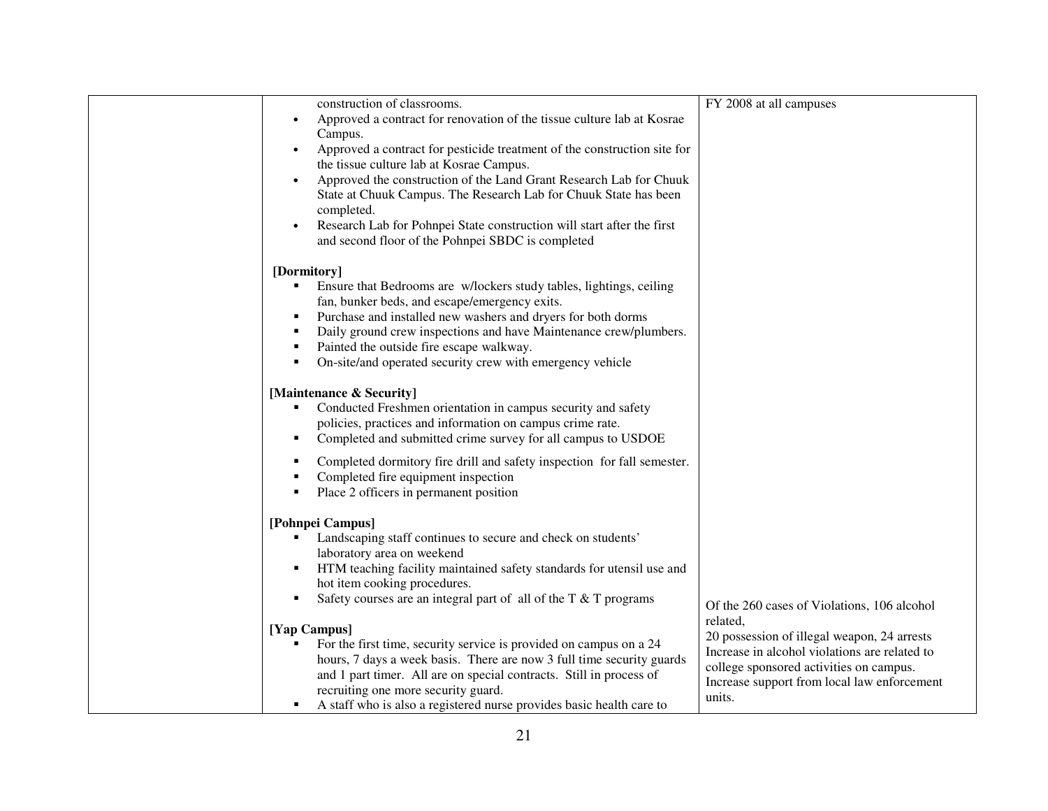| construction of classrooms.                                                        | FY 2008 at all campuses                       |
|------------------------------------------------------------------------------------|-----------------------------------------------|
| Approved a contract for renovation of the tissue culture lab at Kosrae             |                                               |
| Campus.                                                                            |                                               |
| Approved a contract for pesticide treatment of the construction site for           |                                               |
| the tissue culture lab at Kosrae Campus.                                           |                                               |
| Approved the construction of the Land Grant Research Lab for Chuuk<br>$\bullet$    |                                               |
|                                                                                    |                                               |
| State at Chuuk Campus. The Research Lab for Chuuk State has been                   |                                               |
| completed.                                                                         |                                               |
| Research Lab for Pohnpei State construction will start after the first             |                                               |
| and second floor of the Pohnpei SBDC is completed                                  |                                               |
|                                                                                    |                                               |
| [Dormitory]                                                                        |                                               |
| Ensure that Bedrooms are w/lockers study tables, lightings, ceiling<br>٠           |                                               |
| fan, bunker beds, and escape/emergency exits.                                      |                                               |
| Purchase and installed new washers and dryers for both dorms<br>٠                  |                                               |
| Daily ground crew inspections and have Maintenance crew/plumbers.<br>٠             |                                               |
| Painted the outside fire escape walkway.<br>٠                                      |                                               |
| On-site/and operated security crew with emergency vehicle<br>٠                     |                                               |
|                                                                                    |                                               |
| [Maintenance & Security]                                                           |                                               |
| Conducted Freshmen orientation in campus security and safety                       |                                               |
| policies, practices and information on campus crime rate.                          |                                               |
|                                                                                    |                                               |
| Completed and submitted crime survey for all campus to USDOE<br>٠                  |                                               |
| Completed dormitory fire drill and safety inspection for fall semester.<br>٠       |                                               |
| Completed fire equipment inspection                                                |                                               |
| Place 2 officers in permanent position                                             |                                               |
|                                                                                    |                                               |
| [Pohnpei Campus]                                                                   |                                               |
| Landscaping staff continues to secure and check on students'                       |                                               |
| laboratory area on weekend                                                         |                                               |
| HTM teaching facility maintained safety standards for utensil use and<br>٠         |                                               |
| hot item cooking procedures.                                                       |                                               |
| Safety courses are an integral part of all of the T & T programs<br>$\blacksquare$ |                                               |
|                                                                                    | Of the 260 cases of Violations, 106 alcohol   |
|                                                                                    | related,                                      |
| [Yap Campus]                                                                       | 20 possession of illegal weapon, 24 arrests   |
| For the first time, security service is provided on campus on a 24                 | Increase in alcohol violations are related to |
| hours, 7 days a week basis. There are now 3 full time security guards              | college sponsored activities on campus.       |
| and 1 part timer. All are on special contracts. Still in process of                | Increase support from local law enforcement   |
| recruiting one more security guard.                                                | units.                                        |
| A staff who is also a registered nurse provides basic health care to               |                                               |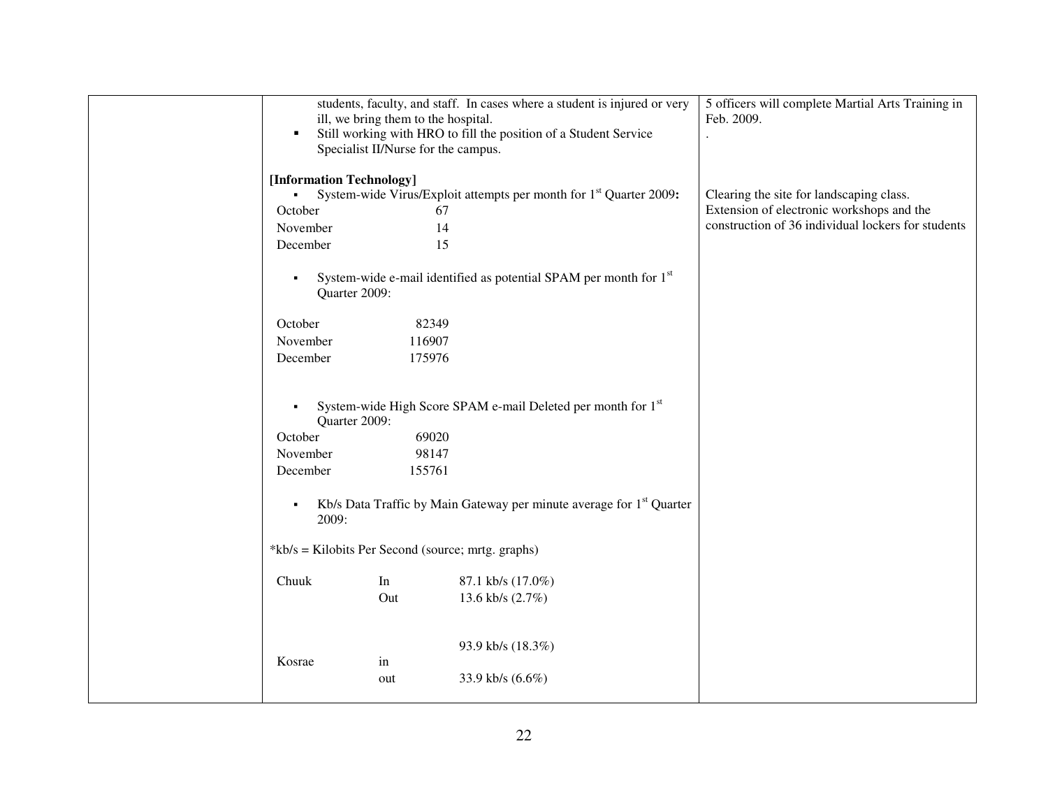|                                                    |                                                                  | students, faculty, and staff. In cases where a student is injured or very        | 5 officers will complete Martial Arts Training in  |
|----------------------------------------------------|------------------------------------------------------------------|----------------------------------------------------------------------------------|----------------------------------------------------|
|                                                    | ill, we bring them to the hospital.                              | Feb. 2009.                                                                       |                                                    |
| ٠                                                  | Still working with HRO to fill the position of a Student Service | $\cdot$                                                                          |                                                    |
|                                                    | Specialist II/Nurse for the campus.                              |                                                                                  |                                                    |
|                                                    |                                                                  |                                                                                  |                                                    |
| [Information Technology]                           |                                                                  |                                                                                  |                                                    |
| $\blacksquare$                                     |                                                                  | System-wide Virus/Exploit attempts per month for 1 <sup>st</sup> Quarter 2009:   | Clearing the site for landscaping class.           |
| October                                            | 67                                                               |                                                                                  | Extension of electronic workshops and the          |
| November                                           | 14                                                               |                                                                                  | construction of 36 individual lockers for students |
| December                                           | 15                                                               |                                                                                  |                                                    |
|                                                    |                                                                  |                                                                                  |                                                    |
| $\blacksquare$                                     |                                                                  | System-wide e-mail identified as potential SPAM per month for 1 <sup>st</sup>    |                                                    |
| Quarter 2009:                                      |                                                                  |                                                                                  |                                                    |
|                                                    |                                                                  |                                                                                  |                                                    |
| October                                            | 82349                                                            |                                                                                  |                                                    |
| November                                           | 116907                                                           |                                                                                  |                                                    |
| December                                           | 175976                                                           |                                                                                  |                                                    |
|                                                    |                                                                  |                                                                                  |                                                    |
|                                                    |                                                                  |                                                                                  |                                                    |
| $\blacksquare$                                     |                                                                  | System-wide High Score SPAM e-mail Deleted per month for 1 <sup>st</sup>         |                                                    |
| Quarter 2009:                                      |                                                                  |                                                                                  |                                                    |
| October                                            | 69020                                                            |                                                                                  |                                                    |
|                                                    |                                                                  |                                                                                  |                                                    |
| November                                           | 98147                                                            |                                                                                  |                                                    |
| December                                           | 155761                                                           |                                                                                  |                                                    |
|                                                    |                                                                  |                                                                                  |                                                    |
| $\blacksquare$                                     |                                                                  | Kb/s Data Traffic by Main Gateway per minute average for 1 <sup>st</sup> Quarter |                                                    |
| 2009:                                              |                                                                  |                                                                                  |                                                    |
|                                                    |                                                                  |                                                                                  |                                                    |
| *kb/s = Kilobits Per Second (source; mrtg. graphs) |                                                                  |                                                                                  |                                                    |
|                                                    |                                                                  |                                                                                  |                                                    |
| Chuuk                                              | In                                                               | 87.1 kb/s (17.0%)                                                                |                                                    |
|                                                    | Out                                                              | 13.6 kb/s (2.7%)                                                                 |                                                    |
|                                                    |                                                                  |                                                                                  |                                                    |
|                                                    |                                                                  |                                                                                  |                                                    |
|                                                    |                                                                  | 93.9 kb/s (18.3%)                                                                |                                                    |
| Kosrae                                             | in                                                               |                                                                                  |                                                    |
|                                                    | out                                                              | 33.9 kb/s (6.6%)                                                                 |                                                    |
|                                                    |                                                                  |                                                                                  |                                                    |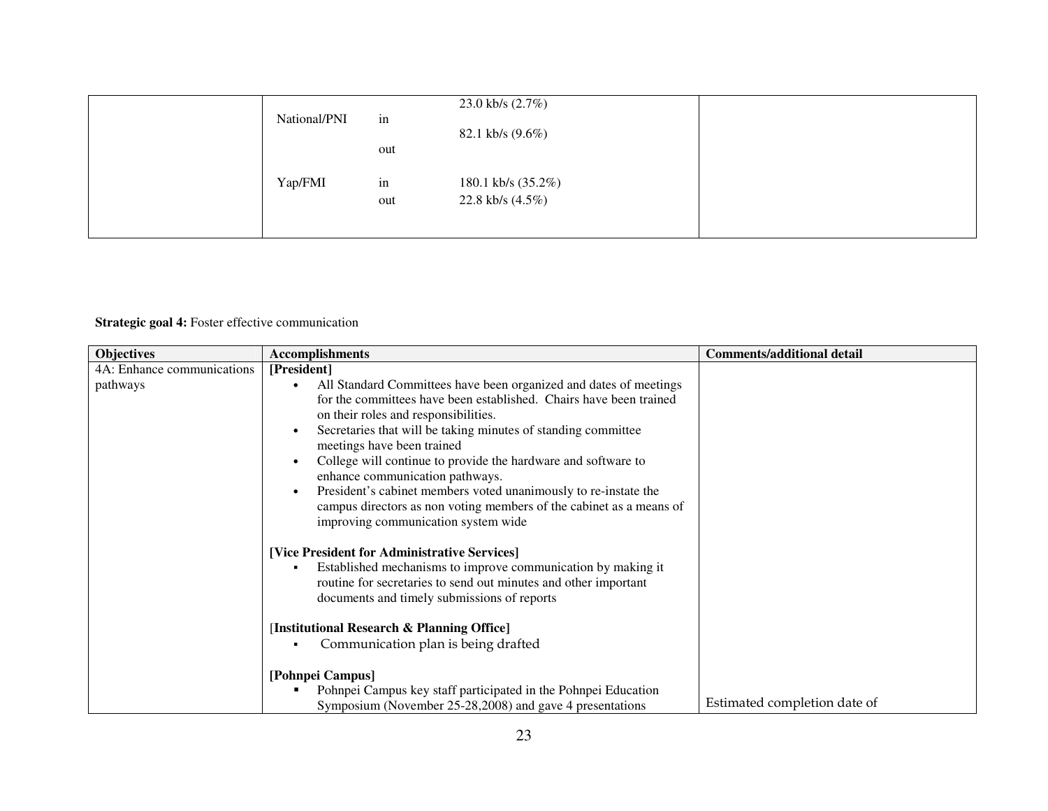| National/PNI | in        | 23.0 kb/s $(2.7%)$<br>82.1 kb/s $(9.6\%)$ |  |
|--------------|-----------|-------------------------------------------|--|
| Yap/FMI      | out<br>in | 180.1 kb/s (35.2%)                        |  |
|              | out       | 22.8 kb/s $(4.5\%)$                       |  |

## **Strategic goal 4:** Foster effective communication

| <b>Objectives</b>          | <b>Accomplishments</b>                                                                                                                                                                                                                                                                                                                                                                                                                                                                                                                                              | <b>Comments/additional detail</b> |
|----------------------------|---------------------------------------------------------------------------------------------------------------------------------------------------------------------------------------------------------------------------------------------------------------------------------------------------------------------------------------------------------------------------------------------------------------------------------------------------------------------------------------------------------------------------------------------------------------------|-----------------------------------|
| 4A: Enhance communications | [President]                                                                                                                                                                                                                                                                                                                                                                                                                                                                                                                                                         |                                   |
| pathways                   | All Standard Committees have been organized and dates of meetings<br>for the committees have been established. Chairs have been trained<br>on their roles and responsibilities.<br>Secretaries that will be taking minutes of standing committee<br>$\bullet$<br>meetings have been trained<br>College will continue to provide the hardware and software to<br>$\bullet$<br>enhance communication pathways.<br>President's cabinet members voted unanimously to re-instate the<br>$\bullet$<br>campus directors as non voting members of the cabinet as a means of |                                   |
|                            | improving communication system wide<br>[Vice President for Administrative Services]<br>Established mechanisms to improve communication by making it<br>٠<br>routine for secretaries to send out minutes and other important<br>documents and timely submissions of reports<br>[Institutional Research & Planning Office]<br>Communication plan is being drafted                                                                                                                                                                                                     |                                   |
|                            | [Pohnpei Campus]<br>Pohnpei Campus key staff participated in the Pohnpei Education<br>Symposium (November 25-28,2008) and gave 4 presentations                                                                                                                                                                                                                                                                                                                                                                                                                      | Estimated completion date of      |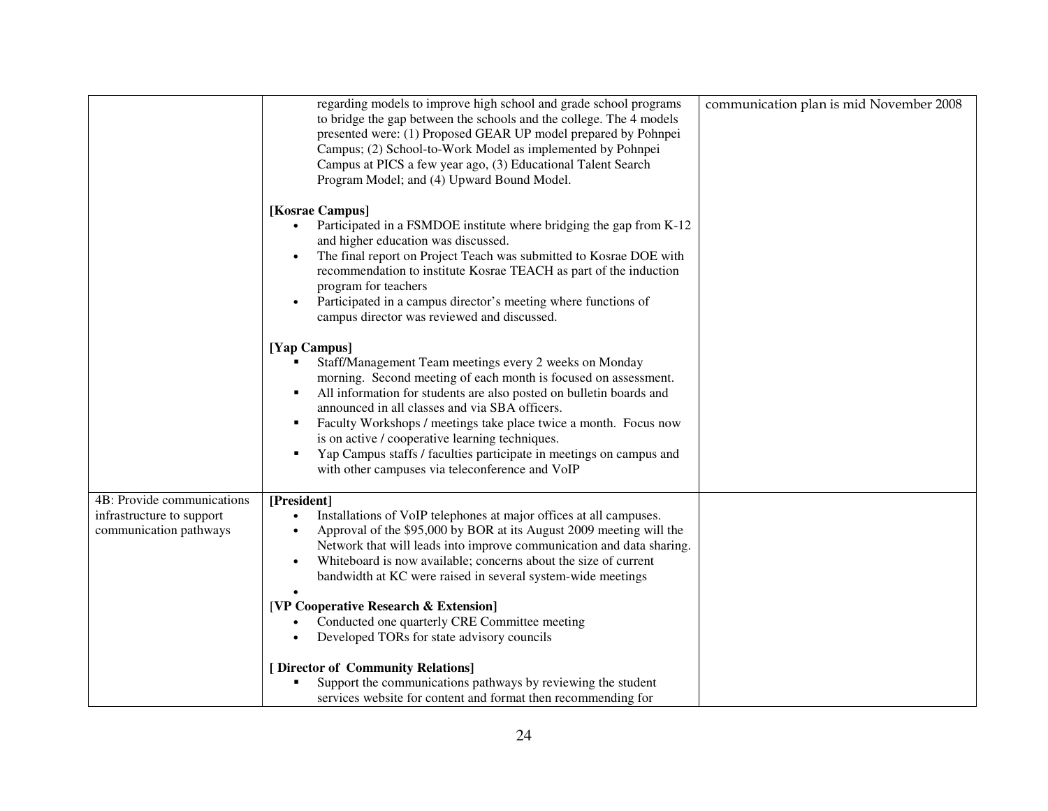|                                                                                   | regarding models to improve high school and grade school programs                                                                                                                                                                                                                                                                                                                                                                                                                                                             |                                         |
|-----------------------------------------------------------------------------------|-------------------------------------------------------------------------------------------------------------------------------------------------------------------------------------------------------------------------------------------------------------------------------------------------------------------------------------------------------------------------------------------------------------------------------------------------------------------------------------------------------------------------------|-----------------------------------------|
|                                                                                   | to bridge the gap between the schools and the college. The 4 models<br>presented were: (1) Proposed GEAR UP model prepared by Pohnpei<br>Campus; (2) School-to-Work Model as implemented by Pohnpei<br>Campus at PICS a few year ago, (3) Educational Talent Search<br>Program Model; and (4) Upward Bound Model.                                                                                                                                                                                                             | communication plan is mid November 2008 |
|                                                                                   | [Kosrae Campus]<br>Participated in a FSMDOE institute where bridging the gap from K-12<br>and higher education was discussed.<br>The final report on Project Teach was submitted to Kosrae DOE with<br>recommendation to institute Kosrae TEACH as part of the induction<br>program for teachers<br>Participated in a campus director's meeting where functions of<br>campus director was reviewed and discussed.                                                                                                             |                                         |
|                                                                                   | [Yap Campus]<br>Staff/Management Team meetings every 2 weeks on Monday<br>morning. Second meeting of each month is focused on assessment.<br>All information for students are also posted on bulletin boards and<br>л<br>announced in all classes and via SBA officers.<br>Faculty Workshops / meetings take place twice a month. Focus now<br>п<br>is on active / cooperative learning techniques.<br>Yap Campus staffs / faculties participate in meetings on campus and<br>with other campuses via teleconference and VoIP |                                         |
| 4B: Provide communications<br>infrastructure to support<br>communication pathways | [President]<br>Installations of VoIP telephones at major offices at all campuses.<br>Approval of the \$95,000 by BOR at its August 2009 meeting will the<br>$\bullet$<br>Network that will leads into improve communication and data sharing.<br>Whiteboard is now available; concerns about the size of current<br>bandwidth at KC were raised in several system-wide meetings<br>[VP Cooperative Research & Extension]<br>Conducted one quarterly CRE Committee meeting                                                     |                                         |
|                                                                                   | Developed TORs for state advisory councils<br>[ Director of Community Relations]<br>Support the communications pathways by reviewing the student<br>services website for content and format then recommending for                                                                                                                                                                                                                                                                                                             |                                         |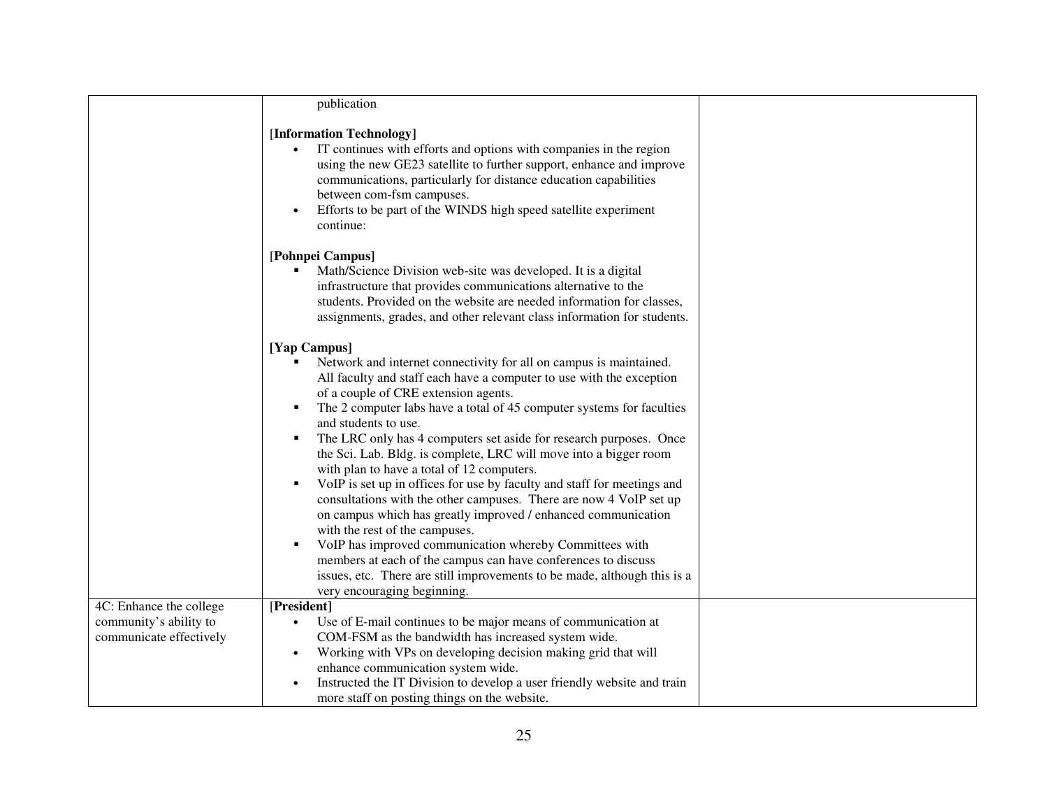|                         | publication                                                                                                                                                                                                                                                                                                                                                                                                                                                                                                                                                                                                                                                                                                                                                                                                                                                                                                                                                                                                 |  |
|-------------------------|-------------------------------------------------------------------------------------------------------------------------------------------------------------------------------------------------------------------------------------------------------------------------------------------------------------------------------------------------------------------------------------------------------------------------------------------------------------------------------------------------------------------------------------------------------------------------------------------------------------------------------------------------------------------------------------------------------------------------------------------------------------------------------------------------------------------------------------------------------------------------------------------------------------------------------------------------------------------------------------------------------------|--|
|                         | [Information Technology]<br>IT continues with efforts and options with companies in the region<br>using the new GE23 satellite to further support, enhance and improve<br>communications, particularly for distance education capabilities<br>between com-fsm campuses.<br>Efforts to be part of the WINDS high speed satellite experiment<br>$\bullet$<br>continue:                                                                                                                                                                                                                                                                                                                                                                                                                                                                                                                                                                                                                                        |  |
|                         | [Pohnpei Campus]<br>Math/Science Division web-site was developed. It is a digital<br>infrastructure that provides communications alternative to the<br>students. Provided on the website are needed information for classes,<br>assignments, grades, and other relevant class information for students.                                                                                                                                                                                                                                                                                                                                                                                                                                                                                                                                                                                                                                                                                                     |  |
|                         | [Yap Campus]<br>Network and internet connectivity for all on campus is maintained.<br>All faculty and staff each have a computer to use with the exception<br>of a couple of CRE extension agents.<br>The 2 computer labs have a total of 45 computer systems for faculties<br>٠<br>and students to use.<br>The LRC only has 4 computers set aside for research purposes. Once<br>٠<br>the Sci. Lab. Bldg. is complete, LRC will move into a bigger room<br>with plan to have a total of 12 computers.<br>VoIP is set up in offices for use by faculty and staff for meetings and<br>٠<br>consultations with the other campuses. There are now 4 VoIP set up<br>on campus which has greatly improved / enhanced communication<br>with the rest of the campuses.<br>VoIP has improved communication whereby Committees with<br>٠<br>members at each of the campus can have conferences to discuss<br>issues, etc. There are still improvements to be made, although this is a<br>very encouraging beginning. |  |
| 4C: Enhance the college | [President]                                                                                                                                                                                                                                                                                                                                                                                                                                                                                                                                                                                                                                                                                                                                                                                                                                                                                                                                                                                                 |  |
| community's ability to  | Use of E-mail continues to be major means of communication at<br>$\bullet$                                                                                                                                                                                                                                                                                                                                                                                                                                                                                                                                                                                                                                                                                                                                                                                                                                                                                                                                  |  |
| communicate effectively | COM-FSM as the bandwidth has increased system wide.                                                                                                                                                                                                                                                                                                                                                                                                                                                                                                                                                                                                                                                                                                                                                                                                                                                                                                                                                         |  |
|                         | Working with VPs on developing decision making grid that will<br>$\bullet$                                                                                                                                                                                                                                                                                                                                                                                                                                                                                                                                                                                                                                                                                                                                                                                                                                                                                                                                  |  |
|                         | enhance communication system wide.                                                                                                                                                                                                                                                                                                                                                                                                                                                                                                                                                                                                                                                                                                                                                                                                                                                                                                                                                                          |  |
|                         | Instructed the IT Division to develop a user friendly website and train                                                                                                                                                                                                                                                                                                                                                                                                                                                                                                                                                                                                                                                                                                                                                                                                                                                                                                                                     |  |
|                         | more staff on posting things on the website.                                                                                                                                                                                                                                                                                                                                                                                                                                                                                                                                                                                                                                                                                                                                                                                                                                                                                                                                                                |  |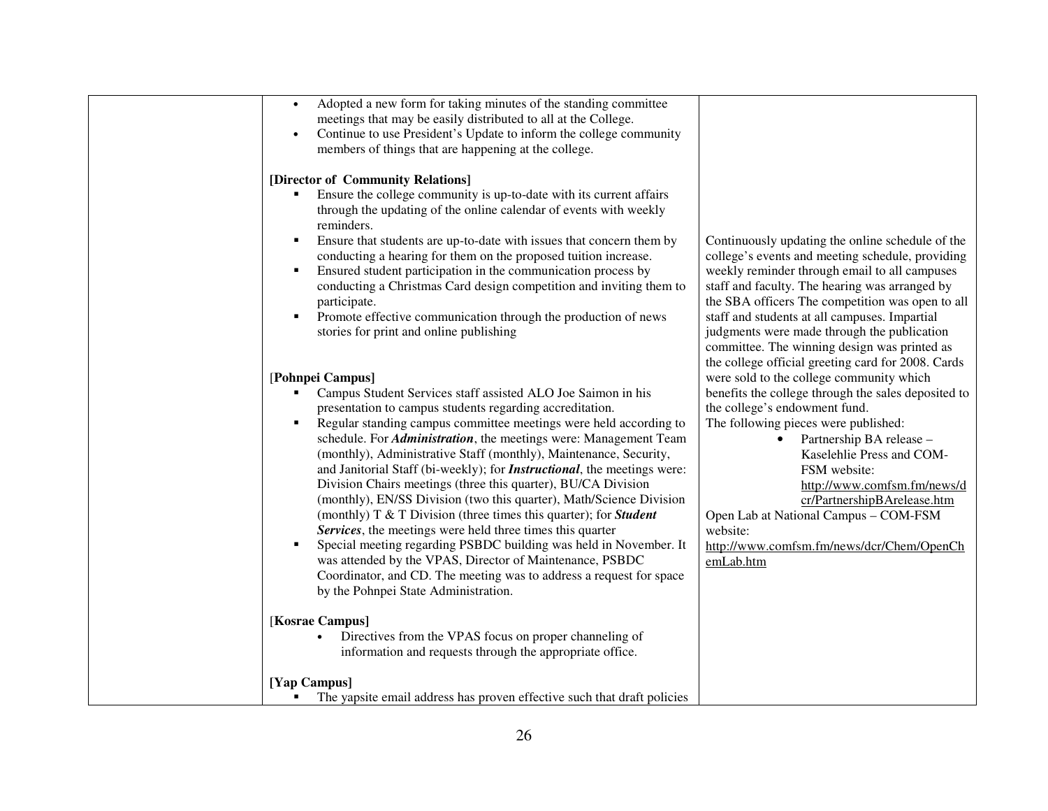| Adopted a new form for taking minutes of the standing committee<br>$\bullet$        |                                                     |
|-------------------------------------------------------------------------------------|-----------------------------------------------------|
|                                                                                     |                                                     |
| meetings that may be easily distributed to all at the College.                      |                                                     |
| Continue to use President's Update to inform the college community<br>$\bullet$     |                                                     |
| members of things that are happening at the college.                                |                                                     |
|                                                                                     |                                                     |
| [Director of Community Relations]                                                   |                                                     |
| Ensure the college community is up-to-date with its current affairs                 |                                                     |
| through the updating of the online calendar of events with weekly                   |                                                     |
| reminders.                                                                          |                                                     |
| Ensure that students are up-to-date with issues that concern them by                | Continuously updating the online schedule of the    |
| conducting a hearing for them on the proposed tuition increase.                     | college's events and meeting schedule, providing    |
| Ensured student participation in the communication process by<br>٠                  | weekly reminder through email to all campuses       |
| conducting a Christmas Card design competition and inviting them to                 | staff and faculty. The hearing was arranged by      |
| participate.                                                                        | the SBA officers The competition was open to all    |
| Promote effective communication through the production of news<br>٠                 | staff and students at all campuses. Impartial       |
| stories for print and online publishing                                             | judgments were made through the publication         |
|                                                                                     |                                                     |
|                                                                                     | committee. The winning design was printed as        |
|                                                                                     | the college official greeting card for 2008. Cards  |
| [Pohnpei Campus]                                                                    | were sold to the college community which            |
| Campus Student Services staff assisted ALO Joe Saimon in his                        | benefits the college through the sales deposited to |
| presentation to campus students regarding accreditation.                            | the college's endowment fund.                       |
| Regular standing campus committee meetings were held according to<br>$\blacksquare$ | The following pieces were published:                |
| schedule. For <i>Administration</i> , the meetings were: Management Team            | Partnership BA release -                            |
| (monthly), Administrative Staff (monthly), Maintenance, Security,                   | Kaselehlie Press and COM-                           |
| and Janitorial Staff (bi-weekly); for <i>Instructional</i> , the meetings were:     | FSM website:                                        |
| Division Chairs meetings (three this quarter), BU/CA Division                       | http://www.comfsm.fm/news/d                         |
| (monthly), EN/SS Division (two this quarter), Math/Science Division                 | cr/PartnershipBArelease.htm                         |
| (monthly) $T \& T$ Division (three times this quarter); for <i>Student</i>          | Open Lab at National Campus - COM-FSM               |
| Services, the meetings were held three times this quarter                           | website:                                            |
| Special meeting regarding PSBDC building was held in November. It                   | http://www.comfsm.fm/news/dcr/Chem/OpenCh           |
| was attended by the VPAS, Director of Maintenance, PSBDC                            | emLab.htm                                           |
| Coordinator, and CD. The meeting was to address a request for space                 |                                                     |
| by the Pohnpei State Administration.                                                |                                                     |
|                                                                                     |                                                     |
|                                                                                     |                                                     |
| [Kosrae Campus]                                                                     |                                                     |
| Directives from the VPAS focus on proper channeling of                              |                                                     |
| information and requests through the appropriate office.                            |                                                     |
|                                                                                     |                                                     |
| [Yap Campus]                                                                        |                                                     |
| The yapsite email address has proven effective such that draft policies             |                                                     |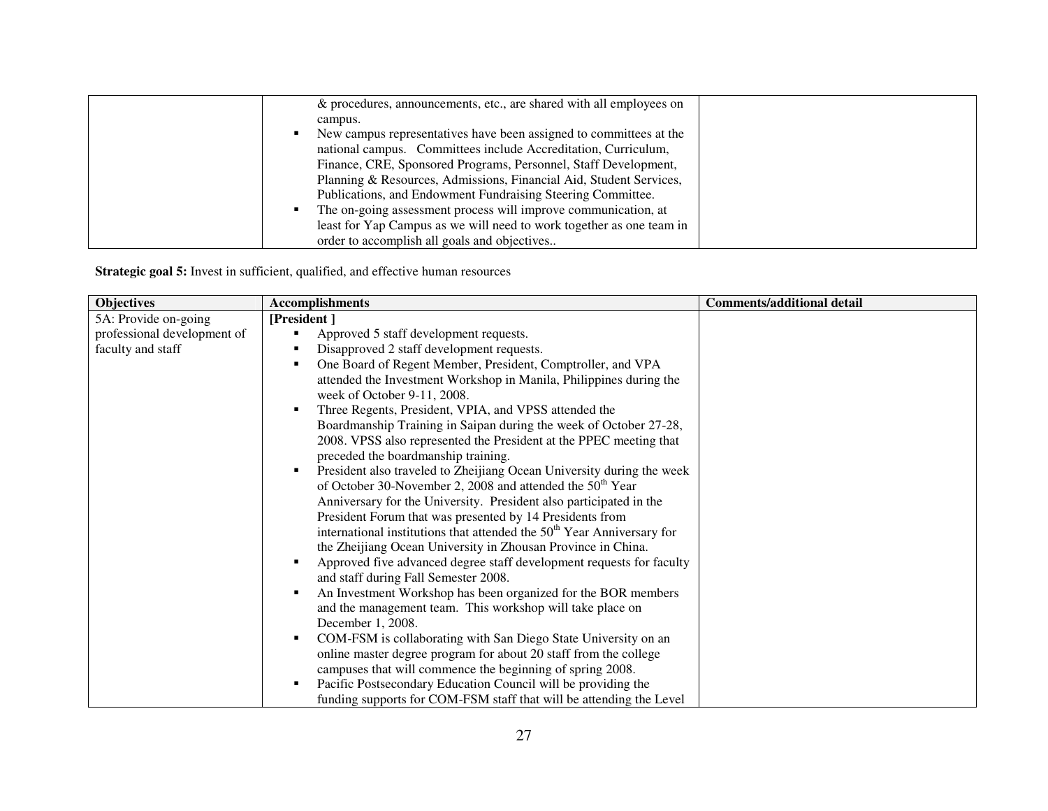| & procedures, announcements, etc., are shared with all employees on     |  |
|-------------------------------------------------------------------------|--|
| campus.                                                                 |  |
| New campus representatives have been assigned to committees at the<br>٠ |  |
| national campus. Committees include Accreditation, Curriculum,          |  |
| Finance, CRE, Sponsored Programs, Personnel, Staff Development,         |  |
| Planning & Resources, Admissions, Financial Aid, Student Services,      |  |
| Publications, and Endowment Fundraising Steering Committee.             |  |
| The on-going assessment process will improve communication, at          |  |
| least for Yap Campus as we will need to work together as one team in    |  |
| order to accomplish all goals and objectives                            |  |

**Strategic goal 5:** Invest in sufficient, qualified, and effective human resources

| <b>Objectives</b>           | <b>Accomplishments</b>                                                                  | <b>Comments/additional detail</b> |
|-----------------------------|-----------------------------------------------------------------------------------------|-----------------------------------|
| 5A: Provide on-going        | [President]                                                                             |                                   |
| professional development of | Approved 5 staff development requests.<br>٠                                             |                                   |
| faculty and staff           | Disapproved 2 staff development requests.<br>٠                                          |                                   |
|                             | One Board of Regent Member, President, Comptroller, and VPA<br>٠                        |                                   |
|                             | attended the Investment Workshop in Manila, Philippines during the                      |                                   |
|                             | week of October 9-11, 2008.                                                             |                                   |
|                             | Three Regents, President, VPIA, and VPSS attended the<br>$\blacksquare$                 |                                   |
|                             | Boardmanship Training in Saipan during the week of October 27-28,                       |                                   |
|                             | 2008. VPSS also represented the President at the PPEC meeting that                      |                                   |
|                             | preceded the boardmanship training.                                                     |                                   |
|                             | President also traveled to Zheijiang Ocean University during the week<br>$\blacksquare$ |                                   |
|                             | of October 30-November 2, 2008 and attended the 50 <sup>th</sup> Year                   |                                   |
|                             | Anniversary for the University. President also participated in the                      |                                   |
|                             | President Forum that was presented by 14 Presidents from                                |                                   |
|                             | international institutions that attended the 50 <sup>th</sup> Year Anniversary for      |                                   |
|                             | the Zheijiang Ocean University in Zhousan Province in China.                            |                                   |
|                             | Approved five advanced degree staff development requests for faculty<br>٠               |                                   |
|                             | and staff during Fall Semester 2008.                                                    |                                   |
|                             | An Investment Workshop has been organized for the BOR members<br>$\blacksquare$         |                                   |
|                             | and the management team. This workshop will take place on                               |                                   |
|                             | December 1, 2008.                                                                       |                                   |
|                             | COM-FSM is collaborating with San Diego State University on an<br>п                     |                                   |
|                             | online master degree program for about 20 staff from the college                        |                                   |
|                             | campuses that will commence the beginning of spring 2008.                               |                                   |
|                             | Pacific Postsecondary Education Council will be providing the<br>п                      |                                   |
|                             | funding supports for COM-FSM staff that will be attending the Level                     |                                   |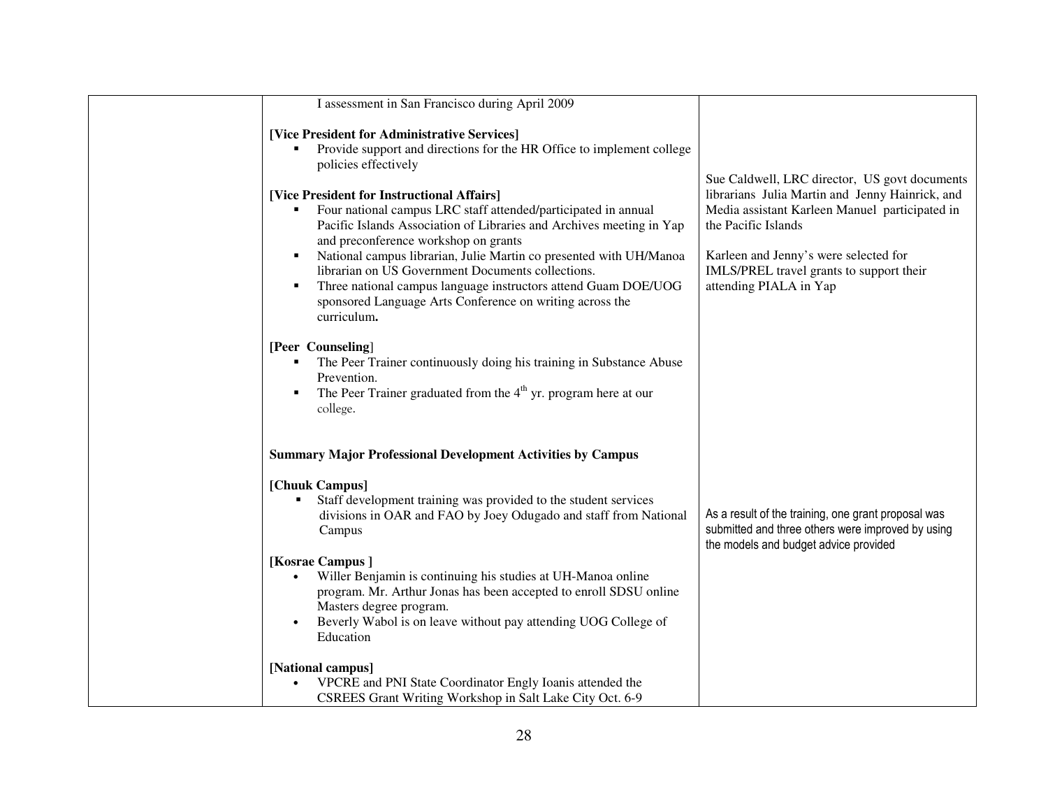| I assessment in San Francisco during April 2009                                                                                                                                                                                                                                                                                                                                                                                                                                                                                                                                                                                                                 |                                                                                                                                                                                                                                                                                          |
|-----------------------------------------------------------------------------------------------------------------------------------------------------------------------------------------------------------------------------------------------------------------------------------------------------------------------------------------------------------------------------------------------------------------------------------------------------------------------------------------------------------------------------------------------------------------------------------------------------------------------------------------------------------------|------------------------------------------------------------------------------------------------------------------------------------------------------------------------------------------------------------------------------------------------------------------------------------------|
| [Vice President for Administrative Services]<br>Provide support and directions for the HR Office to implement college<br>policies effectively<br>[Vice President for Instructional Affairs]<br>Four national campus LRC staff attended/participated in annual<br>٠<br>Pacific Islands Association of Libraries and Archives meeting in Yap<br>and preconference workshop on grants<br>National campus librarian, Julie Martin co presented with UH/Manoa<br>librarian on US Government Documents collections.<br>Three national campus language instructors attend Guam DOE/UOG<br>٠<br>sponsored Language Arts Conference on writing across the<br>curriculum. | Sue Caldwell, LRC director, US govt documents<br>librarians Julia Martin and Jenny Hainrick, and<br>Media assistant Karleen Manuel participated in<br>the Pacific Islands<br>Karleen and Jenny's were selected for<br>IMLS/PREL travel grants to support their<br>attending PIALA in Yap |
| [Peer Counseling]<br>The Peer Trainer continuously doing his training in Substance Abuse<br>Prevention.<br>The Peer Trainer graduated from the $4th$ yr. program here at our<br>٠<br>college.                                                                                                                                                                                                                                                                                                                                                                                                                                                                   |                                                                                                                                                                                                                                                                                          |
| <b>Summary Major Professional Development Activities by Campus</b>                                                                                                                                                                                                                                                                                                                                                                                                                                                                                                                                                                                              |                                                                                                                                                                                                                                                                                          |
| [Chuuk Campus]<br>Staff development training was provided to the student services<br>divisions in OAR and FAO by Joey Odugado and staff from National<br>Campus<br>[Kosrae Campus]<br>Willer Benjamin is continuing his studies at UH-Manoa online<br>program. Mr. Arthur Jonas has been accepted to enroll SDSU online<br>Masters degree program.<br>Beverly Wabol is on leave without pay attending UOG College of<br>$\bullet$<br>Education<br>[National campus]                                                                                                                                                                                             | As a result of the training, one grant proposal was<br>submitted and three others were improved by using<br>the models and budget advice provided                                                                                                                                        |
| VPCRE and PNI State Coordinator Engly Ioanis attended the<br>CSREES Grant Writing Workshop in Salt Lake City Oct. 6-9                                                                                                                                                                                                                                                                                                                                                                                                                                                                                                                                           |                                                                                                                                                                                                                                                                                          |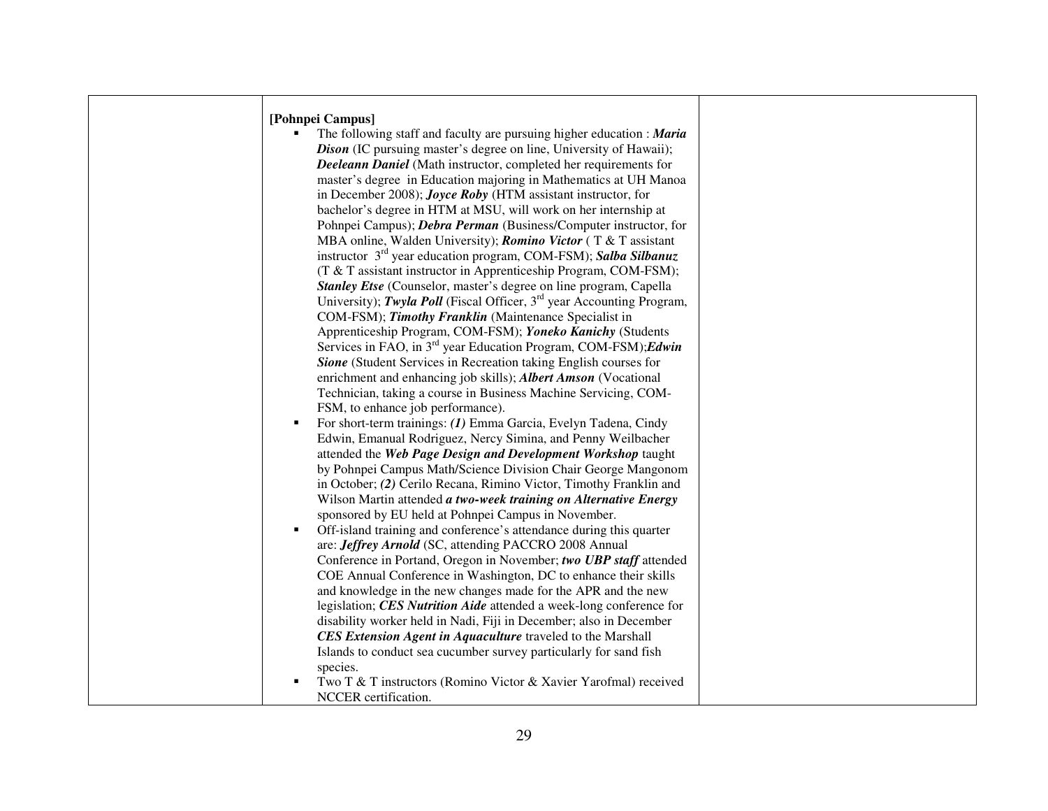| [Pohnpei Campus]                                                            |  |
|-----------------------------------------------------------------------------|--|
| The following staff and faculty are pursuing higher education : Maria       |  |
| <b>Dison</b> (IC pursuing master's degree on line, University of Hawaii);   |  |
| Deeleann Daniel (Math instructor, completed her requirements for            |  |
| master's degree in Education majoring in Mathematics at UH Manoa            |  |
| in December 2008); <i>Joyce Roby</i> (HTM assistant instructor, for         |  |
| bachelor's degree in HTM at MSU, will work on her internship at             |  |
| Pohnpei Campus); <i>Debra Perman</i> (Business/Computer instructor, for     |  |
| MBA online, Walden University); <i>Romino Victor</i> (T & T assistant       |  |
| instructor $3^{rd}$ year education program, COM-FSM); Salba Silbanuz        |  |
| (T & T assistant instructor in Apprenticeship Program, COM-FSM);            |  |
| Stanley Etse (Counselor, master's degree on line program, Capella           |  |
| University); Twyla Poll (Fiscal Officer, $3rd$ year Accounting Program,     |  |
| COM-FSM); Timothy Franklin (Maintenance Specialist in                       |  |
| Apprenticeship Program, COM-FSM); Yoneko Kanichy (Students                  |  |
| Services in FAO, in $3^{rd}$ year Education Program, COM-FSM); <i>Edwin</i> |  |
| Sione (Student Services in Recreation taking English courses for            |  |
| enrichment and enhancing job skills); <i>Albert Amson</i> (Vocational       |  |
| Technician, taking a course in Business Machine Servicing, COM-             |  |
| FSM, to enhance job performance).                                           |  |
| For short-term trainings: (1) Emma Garcia, Evelyn Tadena, Cindy             |  |
| Edwin, Emanual Rodriguez, Nercy Simina, and Penny Weilbacher                |  |
| attended the Web Page Design and Development Workshop taught                |  |
| by Pohnpei Campus Math/Science Division Chair George Mangonom               |  |
| in October; (2) Cerilo Recana, Rimino Victor, Timothy Franklin and          |  |
| Wilson Martin attended a two-week training on Alternative Energy            |  |
| sponsored by EU held at Pohnpei Campus in November.                         |  |
| Off-island training and conference's attendance during this quarter         |  |
| are: Jeffrey Arnold (SC, attending PACCRO 2008 Annual                       |  |
| Conference in Portand, Oregon in November; two UBP staff attended           |  |
| COE Annual Conference in Washington, DC to enhance their skills             |  |
| and knowledge in the new changes made for the APR and the new               |  |
| legislation; CES Nutrition Aide attended a week-long conference for         |  |
| disability worker held in Nadi, Fiji in December; also in December          |  |
| <b>CES Extension Agent in Aquaculture traveled to the Marshall</b>          |  |
| Islands to conduct sea cucumber survey particularly for sand fish           |  |
| species.                                                                    |  |
| Two T & T instructors (Romino Victor & Xavier Yarofmal) received            |  |
| NCCER certification.                                                        |  |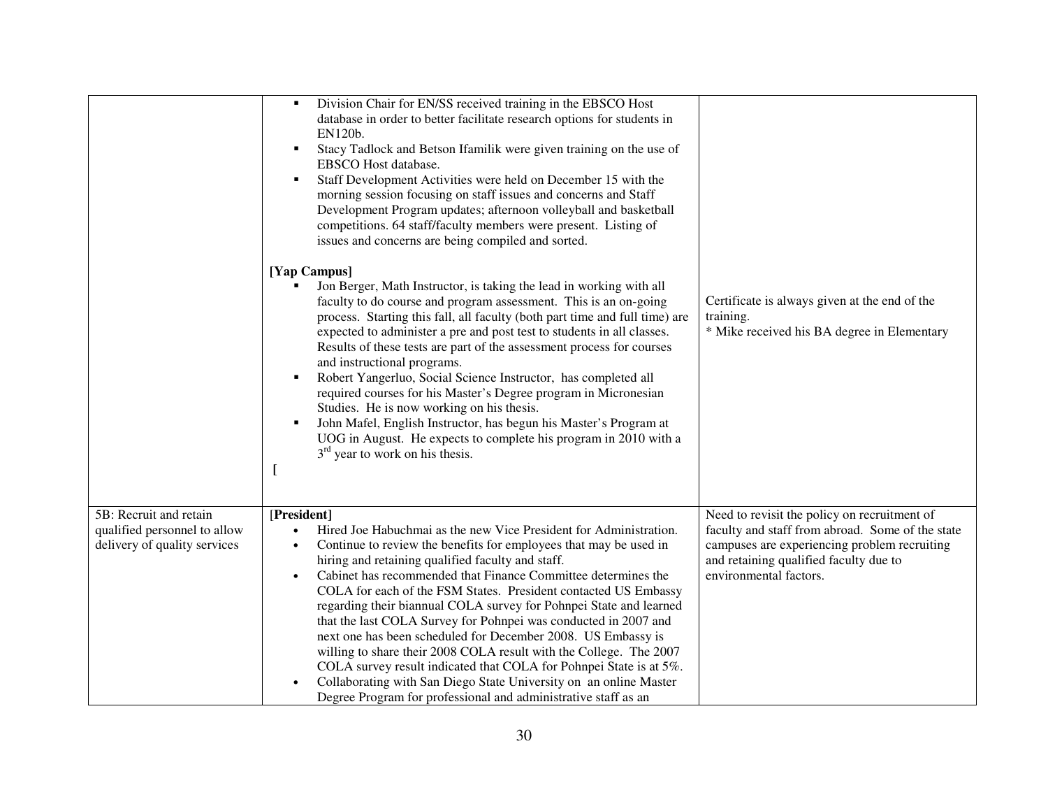|                                                                                        | Division Chair for EN/SS received training in the EBSCO Host<br>п<br>database in order to better facilitate research options for students in<br>EN120b.<br>Stacy Tadlock and Betson Ifamilik were given training on the use of<br>п<br>EBSCO Host database.<br>Staff Development Activities were held on December 15 with the<br>п<br>morning session focusing on staff issues and concerns and Staff<br>Development Program updates; afternoon volleyball and basketball<br>competitions. 64 staff/faculty members were present. Listing of<br>issues and concerns are being compiled and sorted.                                                                                                                                                                                                                                                                                |                                                                                                                                                                                                                      |
|----------------------------------------------------------------------------------------|-----------------------------------------------------------------------------------------------------------------------------------------------------------------------------------------------------------------------------------------------------------------------------------------------------------------------------------------------------------------------------------------------------------------------------------------------------------------------------------------------------------------------------------------------------------------------------------------------------------------------------------------------------------------------------------------------------------------------------------------------------------------------------------------------------------------------------------------------------------------------------------|----------------------------------------------------------------------------------------------------------------------------------------------------------------------------------------------------------------------|
|                                                                                        | [Yap Campus]<br>Jon Berger, Math Instructor, is taking the lead in working with all<br>faculty to do course and program assessment. This is an on-going<br>process. Starting this fall, all faculty (both part time and full time) are<br>expected to administer a pre and post test to students in all classes.<br>Results of these tests are part of the assessment process for courses<br>and instructional programs.<br>Robert Yangerluo, Social Science Instructor, has completed all<br>п<br>required courses for his Master's Degree program in Micronesian<br>Studies. He is now working on his thesis.<br>John Mafel, English Instructor, has begun his Master's Program at<br>п<br>UOG in August. He expects to complete his program in 2010 with a<br>$3rd$ year to work on his thesis.<br>$\mathbf{I}$                                                                | Certificate is always given at the end of the<br>training.<br>* Mike received his BA degree in Elementary                                                                                                            |
| 5B: Recruit and retain<br>qualified personnel to allow<br>delivery of quality services | [President]<br>Hired Joe Habuchmai as the new Vice President for Administration.<br>$\bullet$<br>Continue to review the benefits for employees that may be used in<br>$\bullet$<br>hiring and retaining qualified faculty and staff.<br>Cabinet has recommended that Finance Committee determines the<br>$\bullet$<br>COLA for each of the FSM States. President contacted US Embassy<br>regarding their biannual COLA survey for Pohnpei State and learned<br>that the last COLA Survey for Pohnpei was conducted in 2007 and<br>next one has been scheduled for December 2008. US Embassy is<br>willing to share their 2008 COLA result with the College. The 2007<br>COLA survey result indicated that COLA for Pohnpei State is at 5%.<br>Collaborating with San Diego State University on an online Master<br>Degree Program for professional and administrative staff as an | Need to revisit the policy on recruitment of<br>faculty and staff from abroad. Some of the state<br>campuses are experiencing problem recruiting<br>and retaining qualified faculty due to<br>environmental factors. |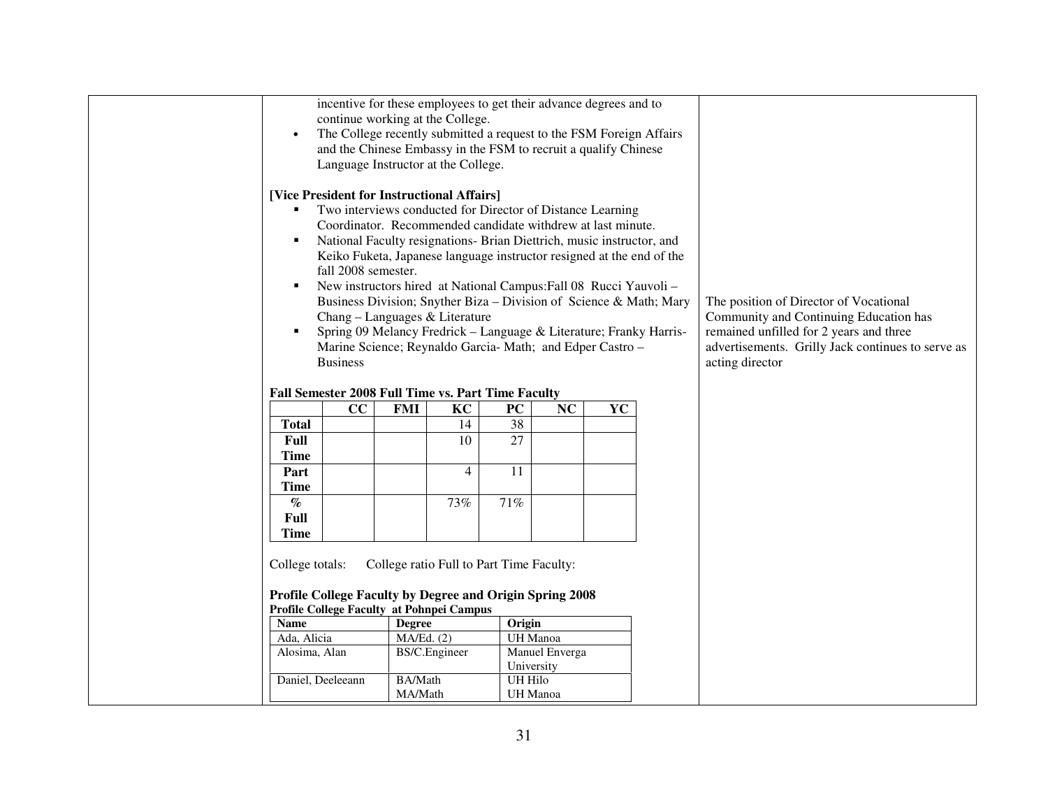| $\bullet$<br>$\blacksquare$<br>٠<br>٠<br>× | incentive for these employees to get their advance degrees and to<br>continue working at the College.<br>The College recently submitted a request to the FSM Foreign Affairs<br>and the Chinese Embassy in the FSM to recruit a qualify Chinese<br>Language Instructor at the College.<br>[Vice President for Instructional Affairs]<br>Two interviews conducted for Director of Distance Learning<br>Coordinator. Recommended candidate withdrew at last minute.<br>National Faculty resignations- Brian Diettrich, music instructor, and<br>Keiko Fuketa, Japanese language instructor resigned at the end of the<br>fall 2008 semester.<br>New instructors hired at National Campus: Fall 08 Rucci Yauvoli -<br>Business Division; Snyther Biza - Division of Science & Math; Mary<br>Chang - Languages & Literature<br>Spring 09 Melancy Fredrick - Language & Literature; Franky Harris-<br>Marine Science; Reynaldo Garcia- Math; and Edper Castro -<br><b>Business</b> |                |                                          |                |                |    | The position of Director of Vocational<br>Community and Continuing Education has<br>remained unfilled for 2 years and three<br>advertisements. Grilly Jack continues to serve as<br>acting director |
|--------------------------------------------|-------------------------------------------------------------------------------------------------------------------------------------------------------------------------------------------------------------------------------------------------------------------------------------------------------------------------------------------------------------------------------------------------------------------------------------------------------------------------------------------------------------------------------------------------------------------------------------------------------------------------------------------------------------------------------------------------------------------------------------------------------------------------------------------------------------------------------------------------------------------------------------------------------------------------------------------------------------------------------|----------------|------------------------------------------|----------------|----------------|----|-----------------------------------------------------------------------------------------------------------------------------------------------------------------------------------------------------|
|                                            | Fall Semester 2008 Full Time vs. Part Time Faculty                                                                                                                                                                                                                                                                                                                                                                                                                                                                                                                                                                                                                                                                                                                                                                                                                                                                                                                            |                |                                          |                |                |    |                                                                                                                                                                                                     |
|                                            | cc                                                                                                                                                                                                                                                                                                                                                                                                                                                                                                                                                                                                                                                                                                                                                                                                                                                                                                                                                                            | <b>FMI</b>     | KC                                       | <b>PC</b>      | NC             | YC |                                                                                                                                                                                                     |
| <b>Total</b>                               |                                                                                                                                                                                                                                                                                                                                                                                                                                                                                                                                                                                                                                                                                                                                                                                                                                                                                                                                                                               |                | 14                                       | 38             |                |    |                                                                                                                                                                                                     |
| Full                                       |                                                                                                                                                                                                                                                                                                                                                                                                                                                                                                                                                                                                                                                                                                                                                                                                                                                                                                                                                                               |                | 10                                       | 27             |                |    |                                                                                                                                                                                                     |
| <b>Time</b>                                |                                                                                                                                                                                                                                                                                                                                                                                                                                                                                                                                                                                                                                                                                                                                                                                                                                                                                                                                                                               |                |                                          |                |                |    |                                                                                                                                                                                                     |
| Part                                       |                                                                                                                                                                                                                                                                                                                                                                                                                                                                                                                                                                                                                                                                                                                                                                                                                                                                                                                                                                               |                | 4                                        | 11             |                |    |                                                                                                                                                                                                     |
| <b>Time</b>                                |                                                                                                                                                                                                                                                                                                                                                                                                                                                                                                                                                                                                                                                                                                                                                                                                                                                                                                                                                                               |                |                                          |                |                |    |                                                                                                                                                                                                     |
| $\%$                                       |                                                                                                                                                                                                                                                                                                                                                                                                                                                                                                                                                                                                                                                                                                                                                                                                                                                                                                                                                                               |                | 73%                                      | 71%            |                |    |                                                                                                                                                                                                     |
| Full                                       |                                                                                                                                                                                                                                                                                                                                                                                                                                                                                                                                                                                                                                                                                                                                                                                                                                                                                                                                                                               |                |                                          |                |                |    |                                                                                                                                                                                                     |
| Time                                       |                                                                                                                                                                                                                                                                                                                                                                                                                                                                                                                                                                                                                                                                                                                                                                                                                                                                                                                                                                               |                |                                          |                |                |    |                                                                                                                                                                                                     |
| College totals:                            | Profile College Faculty by Degree and Origin Spring 2008<br>Profile College Faculty at Pohnpei Campus                                                                                                                                                                                                                                                                                                                                                                                                                                                                                                                                                                                                                                                                                                                                                                                                                                                                         |                | College ratio Full to Part Time Faculty: |                |                |    |                                                                                                                                                                                                     |
| <b>Name</b>                                |                                                                                                                                                                                                                                                                                                                                                                                                                                                                                                                                                                                                                                                                                                                                                                                                                                                                                                                                                                               | <b>Degree</b>  |                                          | Origin         |                |    |                                                                                                                                                                                                     |
| Ada, Alicia                                |                                                                                                                                                                                                                                                                                                                                                                                                                                                                                                                                                                                                                                                                                                                                                                                                                                                                                                                                                                               | MA/Ed. (2)     |                                          |                | UH Manoa       |    |                                                                                                                                                                                                     |
| Alosima, Alan                              |                                                                                                                                                                                                                                                                                                                                                                                                                                                                                                                                                                                                                                                                                                                                                                                                                                                                                                                                                                               | BS/C.Engineer  |                                          |                | Manuel Enverga |    |                                                                                                                                                                                                     |
|                                            |                                                                                                                                                                                                                                                                                                                                                                                                                                                                                                                                                                                                                                                                                                                                                                                                                                                                                                                                                                               |                |                                          |                | University     |    |                                                                                                                                                                                                     |
| Daniel, Deeleeann                          |                                                                                                                                                                                                                                                                                                                                                                                                                                                                                                                                                                                                                                                                                                                                                                                                                                                                                                                                                                               | <b>BA/Math</b> |                                          | <b>UH Hilo</b> |                |    |                                                                                                                                                                                                     |
|                                            |                                                                                                                                                                                                                                                                                                                                                                                                                                                                                                                                                                                                                                                                                                                                                                                                                                                                                                                                                                               | MA/Math        |                                          |                | UH Manoa       |    |                                                                                                                                                                                                     |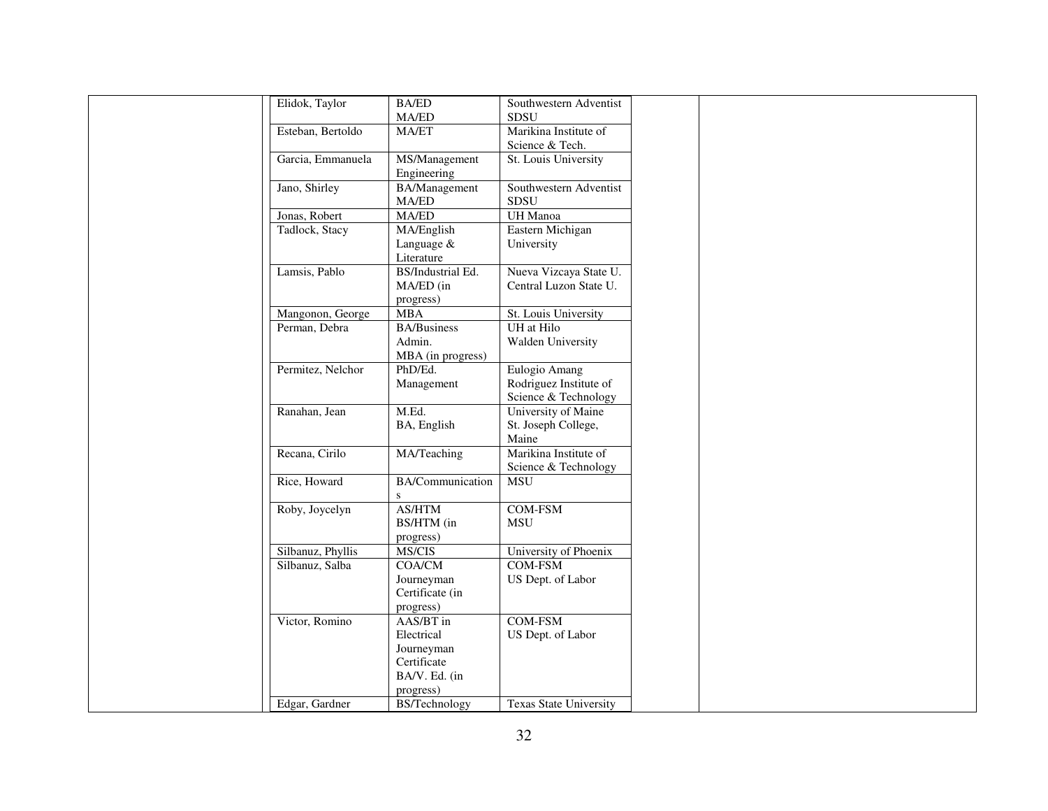| Elidok, Taylor    | <b>BA/ED</b>            | Southwestern Adventist                   |
|-------------------|-------------------------|------------------------------------------|
|                   | MA/ED                   | <b>SDSU</b>                              |
| Esteban, Bertoldo | MA/ET                   | Marikina Institute of<br>Science & Tech. |
| Garcia, Emmanuela | MS/Management           | St. Louis University                     |
|                   | Engineering             |                                          |
| Jano, Shirley     | <b>BA/Management</b>    | Southwestern Adventist                   |
|                   | $\rm MA/ED$             | SDSU                                     |
| Jonas, Robert     | MA/ED                   | UH Manoa                                 |
| Tadlock, Stacy    | MA/English              | Eastern Michigan                         |
|                   | Language &              | University                               |
|                   | Literature              |                                          |
| Lamsis, Pablo     | BS/Industrial Ed.       | Nueva Vizcaya State U.                   |
|                   | MA/ED (in               | Central Luzon State U.                   |
|                   | progress)               |                                          |
| Mangonon, George  | <b>MBA</b>              | St. Louis University                     |
| Perman, Debra     | <b>BA/Business</b>      | UH at Hilo                               |
|                   | Admin.                  | Walden University                        |
|                   | MBA (in progress)       |                                          |
| Permitez, Nelchor | PhD/Ed.                 | Eulogio Amang                            |
|                   | Management              | Rodriguez Institute of                   |
|                   |                         | Science & Technology                     |
| Ranahan, Jean     | M.Ed.                   | University of Maine                      |
|                   | BA, English             | St. Joseph College,                      |
|                   |                         | Maine                                    |
| Recana, Cirilo    | MA/Teaching             | Marikina Institute of                    |
|                   |                         | Science & Technology                     |
| Rice, Howard      | <b>BA/Communication</b> | <b>MSU</b>                               |
|                   | S.                      |                                          |
| Roby, Joycelyn    | AS/HTM                  | <b>COM-FSM</b>                           |
|                   | BS/HTM (in              | <b>MSU</b>                               |
|                   | progress)               |                                          |
| Silbanuz, Phyllis | MS/CIS                  | University of Phoenix                    |
| Silbanuz, Salba   | <b>COA/CM</b>           | <b>COM-FSM</b>                           |
|                   | Journeyman              | US Dept. of Labor                        |
|                   | Certificate (in         |                                          |
|                   | progress)               |                                          |
| Victor, Romino    | AAS/BT in               | <b>COM-FSM</b>                           |
|                   | Electrical              | US Dept. of Labor                        |
|                   | Journeyman              |                                          |
|                   | Certificate             |                                          |
|                   | BA/V. Ed. (in           |                                          |
|                   | progress)               |                                          |
| Edgar, Gardner    | <b>BS/Technology</b>    | <b>Texas State University</b>            |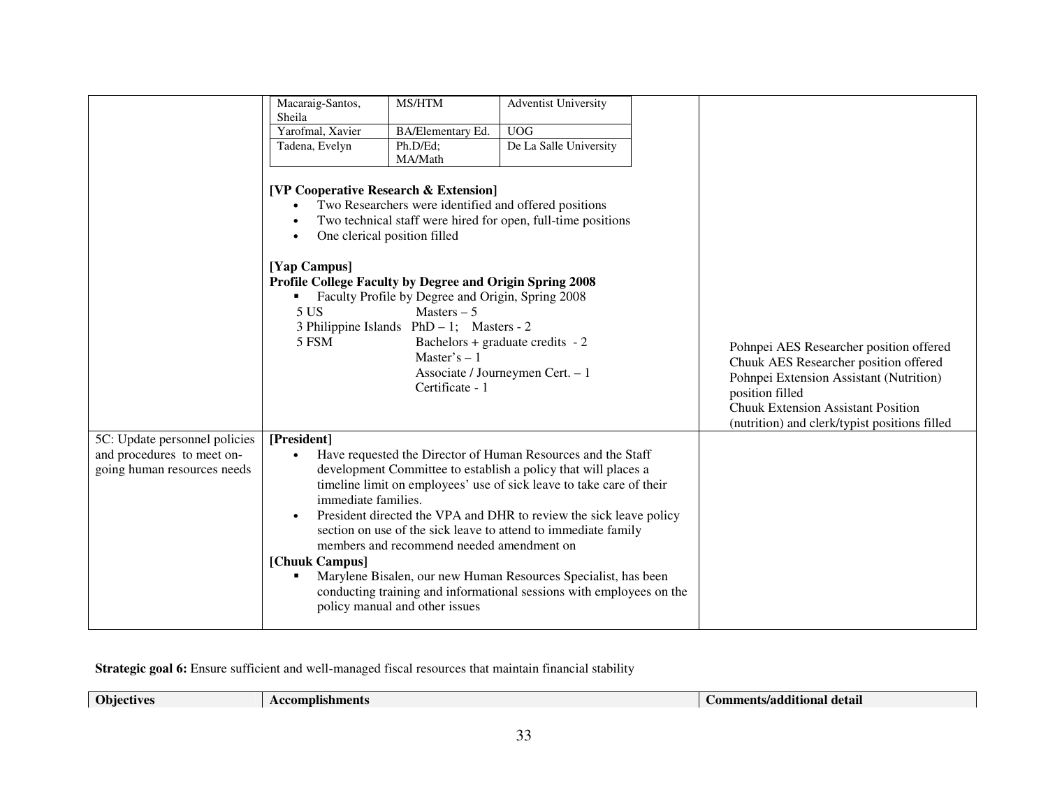|                                                           | Macaraig-Santos,<br>Sheila                                                                                                                                              | MS/HTM                                                                                                                                                                                | <b>Adventist University</b>                                                                                                                                                                    |                                                                                                                                                                                                                                              |
|-----------------------------------------------------------|-------------------------------------------------------------------------------------------------------------------------------------------------------------------------|---------------------------------------------------------------------------------------------------------------------------------------------------------------------------------------|------------------------------------------------------------------------------------------------------------------------------------------------------------------------------------------------|----------------------------------------------------------------------------------------------------------------------------------------------------------------------------------------------------------------------------------------------|
|                                                           | Yarofmal, Xavier                                                                                                                                                        | <b>BA/Elementary Ed.</b>                                                                                                                                                              | <b>UOG</b>                                                                                                                                                                                     |                                                                                                                                                                                                                                              |
|                                                           | Tadena, Evelyn                                                                                                                                                          | Ph.D/Ed:                                                                                                                                                                              | De La Salle University                                                                                                                                                                         |                                                                                                                                                                                                                                              |
|                                                           |                                                                                                                                                                         | MA/Math                                                                                                                                                                               |                                                                                                                                                                                                |                                                                                                                                                                                                                                              |
|                                                           | <b>[VP Cooperative Research &amp; Extension]</b><br>$\bullet$<br>$\bullet$<br>[Yap Campus]<br>Profile College Faculty by Degree and Origin Spring 2008<br>5 US<br>5 FSM | One clerical position filled<br>Faculty Profile by Degree and Origin, Spring 2008<br>Masters $-5$<br>3 Philippine Islands $PhD - 1$ ; Masters - 2<br>Master's $-1$<br>Certificate - 1 | Two Researchers were identified and offered positions<br>Two technical staff were hired for open, full-time positions<br>Bachelors + graduate credits $-2$<br>Associate / Journeymen Cert. - 1 | Pohnpei AES Researcher position offered<br>Chuuk AES Researcher position offered<br>Pohnpei Extension Assistant (Nutrition)<br>position filled<br><b>Chuuk Extension Assistant Position</b><br>(nutrition) and clerk/typist positions filled |
| 5C: Update personnel policies                             | [President]                                                                                                                                                             |                                                                                                                                                                                       |                                                                                                                                                                                                |                                                                                                                                                                                                                                              |
| and procedures to meet on-<br>going human resources needs | $\bullet$                                                                                                                                                               |                                                                                                                                                                                       | Have requested the Director of Human Resources and the Staff<br>development Committee to establish a policy that will places a                                                                 |                                                                                                                                                                                                                                              |
|                                                           |                                                                                                                                                                         |                                                                                                                                                                                       | timeline limit on employees' use of sick leave to take care of their                                                                                                                           |                                                                                                                                                                                                                                              |
|                                                           | immediate families.                                                                                                                                                     |                                                                                                                                                                                       |                                                                                                                                                                                                |                                                                                                                                                                                                                                              |
|                                                           | $\bullet$                                                                                                                                                               |                                                                                                                                                                                       | President directed the VPA and DHR to review the sick leave policy                                                                                                                             |                                                                                                                                                                                                                                              |
|                                                           |                                                                                                                                                                         |                                                                                                                                                                                       | section on use of the sick leave to attend to immediate family                                                                                                                                 |                                                                                                                                                                                                                                              |
|                                                           |                                                                                                                                                                         | members and recommend needed amendment on                                                                                                                                             |                                                                                                                                                                                                |                                                                                                                                                                                                                                              |
|                                                           | [Chuuk Campus]                                                                                                                                                          |                                                                                                                                                                                       |                                                                                                                                                                                                |                                                                                                                                                                                                                                              |
|                                                           |                                                                                                                                                                         |                                                                                                                                                                                       | Marylene Bisalen, our new Human Resources Specialist, has been                                                                                                                                 |                                                                                                                                                                                                                                              |
|                                                           |                                                                                                                                                                         |                                                                                                                                                                                       | conducting training and informational sessions with employees on the                                                                                                                           |                                                                                                                                                                                                                                              |
|                                                           |                                                                                                                                                                         | policy manual and other issues                                                                                                                                                        |                                                                                                                                                                                                |                                                                                                                                                                                                                                              |
|                                                           |                                                                                                                                                                         |                                                                                                                                                                                       |                                                                                                                                                                                                |                                                                                                                                                                                                                                              |

**Strategic goal 6:** Ensure sufficient and well-managed fiscal resources that maintain financial stability

**Objectives** Accomplishments Accomplishments **Accomplishments** Accomplishments **Accomplishments Comments/additional detail Comments/additional detail**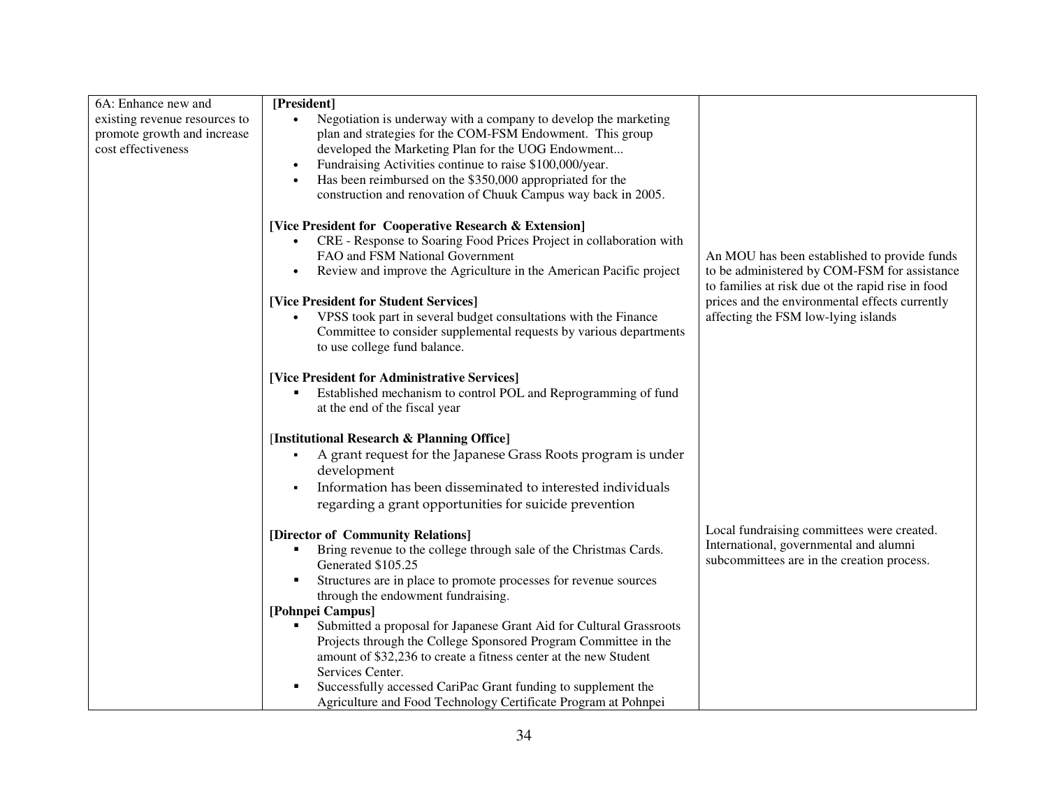| 6A: Enhance new and           | [President]                                                            |                                                                                                   |
|-------------------------------|------------------------------------------------------------------------|---------------------------------------------------------------------------------------------------|
| existing revenue resources to | Negotiation is underway with a company to develop the marketing        |                                                                                                   |
| promote growth and increase   | plan and strategies for the COM-FSM Endowment. This group              |                                                                                                   |
| cost effectiveness            | developed the Marketing Plan for the UOG Endowment                     |                                                                                                   |
|                               | Fundraising Activities continue to raise \$100,000/year.<br>$\bullet$  |                                                                                                   |
|                               | Has been reimbursed on the \$350,000 appropriated for the<br>$\bullet$ |                                                                                                   |
|                               | construction and renovation of Chuuk Campus way back in 2005.          |                                                                                                   |
|                               | [Vice President for Cooperative Research & Extension]                  |                                                                                                   |
|                               | CRE - Response to Soaring Food Prices Project in collaboration with    |                                                                                                   |
|                               | FAO and FSM National Government                                        | An MOU has been established to provide funds                                                      |
|                               | Review and improve the Agriculture in the American Pacific project     | to be administered by COM-FSM for assistance<br>to families at risk due ot the rapid rise in food |
|                               | [Vice President for Student Services]                                  | prices and the environmental effects currently                                                    |
|                               | VPSS took part in several budget consultations with the Finance        | affecting the FSM low-lying islands                                                               |
|                               | Committee to consider supplemental requests by various departments     |                                                                                                   |
|                               | to use college fund balance.                                           |                                                                                                   |
|                               | [Vice President for Administrative Services]                           |                                                                                                   |
|                               | Established mechanism to control POL and Reprogramming of fund<br>п    |                                                                                                   |
|                               | at the end of the fiscal year                                          |                                                                                                   |
|                               | [Institutional Research & Planning Office]                             |                                                                                                   |
|                               | A grant request for the Japanese Grass Roots program is under          |                                                                                                   |
|                               | development                                                            |                                                                                                   |
|                               | Information has been disseminated to interested individuals            |                                                                                                   |
|                               | regarding a grant opportunities for suicide prevention                 |                                                                                                   |
|                               | [Director of Community Relations]                                      | Local fundraising committees were created.                                                        |
|                               | Bring revenue to the college through sale of the Christmas Cards.<br>٠ | International, governmental and alumni                                                            |
|                               | Generated \$105.25                                                     | subcommittees are in the creation process.                                                        |
|                               | Structures are in place to promote processes for revenue sources       |                                                                                                   |
|                               | through the endowment fundraising.                                     |                                                                                                   |
|                               | [Pohnpei Campus]                                                       |                                                                                                   |
|                               | Submitted a proposal for Japanese Grant Aid for Cultural Grassroots    |                                                                                                   |
|                               | Projects through the College Sponsored Program Committee in the        |                                                                                                   |
|                               | amount of \$32,236 to create a fitness center at the new Student       |                                                                                                   |
|                               | Services Center.                                                       |                                                                                                   |
|                               | Successfully accessed CariPac Grant funding to supplement the          |                                                                                                   |
|                               | Agriculture and Food Technology Certificate Program at Pohnpei         |                                                                                                   |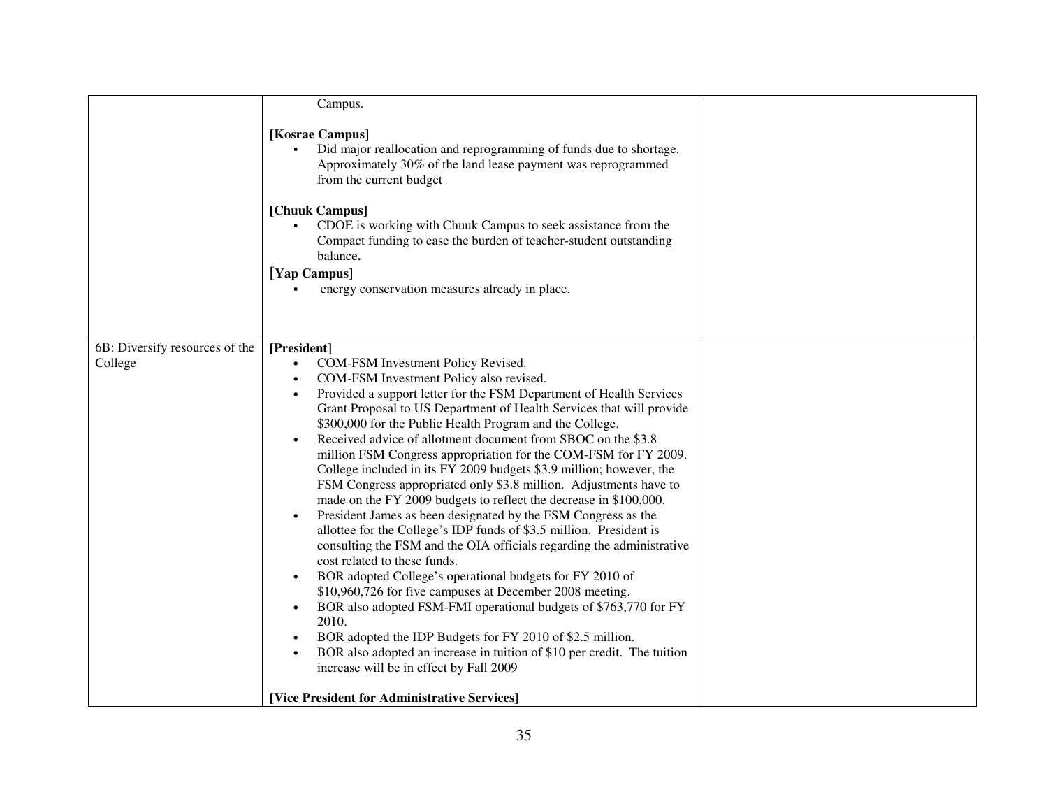|                                | Campus.                                                                                                                                                                                                                                                                                                                                                                                                                                                                                                                                                                                                                                                                                                                                                                                                                                                                                                                                                                                                                                                                                                                                                                                                                                                                                                                                   |  |
|--------------------------------|-------------------------------------------------------------------------------------------------------------------------------------------------------------------------------------------------------------------------------------------------------------------------------------------------------------------------------------------------------------------------------------------------------------------------------------------------------------------------------------------------------------------------------------------------------------------------------------------------------------------------------------------------------------------------------------------------------------------------------------------------------------------------------------------------------------------------------------------------------------------------------------------------------------------------------------------------------------------------------------------------------------------------------------------------------------------------------------------------------------------------------------------------------------------------------------------------------------------------------------------------------------------------------------------------------------------------------------------|--|
|                                | [Kosrae Campus]<br>Did major reallocation and reprogramming of funds due to shortage.<br>Approximately 30% of the land lease payment was reprogrammed<br>from the current budget<br>[Chuuk Campus]<br>CDOE is working with Chuuk Campus to seek assistance from the<br>Compact funding to ease the burden of teacher-student outstanding<br>balance.<br>[Yap Campus]<br>energy conservation measures already in place.                                                                                                                                                                                                                                                                                                                                                                                                                                                                                                                                                                                                                                                                                                                                                                                                                                                                                                                    |  |
|                                |                                                                                                                                                                                                                                                                                                                                                                                                                                                                                                                                                                                                                                                                                                                                                                                                                                                                                                                                                                                                                                                                                                                                                                                                                                                                                                                                           |  |
| 6B: Diversify resources of the | [President]                                                                                                                                                                                                                                                                                                                                                                                                                                                                                                                                                                                                                                                                                                                                                                                                                                                                                                                                                                                                                                                                                                                                                                                                                                                                                                                               |  |
| College                        | COM-FSM Investment Policy Revised.<br>$\bullet$<br>COM-FSM Investment Policy also revised.<br>Provided a support letter for the FSM Department of Health Services<br>$\bullet$<br>Grant Proposal to US Department of Health Services that will provide<br>\$300,000 for the Public Health Program and the College.<br>Received advice of allotment document from SBOC on the \$3.8<br>million FSM Congress appropriation for the COM-FSM for FY 2009.<br>College included in its FY 2009 budgets \$3.9 million; however, the<br>FSM Congress appropriated only \$3.8 million. Adjustments have to<br>made on the FY 2009 budgets to reflect the decrease in \$100,000.<br>President James as been designated by the FSM Congress as the<br>allottee for the College's IDP funds of \$3.5 million. President is<br>consulting the FSM and the OIA officials regarding the administrative<br>cost related to these funds.<br>BOR adopted College's operational budgets for FY 2010 of<br>$\bullet$<br>\$10,960,726 for five campuses at December 2008 meeting.<br>BOR also adopted FSM-FMI operational budgets of \$763,770 for FY<br>$\bullet$<br>2010.<br>BOR adopted the IDP Budgets for FY 2010 of \$2.5 million.<br>BOR also adopted an increase in tuition of \$10 per credit. The tuition<br>increase will be in effect by Fall 2009 |  |
|                                | [Vice President for Administrative Services]                                                                                                                                                                                                                                                                                                                                                                                                                                                                                                                                                                                                                                                                                                                                                                                                                                                                                                                                                                                                                                                                                                                                                                                                                                                                                              |  |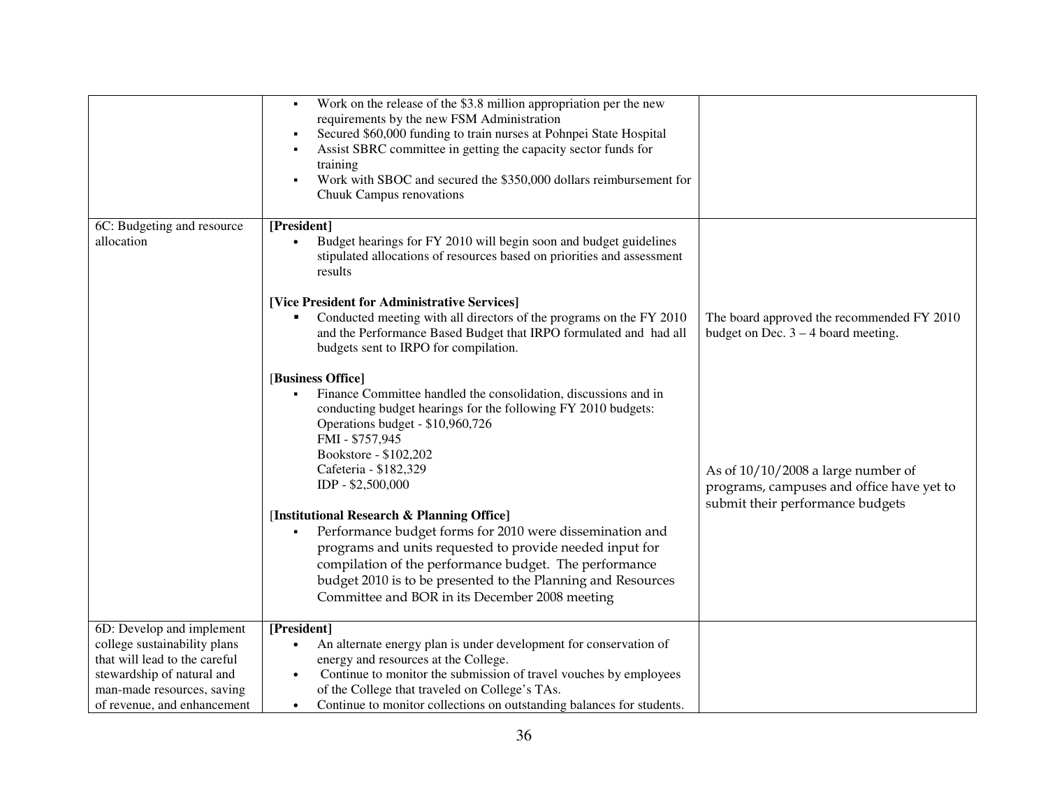|                                                                                                                                                                                       | Work on the release of the \$3.8 million appropriation per the new<br>requirements by the new FSM Administration<br>Secured \$60,000 funding to train nurses at Pohnpei State Hospital<br>Assist SBRC committee in getting the capacity sector funds for<br>٠<br>training<br>Work with SBOC and secured the \$350,000 dollars reimbursement for<br>Chuuk Campus renovations |                                                                                     |
|---------------------------------------------------------------------------------------------------------------------------------------------------------------------------------------|-----------------------------------------------------------------------------------------------------------------------------------------------------------------------------------------------------------------------------------------------------------------------------------------------------------------------------------------------------------------------------|-------------------------------------------------------------------------------------|
| 6C: Budgeting and resource<br>allocation                                                                                                                                              | [President]<br>Budget hearings for FY 2010 will begin soon and budget guidelines<br>stipulated allocations of resources based on priorities and assessment<br>results<br>[Vice President for Administrative Services]<br>Conducted meeting with all directors of the programs on the FY 2010<br>and the Performance Based Budget that IRPO formulated and had all           | The board approved the recommended FY 2010<br>budget on Dec. $3 - 4$ board meeting. |
|                                                                                                                                                                                       | budgets sent to IRPO for compilation.<br>[Business Office]<br>Finance Committee handled the consolidation, discussions and in<br>conducting budget hearings for the following FY 2010 budgets:<br>Operations budget - \$10,960,726<br>FMI - \$757,945<br>Bookstore - \$102,202<br>Cafeteria - \$182,329<br>IDP - \$2,500,000                                                | As of $10/10/2008$ a large number of<br>programs, campuses and office have yet to   |
|                                                                                                                                                                                       | [Institutional Research & Planning Office]<br>Performance budget forms for 2010 were dissemination and<br>٠<br>programs and units requested to provide needed input for<br>compilation of the performance budget. The performance<br>budget 2010 is to be presented to the Planning and Resources<br>Committee and BOR in its December 2008 meeting                         | submit their performance budgets                                                    |
| 6D: Develop and implement<br>college sustainability plans<br>that will lead to the careful<br>stewardship of natural and<br>man-made resources, saving<br>of revenue, and enhancement | [President]<br>An alternate energy plan is under development for conservation of<br>$\bullet$<br>energy and resources at the College.<br>Continue to monitor the submission of travel vouches by employees<br>$\bullet$<br>of the College that traveled on College's TAs.<br>Continue to monitor collections on outstanding balances for students.<br>$\bullet$             |                                                                                     |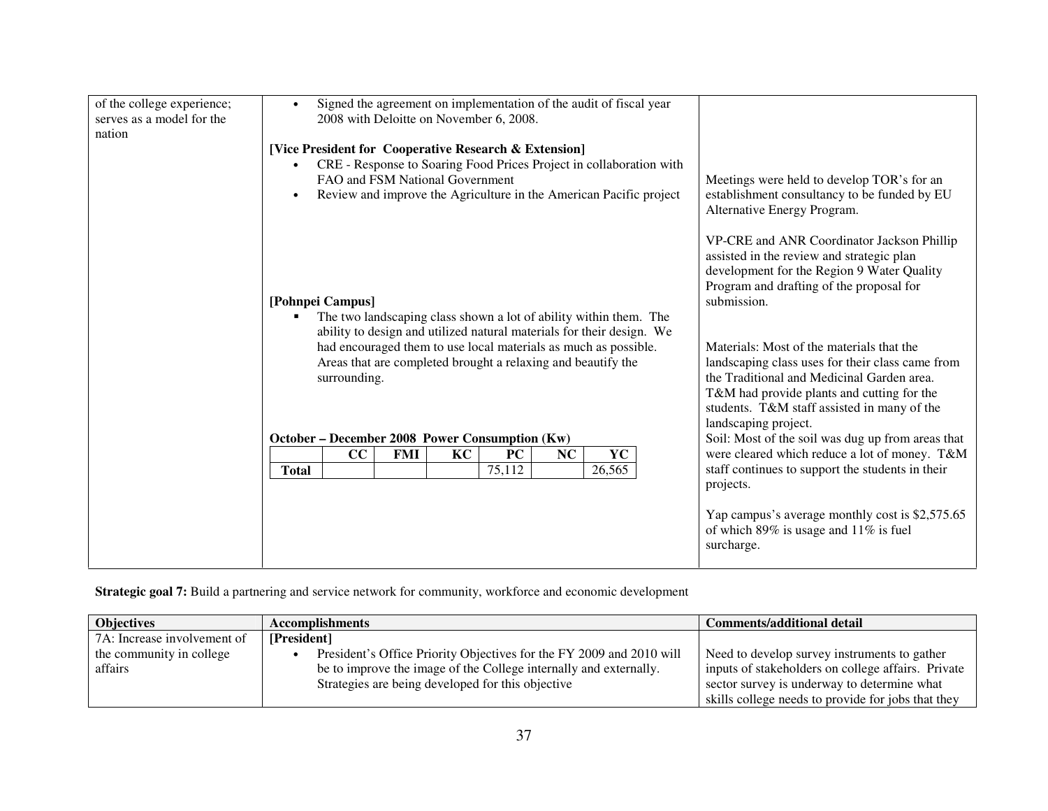| of the college experience; | Signed the agreement on implementation of the audit of fiscal year                                                                         |                                                   |
|----------------------------|--------------------------------------------------------------------------------------------------------------------------------------------|---------------------------------------------------|
| serves as a model for the  | 2008 with Deloitte on November 6, 2008.                                                                                                    |                                                   |
| nation                     |                                                                                                                                            |                                                   |
|                            | [Vice President for Cooperative Research & Extension]                                                                                      |                                                   |
|                            | CRE - Response to Soaring Food Prices Project in collaboration with<br>$\bullet$                                                           |                                                   |
|                            | FAO and FSM National Government                                                                                                            | Meetings were held to develop TOR's for an        |
|                            | Review and improve the Agriculture in the American Pacific project<br>$\bullet$                                                            | establishment consultancy to be funded by EU      |
|                            |                                                                                                                                            | Alternative Energy Program.                       |
|                            |                                                                                                                                            |                                                   |
|                            |                                                                                                                                            | VP-CRE and ANR Coordinator Jackson Phillip        |
|                            |                                                                                                                                            | assisted in the review and strategic plan         |
|                            |                                                                                                                                            | development for the Region 9 Water Quality        |
|                            |                                                                                                                                            | Program and drafting of the proposal for          |
|                            | [Pohnpei Campus]                                                                                                                           | submission.                                       |
|                            | The two landscaping class shown a lot of ability within them. The<br>ability to design and utilized natural materials for their design. We |                                                   |
|                            | had encouraged them to use local materials as much as possible.                                                                            | Materials: Most of the materials that the         |
|                            | Areas that are completed brought a relaxing and beautify the                                                                               | landscaping class uses for their class came from  |
|                            | surrounding.                                                                                                                               | the Traditional and Medicinal Garden area.        |
|                            |                                                                                                                                            | T&M had provide plants and cutting for the        |
|                            |                                                                                                                                            | students. T&M staff assisted in many of the       |
|                            |                                                                                                                                            | landscaping project.                              |
|                            | October – December 2008 Power Consumption (Kw)                                                                                             | Soil: Most of the soil was dug up from areas that |
|                            | KC<br>NC<br>YC<br>CC<br><b>FMI</b><br><b>PC</b>                                                                                            | were cleared which reduce a lot of money. T&M     |
|                            | 75,112<br><b>Total</b><br>26,565                                                                                                           | staff continues to support the students in their  |
|                            |                                                                                                                                            | projects.                                         |
|                            |                                                                                                                                            |                                                   |
|                            |                                                                                                                                            | Yap campus's average monthly cost is \$2,575.65   |
|                            |                                                                                                                                            | of which $89\%$ is usage and $11\%$ is fuel       |
|                            |                                                                                                                                            | surcharge.                                        |
|                            |                                                                                                                                            |                                                   |

**Strategic goal 7:** Build a partnering and service network for community, workforce and economic development

| <b>Objectives</b>           | <b>Accomplishments</b>                                               | Comments/additional detail                         |
|-----------------------------|----------------------------------------------------------------------|----------------------------------------------------|
| 7A: Increase involvement of | [President]                                                          |                                                    |
| the community in college    | President's Office Priority Objectives for the FY 2009 and 2010 will | Need to develop survey instruments to gather       |
| affairs                     | be to improve the image of the College internally and externally.    | inputs of stakeholders on college affairs. Private |
|                             | Strategies are being developed for this objective                    | sector survey is underway to determine what        |
|                             |                                                                      | skills college needs to provide for jobs that they |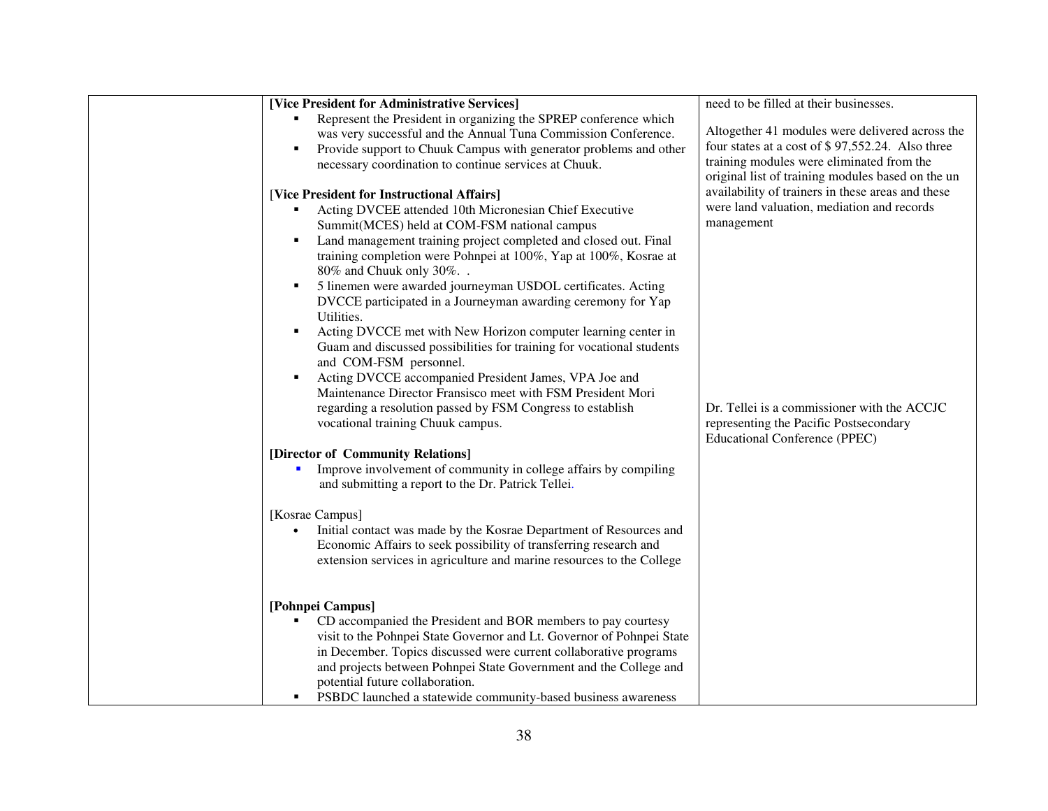| [Vice President for Administrative Services]                                                                                                                                                                                                                                                                                                                                                                                                                                                                                                                                                                                                                                                                                                                                                                                                                                                                                                                                                                                                         | need to be filled at their businesses.                                                                                                                                                                                                         |
|------------------------------------------------------------------------------------------------------------------------------------------------------------------------------------------------------------------------------------------------------------------------------------------------------------------------------------------------------------------------------------------------------------------------------------------------------------------------------------------------------------------------------------------------------------------------------------------------------------------------------------------------------------------------------------------------------------------------------------------------------------------------------------------------------------------------------------------------------------------------------------------------------------------------------------------------------------------------------------------------------------------------------------------------------|------------------------------------------------------------------------------------------------------------------------------------------------------------------------------------------------------------------------------------------------|
| Represent the President in organizing the SPREP conference which<br>was very successful and the Annual Tuna Commission Conference.<br>Provide support to Chuuk Campus with generator problems and other<br>necessary coordination to continue services at Chuuk.                                                                                                                                                                                                                                                                                                                                                                                                                                                                                                                                                                                                                                                                                                                                                                                     | Altogether 41 modules were delivered across the<br>four states at a cost of \$97,552.24. Also three<br>training modules were eliminated from the<br>original list of training modules based on the un                                          |
| [Vice President for Instructional Affairs]<br>Acting DVCEE attended 10th Micronesian Chief Executive<br>Summit(MCES) held at COM-FSM national campus<br>Land management training project completed and closed out. Final<br>training completion were Pohnpei at 100%, Yap at 100%, Kosrae at<br>80% and Chuuk only 30%<br>5 linemen were awarded journeyman USDOL certificates. Acting<br>DVCCE participated in a Journeyman awarding ceremony for Yap<br>Utilities.<br>Acting DVCCE met with New Horizon computer learning center in<br>Guam and discussed possibilities for training for vocational students<br>and COM-FSM personnel.<br>Acting DVCCE accompanied President James, VPA Joe and<br>$\blacksquare$<br>Maintenance Director Fransisco meet with FSM President Mori<br>regarding a resolution passed by FSM Congress to establish<br>vocational training Chuuk campus.<br>[Director of Community Relations]<br>Improve involvement of community in college affairs by compiling<br>and submitting a report to the Dr. Patrick Tellei. | availability of trainers in these areas and these<br>were land valuation, mediation and records<br>management<br>Dr. Tellei is a commissioner with the ACCJC<br>representing the Pacific Postsecondary<br><b>Educational Conference (PPEC)</b> |
| [Kosrae Campus]<br>Initial contact was made by the Kosrae Department of Resources and<br>$\bullet$<br>Economic Affairs to seek possibility of transferring research and<br>extension services in agriculture and marine resources to the College                                                                                                                                                                                                                                                                                                                                                                                                                                                                                                                                                                                                                                                                                                                                                                                                     |                                                                                                                                                                                                                                                |
| [Pohnpei Campus]<br>CD accompanied the President and BOR members to pay courtesy<br>visit to the Pohnpei State Governor and Lt. Governor of Pohnpei State<br>in December. Topics discussed were current collaborative programs<br>and projects between Pohnpei State Government and the College and<br>potential future collaboration.<br>PSBDC launched a statewide community-based business awareness                                                                                                                                                                                                                                                                                                                                                                                                                                                                                                                                                                                                                                              |                                                                                                                                                                                                                                                |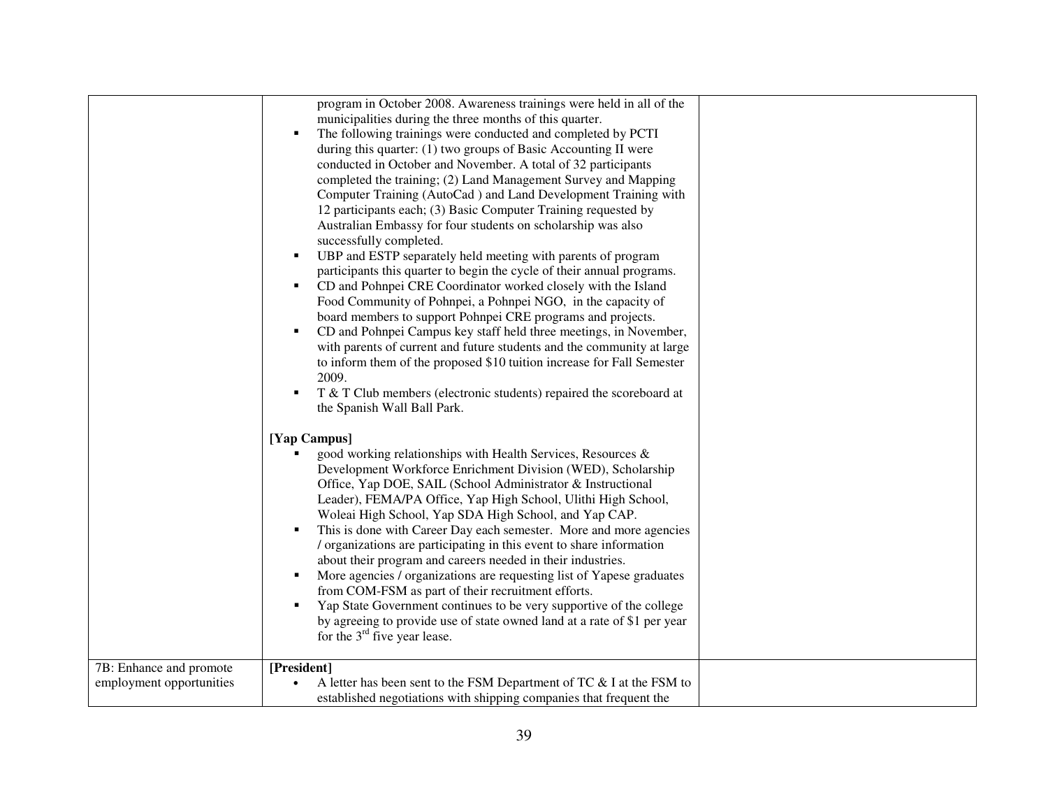|                          | program in October 2008. Awareness trainings were held in all of the<br>municipalities during the three months of this quarter.<br>The following trainings were conducted and completed by PCTI<br>during this quarter: (1) two groups of Basic Accounting II were<br>conducted in October and November. A total of 32 participants<br>completed the training; (2) Land Management Survey and Mapping<br>Computer Training (AutoCad) and Land Development Training with<br>12 participants each; (3) Basic Computer Training requested by<br>Australian Embassy for four students on scholarship was also<br>successfully completed.<br>UBP and ESTP separately held meeting with parents of program<br>٠<br>participants this quarter to begin the cycle of their annual programs.<br>CD and Pohnpei CRE Coordinator worked closely with the Island<br>$\blacksquare$<br>Food Community of Pohnpei, a Pohnpei NGO, in the capacity of<br>board members to support Pohnpei CRE programs and projects.<br>CD and Pohnpei Campus key staff held three meetings, in November,<br>with parents of current and future students and the community at large<br>to inform them of the proposed \$10 tuition increase for Fall Semester<br>2009.<br>T & T Club members (electronic students) repaired the scoreboard at<br>$\blacksquare$ |  |
|--------------------------|----------------------------------------------------------------------------------------------------------------------------------------------------------------------------------------------------------------------------------------------------------------------------------------------------------------------------------------------------------------------------------------------------------------------------------------------------------------------------------------------------------------------------------------------------------------------------------------------------------------------------------------------------------------------------------------------------------------------------------------------------------------------------------------------------------------------------------------------------------------------------------------------------------------------------------------------------------------------------------------------------------------------------------------------------------------------------------------------------------------------------------------------------------------------------------------------------------------------------------------------------------------------------------------------------------------------------------|--|
| 7B: Enhance and promote  | the Spanish Wall Ball Park.<br>[Yap Campus]<br>good working relationships with Health Services, Resources &<br>Development Workforce Enrichment Division (WED), Scholarship<br>Office, Yap DOE, SAIL (School Administrator & Instructional<br>Leader), FEMA/PA Office, Yap High School, Ulithi High School,<br>Woleai High School, Yap SDA High School, and Yap CAP.<br>This is done with Career Day each semester. More and more agencies<br>/ organizations are participating in this event to share information<br>about their program and careers needed in their industries.<br>More agencies / organizations are requesting list of Yapese graduates<br>٠<br>from COM-FSM as part of their recruitment efforts.<br>Yap State Government continues to be very supportive of the college<br>$\blacksquare$<br>by agreeing to provide use of state owned land at a rate of \$1 per year<br>for the $3rd$ five year lease.<br>[President]                                                                                                                                                                                                                                                                                                                                                                                      |  |
| employment opportunities | A letter has been sent to the FSM Department of TC & I at the FSM to<br>established negotiations with shipping companies that frequent the                                                                                                                                                                                                                                                                                                                                                                                                                                                                                                                                                                                                                                                                                                                                                                                                                                                                                                                                                                                                                                                                                                                                                                                       |  |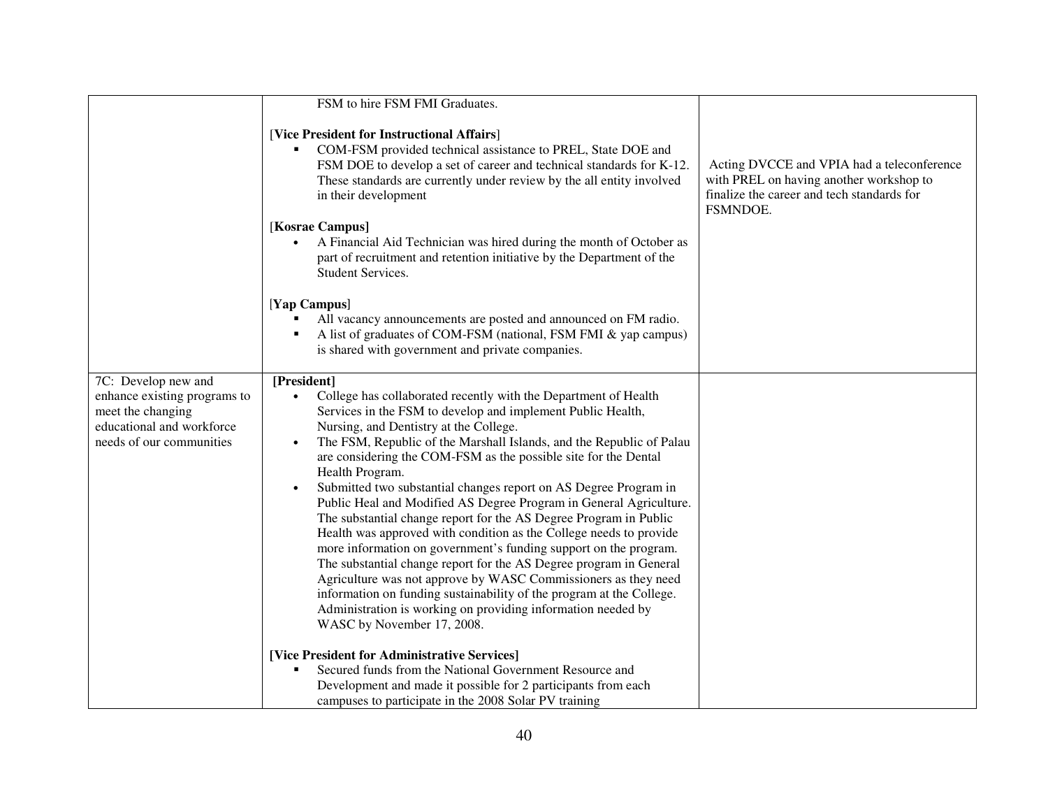|                                                                                                                                   | FSM to hire FSM FMI Graduates.                                                                                                                                                                                                                                                                                                                                                                                                                                                                                                                                                                                                                                                                                                                                                                                                                                                                                                                                                                                                            |                                                                                                                                                 |
|-----------------------------------------------------------------------------------------------------------------------------------|-------------------------------------------------------------------------------------------------------------------------------------------------------------------------------------------------------------------------------------------------------------------------------------------------------------------------------------------------------------------------------------------------------------------------------------------------------------------------------------------------------------------------------------------------------------------------------------------------------------------------------------------------------------------------------------------------------------------------------------------------------------------------------------------------------------------------------------------------------------------------------------------------------------------------------------------------------------------------------------------------------------------------------------------|-------------------------------------------------------------------------------------------------------------------------------------------------|
|                                                                                                                                   | [Vice President for Instructional Affairs]<br>COM-FSM provided technical assistance to PREL, State DOE and<br>FSM DOE to develop a set of career and technical standards for K-12.<br>These standards are currently under review by the all entity involved<br>in their development<br>[Kosrae Campus]<br>A Financial Aid Technician was hired during the month of October as<br>$\bullet$                                                                                                                                                                                                                                                                                                                                                                                                                                                                                                                                                                                                                                                | Acting DVCCE and VPIA had a teleconference<br>with PREL on having another workshop to<br>finalize the career and tech standards for<br>FSMNDOE. |
|                                                                                                                                   | part of recruitment and retention initiative by the Department of the<br>Student Services.                                                                                                                                                                                                                                                                                                                                                                                                                                                                                                                                                                                                                                                                                                                                                                                                                                                                                                                                                |                                                                                                                                                 |
|                                                                                                                                   | [Yap Campus]<br>All vacancy announcements are posted and announced on FM radio.<br>A list of graduates of COM-FSM (national, FSM FMI & yap campus)<br>is shared with government and private companies.                                                                                                                                                                                                                                                                                                                                                                                                                                                                                                                                                                                                                                                                                                                                                                                                                                    |                                                                                                                                                 |
| 7C: Develop new and<br>enhance existing programs to<br>meet the changing<br>educational and workforce<br>needs of our communities | [President]<br>College has collaborated recently with the Department of Health<br>Services in the FSM to develop and implement Public Health,<br>Nursing, and Dentistry at the College.<br>The FSM, Republic of the Marshall Islands, and the Republic of Palau<br>$\bullet$<br>are considering the COM-FSM as the possible site for the Dental<br>Health Program.<br>Submitted two substantial changes report on AS Degree Program in<br>Public Heal and Modified AS Degree Program in General Agriculture.<br>The substantial change report for the AS Degree Program in Public<br>Health was approved with condition as the College needs to provide<br>more information on government's funding support on the program.<br>The substantial change report for the AS Degree program in General<br>Agriculture was not approve by WASC Commissioners as they need<br>information on funding sustainability of the program at the College.<br>Administration is working on providing information needed by<br>WASC by November 17, 2008. |                                                                                                                                                 |
|                                                                                                                                   | [Vice President for Administrative Services]<br>Secured funds from the National Government Resource and<br>Development and made it possible for 2 participants from each<br>campuses to participate in the 2008 Solar PV training                                                                                                                                                                                                                                                                                                                                                                                                                                                                                                                                                                                                                                                                                                                                                                                                         |                                                                                                                                                 |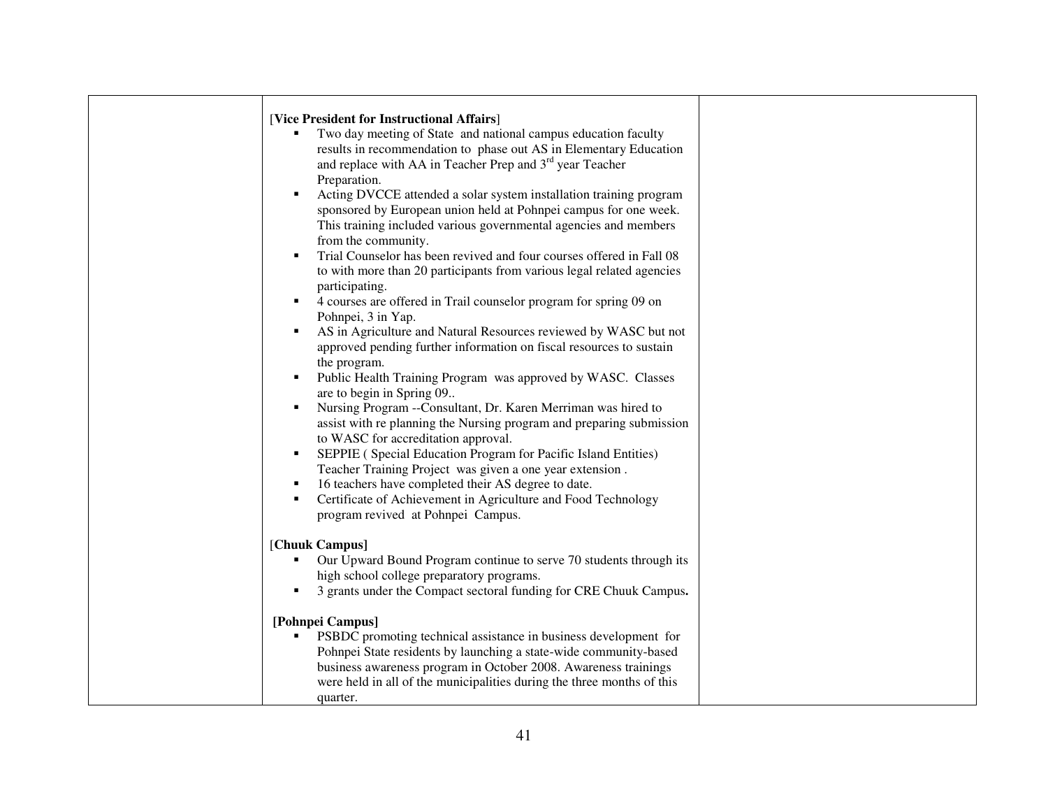| [Vice President for Instructional Affairs]<br>Two day meeting of State and national campus education faculty<br>results in recommendation to phase out AS in Elementary Education<br>and replace with AA in Teacher Prep and 3 <sup>rd</sup> year Teacher<br>Preparation.<br>Acting DVCCE attended a solar system installation training program<br>sponsored by European union held at Pohnpei campus for one week.<br>This training included various governmental agencies and members<br>from the community.<br>Trial Counselor has been revived and four courses offered in Fall 08<br>٠<br>to with more than 20 participants from various legal related agencies<br>participating.<br>4 courses are offered in Trail counselor program for spring 09 on<br>٠<br>Pohnpei, 3 in Yap.<br>AS in Agriculture and Natural Resources reviewed by WASC but not<br>٠<br>approved pending further information on fiscal resources to sustain<br>the program.<br>Public Health Training Program was approved by WASC. Classes<br>are to begin in Spring 09<br>Nursing Program --Consultant, Dr. Karen Merriman was hired to<br>$\blacksquare$<br>assist with replanning the Nursing program and preparing submission<br>to WASC for accreditation approval.<br>SEPPIE (Special Education Program for Pacific Island Entities)<br>٠<br>Teacher Training Project was given a one year extension.<br>16 teachers have completed their AS degree to date. |  |
|------------------------------------------------------------------------------------------------------------------------------------------------------------------------------------------------------------------------------------------------------------------------------------------------------------------------------------------------------------------------------------------------------------------------------------------------------------------------------------------------------------------------------------------------------------------------------------------------------------------------------------------------------------------------------------------------------------------------------------------------------------------------------------------------------------------------------------------------------------------------------------------------------------------------------------------------------------------------------------------------------------------------------------------------------------------------------------------------------------------------------------------------------------------------------------------------------------------------------------------------------------------------------------------------------------------------------------------------------------------------------------------------------------------------------------------------|--|
| Certificate of Achievement in Agriculture and Food Technology<br>٠<br>program revived at Pohnpei Campus.                                                                                                                                                                                                                                                                                                                                                                                                                                                                                                                                                                                                                                                                                                                                                                                                                                                                                                                                                                                                                                                                                                                                                                                                                                                                                                                                       |  |
| [Chuuk Campus]<br>Our Upward Bound Program continue to serve 70 students through its<br>high school college preparatory programs.<br>3 grants under the Compact sectoral funding for CRE Chuuk Campus.                                                                                                                                                                                                                                                                                                                                                                                                                                                                                                                                                                                                                                                                                                                                                                                                                                                                                                                                                                                                                                                                                                                                                                                                                                         |  |
| [Pohnpei Campus]<br>PSBDC promoting technical assistance in business development for<br>Pohnpei State residents by launching a state-wide community-based<br>business awareness program in October 2008. Awareness trainings<br>were held in all of the municipalities during the three months of this<br>quarter.                                                                                                                                                                                                                                                                                                                                                                                                                                                                                                                                                                                                                                                                                                                                                                                                                                                                                                                                                                                                                                                                                                                             |  |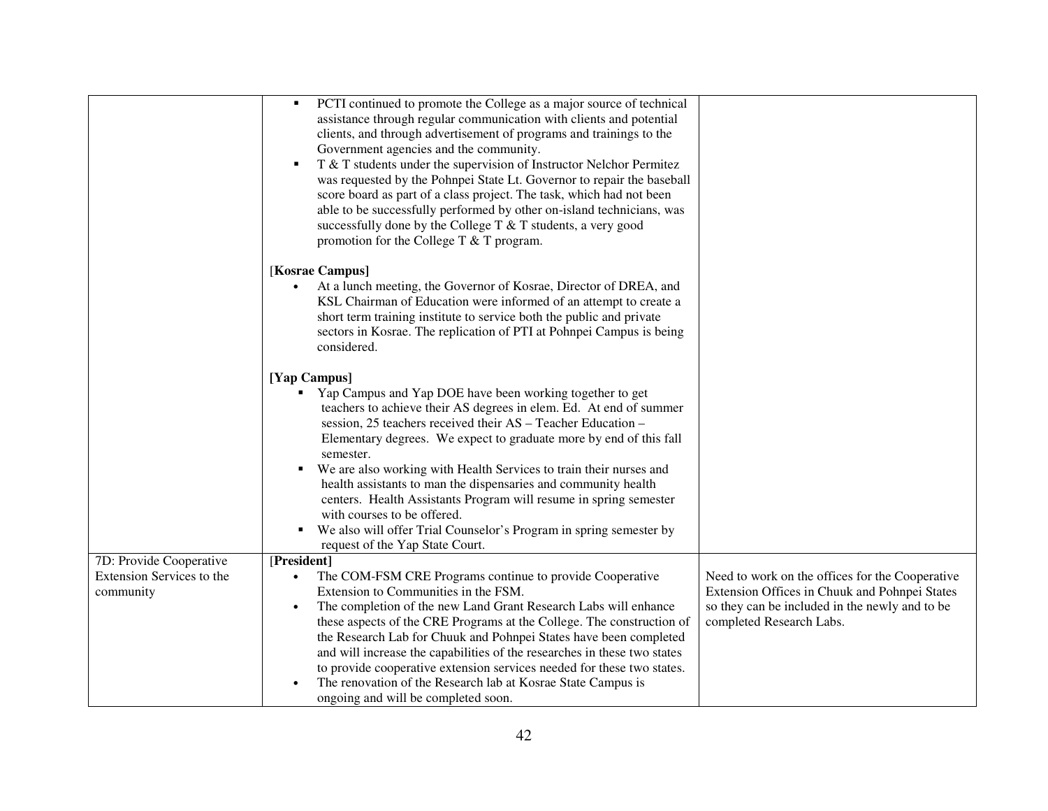|                                                                   | PCTI continued to promote the College as a major source of technical<br>$\blacksquare$<br>assistance through regular communication with clients and potential<br>clients, and through advertisement of programs and trainings to the<br>Government agencies and the community.<br>T & T students under the supervision of Instructor Nelchor Permitez<br>٠<br>was requested by the Pohnpei State Lt. Governor to repair the baseball<br>score board as part of a class project. The task, which had not been<br>able to be successfully performed by other on-island technicians, was<br>successfully done by the College T & T students, a very good<br>promotion for the College T $&$ T program. |                                                                                                                                                                                |
|-------------------------------------------------------------------|-----------------------------------------------------------------------------------------------------------------------------------------------------------------------------------------------------------------------------------------------------------------------------------------------------------------------------------------------------------------------------------------------------------------------------------------------------------------------------------------------------------------------------------------------------------------------------------------------------------------------------------------------------------------------------------------------------|--------------------------------------------------------------------------------------------------------------------------------------------------------------------------------|
|                                                                   | [Kosrae Campus]<br>At a lunch meeting, the Governor of Kosrae, Director of DREA, and<br>$\bullet$<br>KSL Chairman of Education were informed of an attempt to create a<br>short term training institute to service both the public and private<br>sectors in Kosrae. The replication of PTI at Pohnpei Campus is being<br>considered.                                                                                                                                                                                                                                                                                                                                                               |                                                                                                                                                                                |
|                                                                   | [Yap Campus]<br>Yap Campus and Yap DOE have been working together to get<br>teachers to achieve their AS degrees in elem. Ed. At end of summer<br>session, 25 teachers received their AS - Teacher Education -<br>Elementary degrees. We expect to graduate more by end of this fall<br>semester.<br>We are also working with Health Services to train their nurses and<br>٠<br>health assistants to man the dispensaries and community health<br>centers. Health Assistants Program will resume in spring semester<br>with courses to be offered.<br>We also will offer Trial Counselor's Program in spring semester by<br>request of the Yap State Court.                                         |                                                                                                                                                                                |
| 7D: Provide Cooperative<br>Extension Services to the<br>community | [President]<br>The COM-FSM CRE Programs continue to provide Cooperative<br>Extension to Communities in the FSM.<br>The completion of the new Land Grant Research Labs will enhance<br>$\bullet$<br>these aspects of the CRE Programs at the College. The construction of<br>the Research Lab for Chuuk and Pohnpei States have been completed<br>and will increase the capabilities of the researches in these two states<br>to provide cooperative extension services needed for these two states.<br>The renovation of the Research lab at Kosrae State Campus is<br>ongoing and will be completed soon.                                                                                          | Need to work on the offices for the Cooperative<br>Extension Offices in Chuuk and Pohnpei States<br>so they can be included in the newly and to be<br>completed Research Labs. |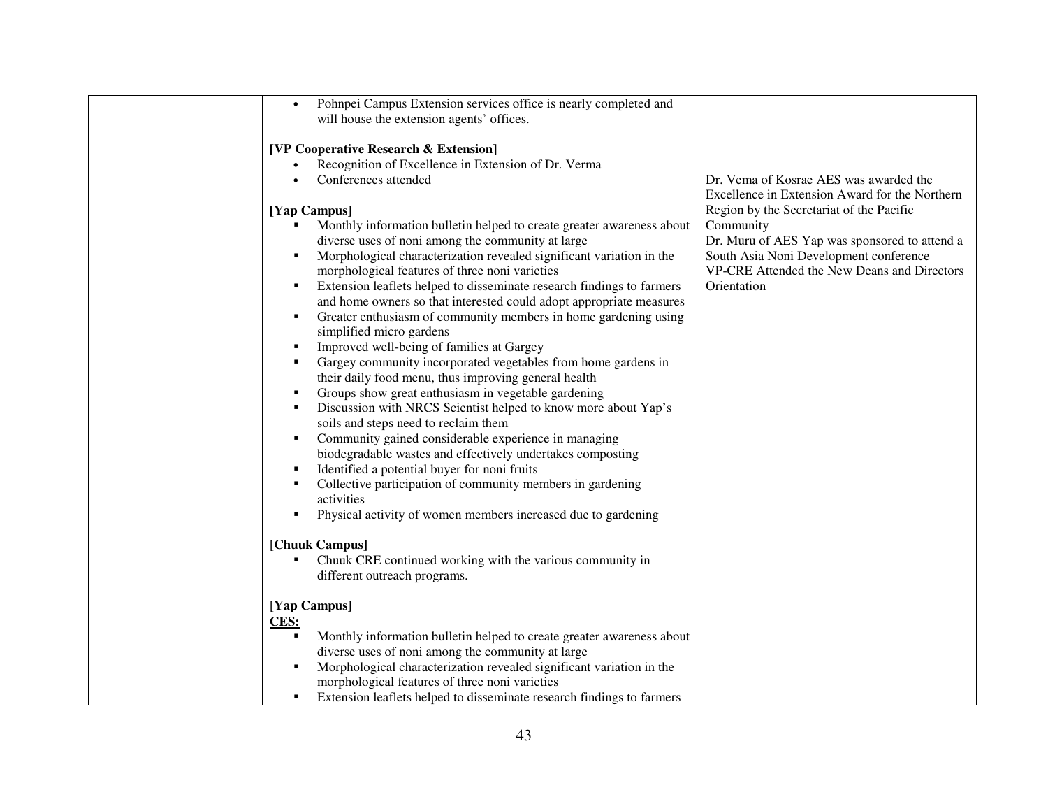| Pohnpei Campus Extension services office is nearly completed and<br>$\bullet$ |                                                |
|-------------------------------------------------------------------------------|------------------------------------------------|
| will house the extension agents' offices.                                     |                                                |
|                                                                               |                                                |
| [VP Cooperative Research & Extension]                                         |                                                |
| Recognition of Excellence in Extension of Dr. Verma                           |                                                |
| Conferences attended<br>$\bullet$                                             | Dr. Vema of Kosrae AES was awarded the         |
|                                                                               | Excellence in Extension Award for the Northern |
| [Yap Campus]                                                                  | Region by the Secretariat of the Pacific       |
| Monthly information bulletin helped to create greater awareness about         | Community                                      |
| diverse uses of noni among the community at large                             | Dr. Muru of AES Yap was sponsored to attend a  |
| п                                                                             |                                                |
| Morphological characterization revealed significant variation in the          | South Asia Noni Development conference         |
| morphological features of three noni varieties                                | VP-CRE Attended the New Deans and Directors    |
| Extension leaflets helped to disseminate research findings to farmers<br>٠    | Orientation                                    |
| and home owners so that interested could adopt appropriate measures           |                                                |
| Greater enthusiasm of community members in home gardening using<br>٠          |                                                |
| simplified micro gardens                                                      |                                                |
| Improved well-being of families at Gargey<br>٠                                |                                                |
| Gargey community incorporated vegetables from home gardens in                 |                                                |
| their daily food menu, thus improving general health                          |                                                |
| Groups show great enthusiasm in vegetable gardening<br>п                      |                                                |
| Discussion with NRCS Scientist helped to know more about Yap's<br>п           |                                                |
| soils and steps need to reclaim them                                          |                                                |
| Community gained considerable experience in managing<br>п                     |                                                |
| biodegradable wastes and effectively undertakes composting                    |                                                |
| Identified a potential buyer for noni fruits<br>п                             |                                                |
| Collective participation of community members in gardening<br>п               |                                                |
| activities                                                                    |                                                |
| Physical activity of women members increased due to gardening<br>п            |                                                |
|                                                                               |                                                |
| [Chuuk Campus]                                                                |                                                |
| Chuuk CRE continued working with the various community in                     |                                                |
|                                                                               |                                                |
| different outreach programs.                                                  |                                                |
|                                                                               |                                                |
| [Yap Campus]                                                                  |                                                |
| CES:                                                                          |                                                |
| Monthly information bulletin helped to create greater awareness about         |                                                |
| diverse uses of noni among the community at large                             |                                                |
| Morphological characterization revealed significant variation in the          |                                                |
| morphological features of three noni varieties                                |                                                |
| Extension leaflets helped to disseminate research findings to farmers         |                                                |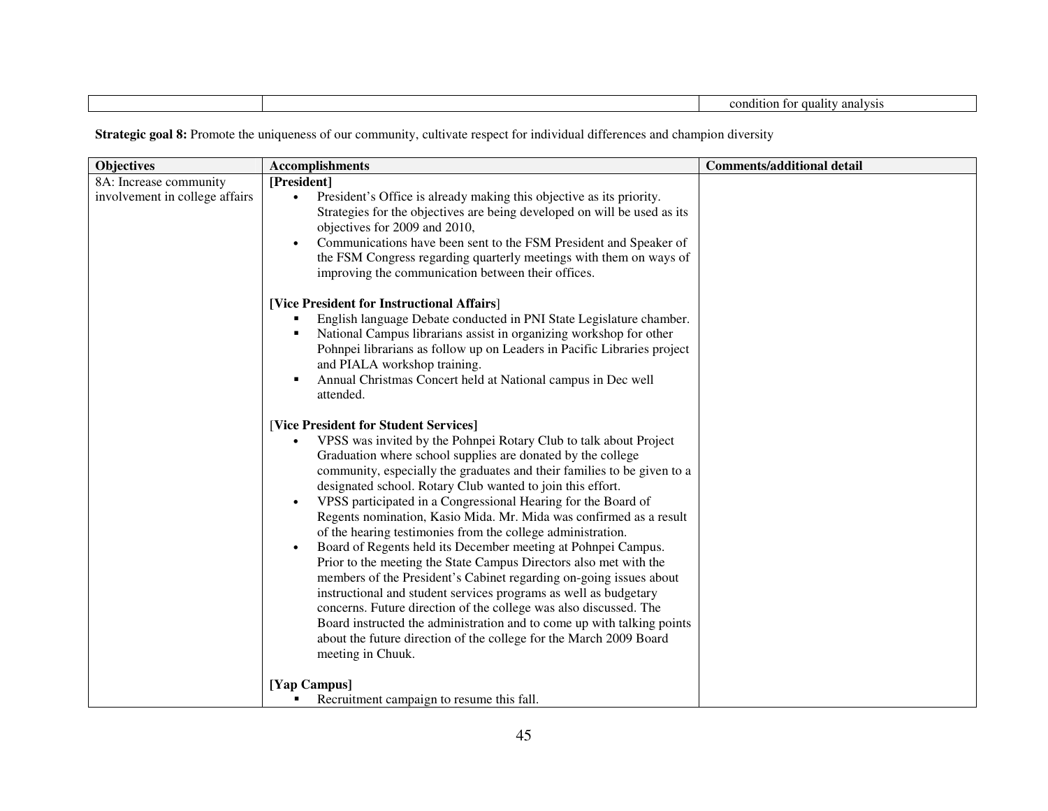| condition<br><sup>7</sup> analysis<br><b>Tuality</b><br>TOT |
|-------------------------------------------------------------|
|-------------------------------------------------------------|

| 8A: Increase community<br>[President]<br>involvement in college affairs<br>President's Office is already making this objective as its priority.<br>$\bullet$<br>Strategies for the objectives are being developed on will be used as its |  |
|------------------------------------------------------------------------------------------------------------------------------------------------------------------------------------------------------------------------------------------|--|
|                                                                                                                                                                                                                                          |  |
|                                                                                                                                                                                                                                          |  |
|                                                                                                                                                                                                                                          |  |
| objectives for 2009 and 2010,                                                                                                                                                                                                            |  |
| Communications have been sent to the FSM President and Speaker of<br>$\bullet$                                                                                                                                                           |  |
| the FSM Congress regarding quarterly meetings with them on ways of                                                                                                                                                                       |  |
| improving the communication between their offices.                                                                                                                                                                                       |  |
| [Vice President for Instructional Affairs]                                                                                                                                                                                               |  |
| English language Debate conducted in PNI State Legislature chamber.                                                                                                                                                                      |  |
| National Campus librarians assist in organizing workshop for other                                                                                                                                                                       |  |
| Pohnpei librarians as follow up on Leaders in Pacific Libraries project                                                                                                                                                                  |  |
| and PIALA workshop training.                                                                                                                                                                                                             |  |
| Annual Christmas Concert held at National campus in Dec well                                                                                                                                                                             |  |
| attended.                                                                                                                                                                                                                                |  |
| [Vice President for Student Services]                                                                                                                                                                                                    |  |
| VPSS was invited by the Pohnpei Rotary Club to talk about Project                                                                                                                                                                        |  |
| Graduation where school supplies are donated by the college                                                                                                                                                                              |  |
| community, especially the graduates and their families to be given to a                                                                                                                                                                  |  |
| designated school. Rotary Club wanted to join this effort.                                                                                                                                                                               |  |
| VPSS participated in a Congressional Hearing for the Board of<br>$\bullet$                                                                                                                                                               |  |
| Regents nomination, Kasio Mida. Mr. Mida was confirmed as a result                                                                                                                                                                       |  |
| of the hearing testimonies from the college administration.                                                                                                                                                                              |  |
| Board of Regents held its December meeting at Pohnpei Campus.<br>$\bullet$                                                                                                                                                               |  |
| Prior to the meeting the State Campus Directors also met with the                                                                                                                                                                        |  |
| members of the President's Cabinet regarding on-going issues about                                                                                                                                                                       |  |
| instructional and student services programs as well as budgetary                                                                                                                                                                         |  |
| concerns. Future direction of the college was also discussed. The                                                                                                                                                                        |  |
| Board instructed the administration and to come up with talking points                                                                                                                                                                   |  |
| about the future direction of the college for the March 2009 Board                                                                                                                                                                       |  |
| meeting in Chuuk.                                                                                                                                                                                                                        |  |
| [Yap Campus]                                                                                                                                                                                                                             |  |
| Recruitment campaign to resume this fall.<br>п                                                                                                                                                                                           |  |

**Strategic goal 8:** Promote the uniqueness of our community, cultivate respect for individual differences and champion diversity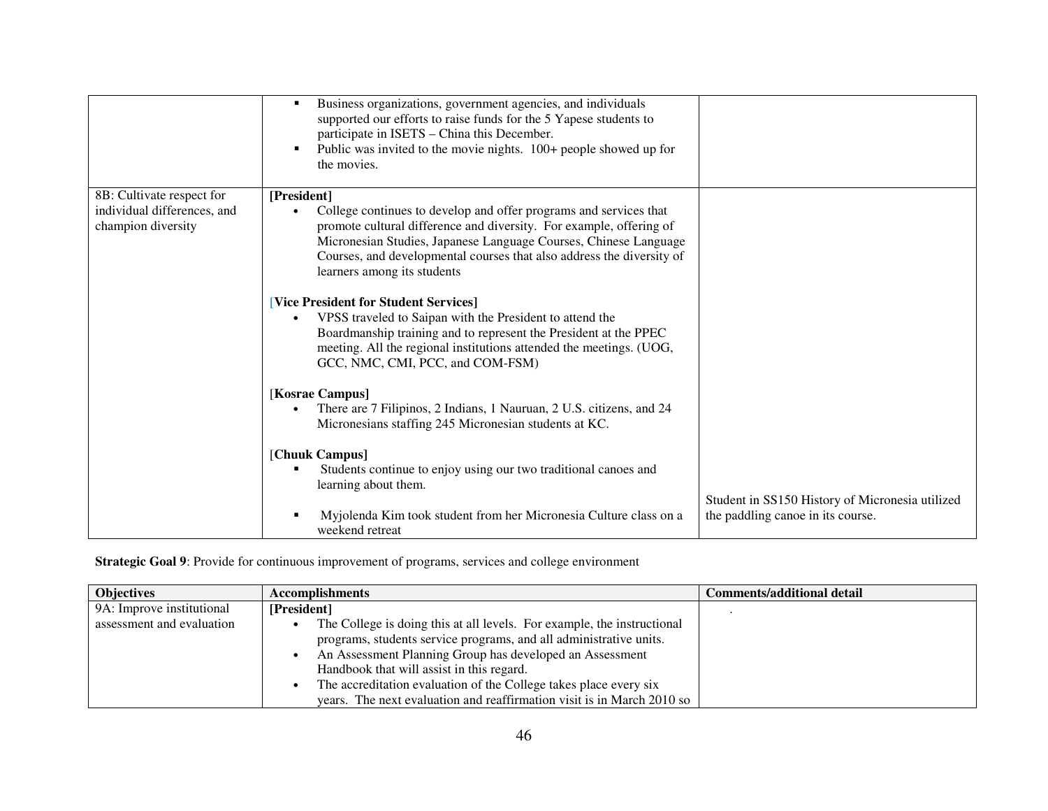|                                                                                | Business organizations, government agencies, and individuals<br>$\blacksquare$<br>supported our efforts to raise funds for the 5 Yapese students to<br>participate in ISETS - China this December.<br>Public was invited to the movie nights. 100+ people showed up for<br>П<br>the movies.                                         |                                                                                      |
|--------------------------------------------------------------------------------|-------------------------------------------------------------------------------------------------------------------------------------------------------------------------------------------------------------------------------------------------------------------------------------------------------------------------------------|--------------------------------------------------------------------------------------|
| 8B: Cultivate respect for<br>individual differences, and<br>champion diversity | [President]<br>College continues to develop and offer programs and services that<br>promote cultural difference and diversity. For example, offering of<br>Micronesian Studies, Japanese Language Courses, Chinese Language<br>Courses, and developmental courses that also address the diversity of<br>learners among its students |                                                                                      |
|                                                                                | [Vice President for Student Services]<br>VPSS traveled to Saipan with the President to attend the<br>$\bullet$<br>Boardmanship training and to represent the President at the PPEC<br>meeting. All the regional institutions attended the meetings. (UOG,<br>GCC, NMC, CMI, PCC, and COM-FSM)                                       |                                                                                      |
|                                                                                | [Kosrae Campus]<br>There are 7 Filipinos, 2 Indians, 1 Nauruan, 2 U.S. citizens, and 24<br>Micronesians staffing 245 Micronesian students at KC.                                                                                                                                                                                    |                                                                                      |
|                                                                                | [Chuuk Campus]<br>Students continue to enjoy using our two traditional canoes and<br>learning about them.<br>Myjolenda Kim took student from her Micronesia Culture class on a<br>п<br>weekend retreat                                                                                                                              | Student in SS150 History of Micronesia utilized<br>the paddling canoe in its course. |

**Strategic Goal 9**: Provide for continuous improvement of programs, services and college environment

| <b>Objectives</b>         | <b>Accomplishments</b>                                                  | <b>Comments/additional detail</b> |
|---------------------------|-------------------------------------------------------------------------|-----------------------------------|
| 9A: Improve institutional | [President]                                                             |                                   |
| assessment and evaluation | The College is doing this at all levels. For example, the instructional |                                   |
|                           | programs, students service programs, and all administrative units.      |                                   |
|                           | An Assessment Planning Group has developed an Assessment                |                                   |
|                           | Handbook that will assist in this regard.                               |                                   |
|                           | The accreditation evaluation of the College takes place every six       |                                   |
|                           | years. The next evaluation and reaffirmation visit is in March 2010 so  |                                   |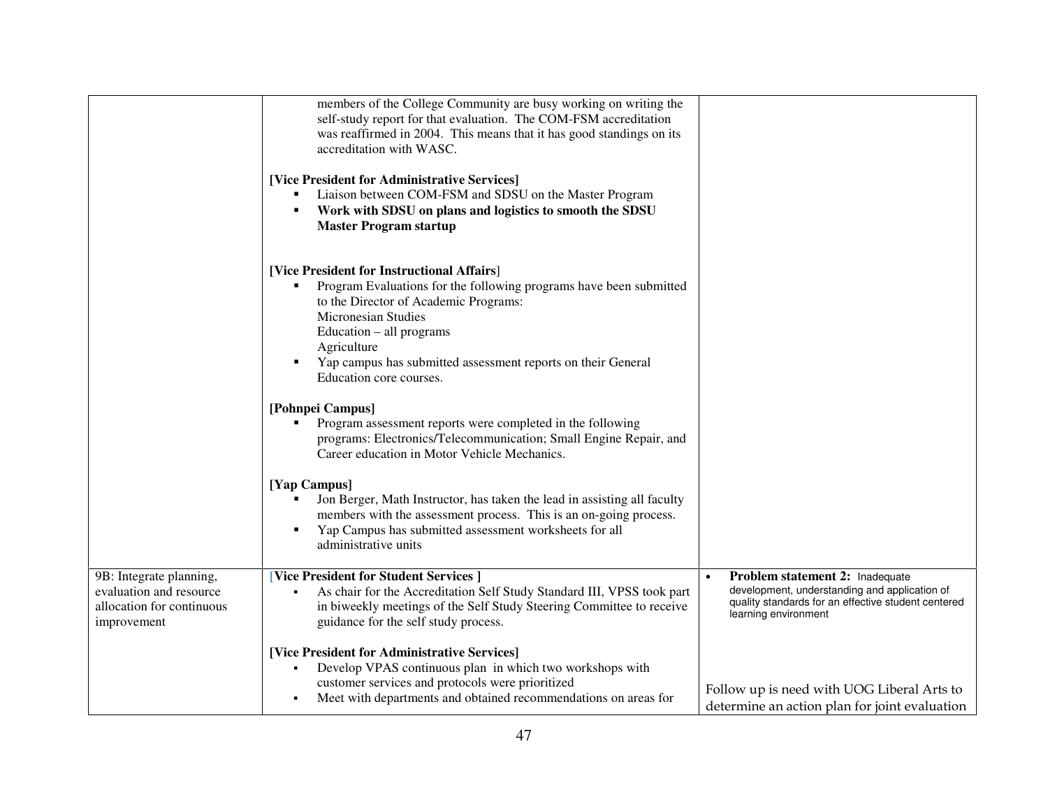|                                                                                                | members of the College Community are busy working on writing the<br>self-study report for that evaluation. The COM-FSM accreditation<br>was reaffirmed in 2004. This means that it has good standings on its<br>accreditation with WASC.                                                                                    |                                                                                                                                                                 |
|------------------------------------------------------------------------------------------------|-----------------------------------------------------------------------------------------------------------------------------------------------------------------------------------------------------------------------------------------------------------------------------------------------------------------------------|-----------------------------------------------------------------------------------------------------------------------------------------------------------------|
|                                                                                                | [Vice President for Administrative Services]<br>Liaison between COM-FSM and SDSU on the Master Program<br>п<br>Work with SDSU on plans and logistics to smooth the SDSU<br>п<br><b>Master Program startup</b>                                                                                                               |                                                                                                                                                                 |
|                                                                                                | [Vice President for Instructional Affairs]<br>Program Evaluations for the following programs have been submitted<br>to the Director of Academic Programs:<br>Micronesian Studies<br>Education – all programs<br>Agriculture<br>Yap campus has submitted assessment reports on their General<br>п<br>Education core courses. |                                                                                                                                                                 |
|                                                                                                | [Pohnpei Campus]<br>Program assessment reports were completed in the following<br>programs: Electronics/Telecommunication; Small Engine Repair, and<br>Career education in Motor Vehicle Mechanics.                                                                                                                         |                                                                                                                                                                 |
|                                                                                                | [Yap Campus]<br>Jon Berger, Math Instructor, has taken the lead in assisting all faculty<br>members with the assessment process. This is an on-going process.<br>Yap Campus has submitted assessment worksheets for all<br>administrative units                                                                             |                                                                                                                                                                 |
| 9B: Integrate planning,<br>evaluation and resource<br>allocation for continuous<br>improvement | [Vice President for Student Services]<br>As chair for the Accreditation Self Study Standard III, VPSS took part<br>in biweekly meetings of the Self Study Steering Committee to receive<br>guidance for the self study process.                                                                                             | Problem statement 2: Inadequate<br>development, understanding and application of<br>quality standards for an effective student centered<br>learning environment |
|                                                                                                | [Vice President for Administrative Services]<br>Develop VPAS continuous plan in which two workshops with<br>$\blacksquare$<br>customer services and protocols were prioritized<br>Meet with departments and obtained recommendations on areas for<br>٠                                                                      | Follow up is need with UOG Liberal Arts to<br>determine an action plan for joint evaluation                                                                     |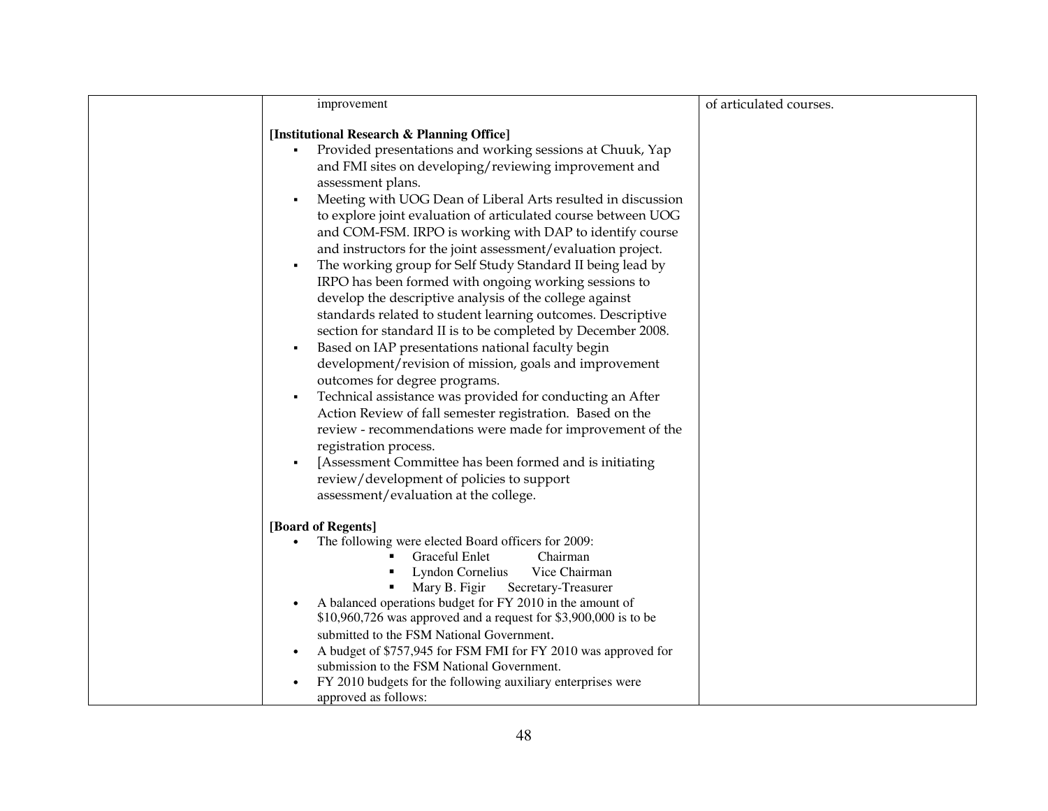| improvement                                                                                                                 | of articulated courses. |
|-----------------------------------------------------------------------------------------------------------------------------|-------------------------|
|                                                                                                                             |                         |
| [Institutional Research & Planning Office]                                                                                  |                         |
| Provided presentations and working sessions at Chuuk, Yap<br>٠                                                              |                         |
| and FMI sites on developing/reviewing improvement and                                                                       |                         |
| assessment plans.                                                                                                           |                         |
| Meeting with UOG Dean of Liberal Arts resulted in discussion                                                                |                         |
| to explore joint evaluation of articulated course between UOG                                                               |                         |
| and COM-FSM. IRPO is working with DAP to identify course                                                                    |                         |
| and instructors for the joint assessment/evaluation project.                                                                |                         |
| The working group for Self Study Standard II being lead by<br>٠                                                             |                         |
| IRPO has been formed with ongoing working sessions to                                                                       |                         |
| develop the descriptive analysis of the college against                                                                     |                         |
| standards related to student learning outcomes. Descriptive<br>section for standard II is to be completed by December 2008. |                         |
| Based on IAP presentations national faculty begin<br>٠                                                                      |                         |
| development/revision of mission, goals and improvement                                                                      |                         |
| outcomes for degree programs.                                                                                               |                         |
| Technical assistance was provided for conducting an After<br>$\blacksquare$                                                 |                         |
| Action Review of fall semester registration. Based on the                                                                   |                         |
| review - recommendations were made for improvement of the                                                                   |                         |
| registration process.                                                                                                       |                         |
| [Assessment Committee has been formed and is initiating                                                                     |                         |
| review/development of policies to support                                                                                   |                         |
| assessment/evaluation at the college.                                                                                       |                         |
| [Board of Regents]                                                                                                          |                         |
| The following were elected Board officers for 2009:                                                                         |                         |
| Graceful Enlet<br>Chairman                                                                                                  |                         |
| Lyndon Cornelius<br>Vice Chairman                                                                                           |                         |
| Mary B. Figir<br>Secretary-Treasurer                                                                                        |                         |
| A balanced operations budget for FY 2010 in the amount of                                                                   |                         |
| $$10,960,726$ was approved and a request for $$3,900,000$ is to be                                                          |                         |
| submitted to the FSM National Government.                                                                                   |                         |
| A budget of \$757,945 for FSM FMI for FY 2010 was approved for<br>submission to the FSM National Government.                |                         |
| FY 2010 budgets for the following auxiliary enterprises were                                                                |                         |
| approved as follows:                                                                                                        |                         |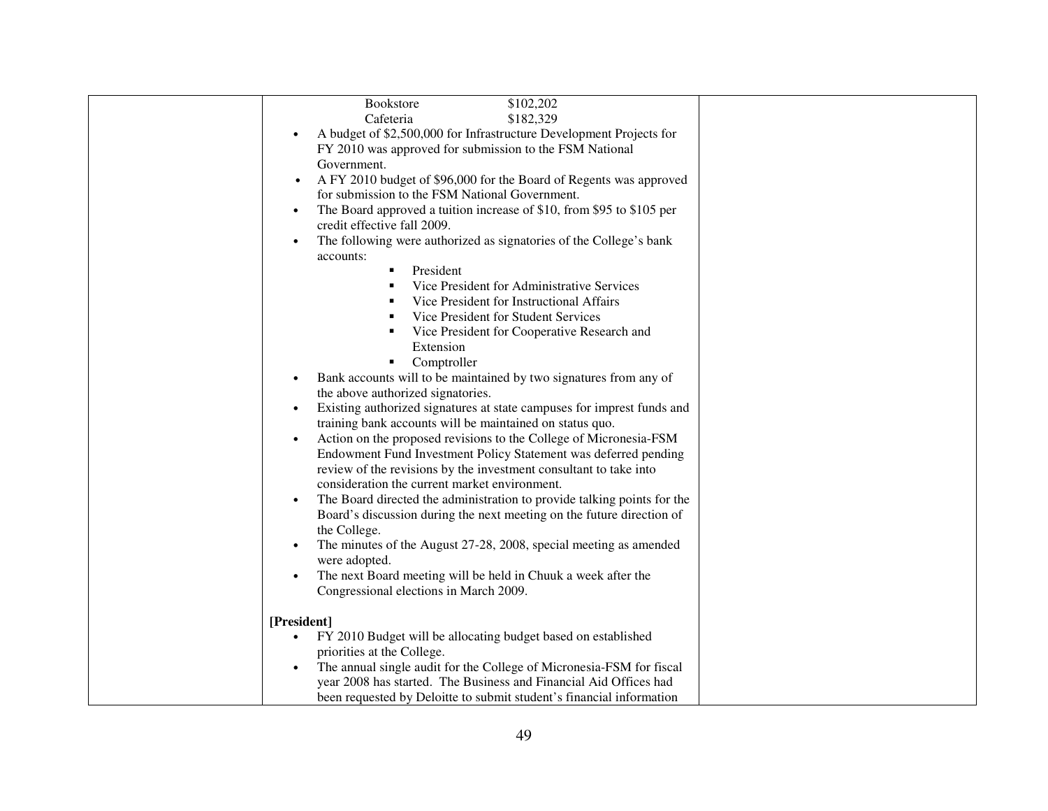| \$102,202<br><b>Bookstore</b>                                                      |  |
|------------------------------------------------------------------------------------|--|
| Cafeteria<br>\$182,329                                                             |  |
| A budget of \$2,500,000 for Infrastructure Development Projects for                |  |
| FY 2010 was approved for submission to the FSM National                            |  |
| Government.                                                                        |  |
| A FY 2010 budget of \$96,000 for the Board of Regents was approved                 |  |
| for submission to the FSM National Government.                                     |  |
|                                                                                    |  |
| The Board approved a tuition increase of \$10, from \$95 to \$105 per<br>$\bullet$ |  |
| credit effective fall 2009.                                                        |  |
| The following were authorized as signatories of the College's bank                 |  |
| accounts:                                                                          |  |
| President<br>٠                                                                     |  |
| Vice President for Administrative Services                                         |  |
| Vice President for Instructional Affairs                                           |  |
| Vice President for Student Services                                                |  |
| Vice President for Cooperative Research and                                        |  |
| Extension                                                                          |  |
| Comptroller<br>٠                                                                   |  |
| Bank accounts will to be maintained by two signatures from any of                  |  |
| the above authorized signatories.                                                  |  |
| Existing authorized signatures at state campuses for imprest funds and             |  |
| training bank accounts will be maintained on status quo.                           |  |
| Action on the proposed revisions to the College of Micronesia-FSM                  |  |
| Endowment Fund Investment Policy Statement was deferred pending                    |  |
| review of the revisions by the investment consultant to take into                  |  |
| consideration the current market environment.                                      |  |
| The Board directed the administration to provide talking points for the            |  |
| Board's discussion during the next meeting on the future direction of              |  |
| the College.                                                                       |  |
| The minutes of the August 27-28, 2008, special meeting as amended                  |  |
| were adopted.                                                                      |  |
| The next Board meeting will be held in Chuuk a week after the                      |  |
| Congressional elections in March 2009.                                             |  |
|                                                                                    |  |
|                                                                                    |  |
| [President]                                                                        |  |
| FY 2010 Budget will be allocating budget based on established<br>$\bullet$         |  |
| priorities at the College.                                                         |  |
| The annual single audit for the College of Micronesia-FSM for fiscal               |  |
| year 2008 has started. The Business and Financial Aid Offices had                  |  |
| been requested by Deloitte to submit student's financial information               |  |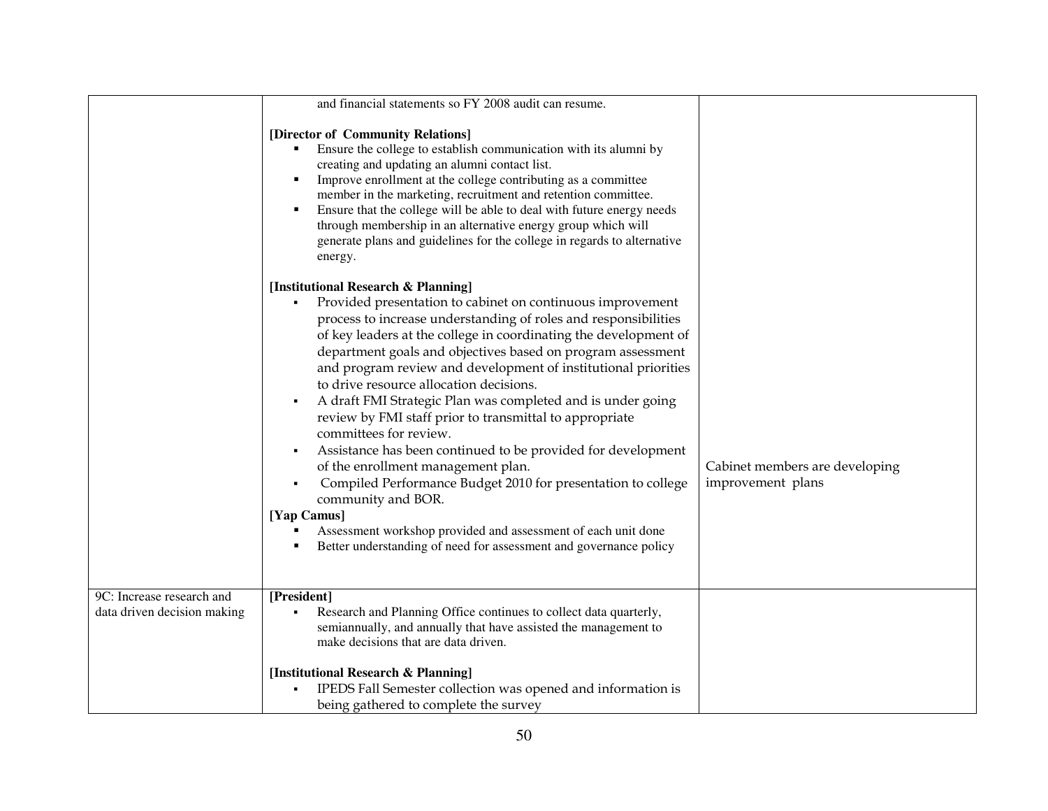|                             | and financial statements so FY 2008 audit can resume.                                                                                                                                                                                                                                                                                                                                                                                                                                                                                                                                                                                                                                                                                                                                                                                                                                                                                                      |                                                     |
|-----------------------------|------------------------------------------------------------------------------------------------------------------------------------------------------------------------------------------------------------------------------------------------------------------------------------------------------------------------------------------------------------------------------------------------------------------------------------------------------------------------------------------------------------------------------------------------------------------------------------------------------------------------------------------------------------------------------------------------------------------------------------------------------------------------------------------------------------------------------------------------------------------------------------------------------------------------------------------------------------|-----------------------------------------------------|
|                             | [Director of Community Relations]<br>Ensure the college to establish communication with its alumni by<br>creating and updating an alumni contact list.<br>Improve enrollment at the college contributing as a committee<br>٠<br>member in the marketing, recruitment and retention committee.<br>Ensure that the college will be able to deal with future energy needs<br>٠<br>through membership in an alternative energy group which will<br>generate plans and guidelines for the college in regards to alternative<br>energy.                                                                                                                                                                                                                                                                                                                                                                                                                          |                                                     |
|                             | [Institutional Research & Planning]<br>Provided presentation to cabinet on continuous improvement<br>$\blacksquare$<br>process to increase understanding of roles and responsibilities<br>of key leaders at the college in coordinating the development of<br>department goals and objectives based on program assessment<br>and program review and development of institutional priorities<br>to drive resource allocation decisions.<br>A draft FMI Strategic Plan was completed and is under going<br>٠<br>review by FMI staff prior to transmittal to appropriate<br>committees for review.<br>Assistance has been continued to be provided for development<br>٠<br>of the enrollment management plan.<br>Compiled Performance Budget 2010 for presentation to college<br>٠<br>community and BOR.<br>[Yap Camus]<br>Assessment workshop provided and assessment of each unit done<br>Better understanding of need for assessment and governance policy | Cabinet members are developing<br>improvement plans |
| 9C: Increase research and   | [President]                                                                                                                                                                                                                                                                                                                                                                                                                                                                                                                                                                                                                                                                                                                                                                                                                                                                                                                                                |                                                     |
| data driven decision making | Research and Planning Office continues to collect data quarterly,<br>semiannually, and annually that have assisted the management to<br>make decisions that are data driven.                                                                                                                                                                                                                                                                                                                                                                                                                                                                                                                                                                                                                                                                                                                                                                               |                                                     |
|                             |                                                                                                                                                                                                                                                                                                                                                                                                                                                                                                                                                                                                                                                                                                                                                                                                                                                                                                                                                            |                                                     |
|                             | [Institutional Research & Planning]                                                                                                                                                                                                                                                                                                                                                                                                                                                                                                                                                                                                                                                                                                                                                                                                                                                                                                                        |                                                     |
|                             | IPEDS Fall Semester collection was opened and information is                                                                                                                                                                                                                                                                                                                                                                                                                                                                                                                                                                                                                                                                                                                                                                                                                                                                                               |                                                     |
|                             | being gathered to complete the survey                                                                                                                                                                                                                                                                                                                                                                                                                                                                                                                                                                                                                                                                                                                                                                                                                                                                                                                      |                                                     |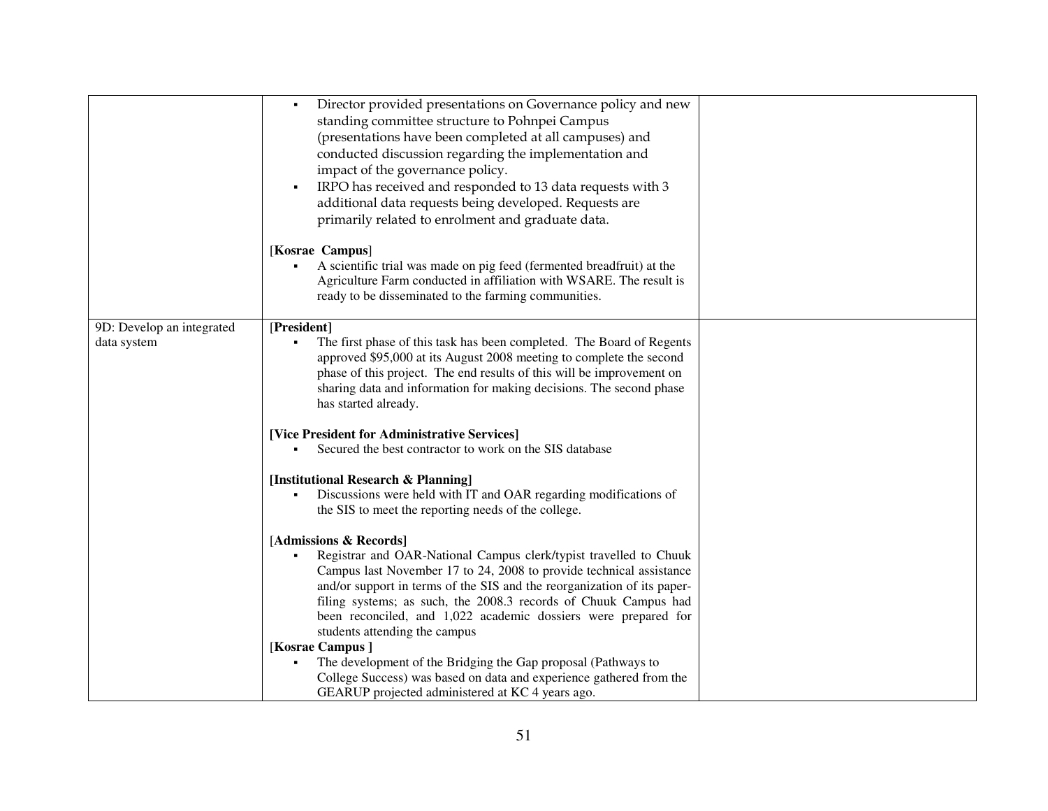|                                          | Director provided presentations on Governance policy and new<br>$\blacksquare$<br>standing committee structure to Pohnpei Campus<br>(presentations have been completed at all campuses) and<br>conducted discussion regarding the implementation and<br>impact of the governance policy.<br>IRPO has received and responded to 13 data requests with 3<br>$\blacksquare$<br>additional data requests being developed. Requests are |  |
|------------------------------------------|------------------------------------------------------------------------------------------------------------------------------------------------------------------------------------------------------------------------------------------------------------------------------------------------------------------------------------------------------------------------------------------------------------------------------------|--|
|                                          | primarily related to enrolment and graduate data.<br>[Kosrae Campus]<br>A scientific trial was made on pig feed (fermented breadfruit) at the<br>Agriculture Farm conducted in affiliation with WSARE. The result is<br>ready to be disseminated to the farming communities.                                                                                                                                                       |  |
| 9D: Develop an integrated<br>data system | [President]<br>The first phase of this task has been completed. The Board of Regents<br>approved \$95,000 at its August 2008 meeting to complete the second<br>phase of this project. The end results of this will be improvement on<br>sharing data and information for making decisions. The second phase<br>has started already.                                                                                                |  |
|                                          | [Vice President for Administrative Services]<br>Secured the best contractor to work on the SIS database                                                                                                                                                                                                                                                                                                                            |  |
|                                          | [Institutional Research & Planning]<br>Discussions were held with IT and OAR regarding modifications of<br>the SIS to meet the reporting needs of the college.                                                                                                                                                                                                                                                                     |  |
|                                          | [Admissions & Records]<br>Registrar and OAR-National Campus clerk/typist travelled to Chuuk<br>Campus last November 17 to 24, 2008 to provide technical assistance<br>and/or support in terms of the SIS and the reorganization of its paper-<br>filing systems; as such, the 2008.3 records of Chuuk Campus had<br>been reconciled, and 1,022 academic dossiers were prepared for<br>students attending the campus                |  |
|                                          | [Kosrae Campus]<br>The development of the Bridging the Gap proposal (Pathways to<br>College Success) was based on data and experience gathered from the<br>GEARUP projected administered at KC 4 years ago.                                                                                                                                                                                                                        |  |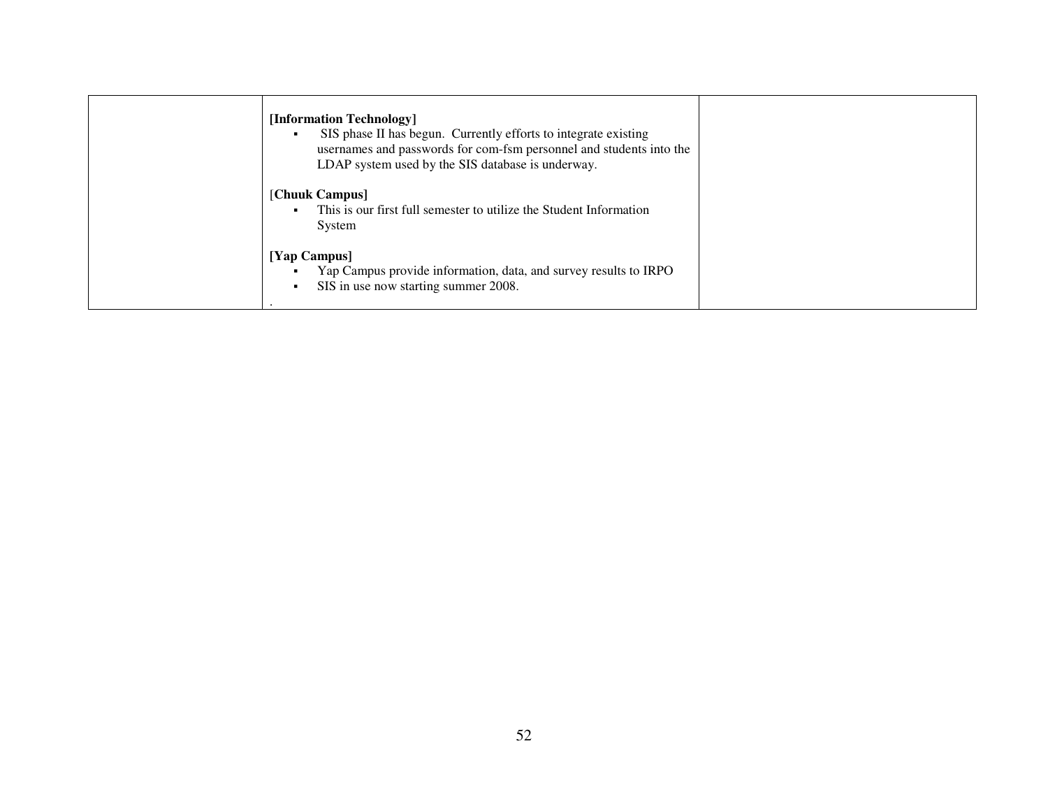| [Information Technology]<br>SIS phase II has begun. Currently efforts to integrate existing<br>usernames and passwords for com-fsm personnel and students into the<br>LDAP system used by the SIS database is underway. |  |
|-------------------------------------------------------------------------------------------------------------------------------------------------------------------------------------------------------------------------|--|
| [Chuuk Campus]<br>This is our first full semester to utilize the Student Information<br>$\blacksquare$<br>System                                                                                                        |  |
| [Yap Campus]<br>Yap Campus provide information, data, and survey results to IRPO<br>SIS in use now starting summer 2008.                                                                                                |  |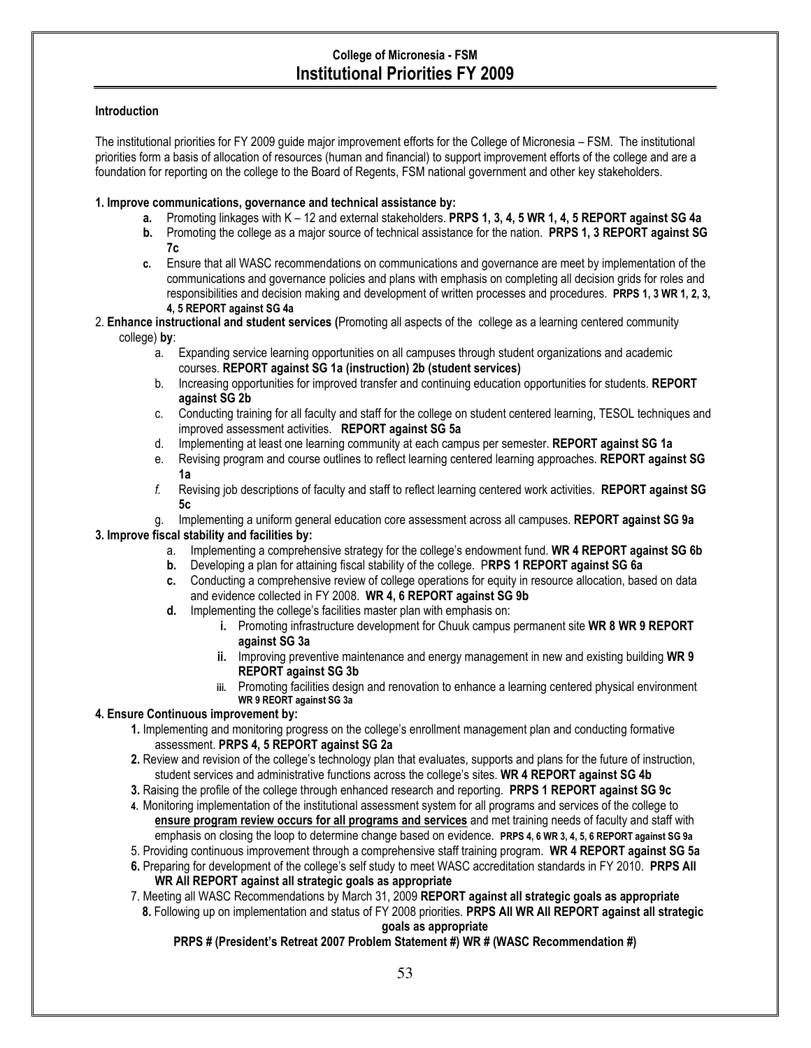# College of Micronesia - FSM Institutional Priorities FY 2009

## **Introduction**

The institutional priorities for FY 2009 guide major improvement efforts for the College of Micronesia – FSM. The institutional priorities form a basis of allocation of resources (human and financial) to support improvement efforts of the college and are a foundation for reporting on the college to the Board of Regents, FSM national government and other key stakeholders.

### 1. Improve communications, governance and technical assistance by:

- a. Promoting linkages with K 12 and external stakeholders. PRPS 1, 3, 4, 5 WR 1, 4, 5 REPORT against SG 4a
- b. Promoting the college as a major source of technical assistance for the nation. PRPS 1, 3 REPORT against SG 7c
- c. Ensure that all WASC recommendations on communications and governance are meet by implementation of the communications and governance policies and plans with emphasis on completing all decision grids for roles and responsibilities and decision making and development of written processes and procedures. PRPS 1, 3 WR 1, 2, 3, 4, 5 REPORT against SG 4a
- 2. Enhance instructional and student services (Promoting all aspects of the college as a learning centered community college) by:
	- a. Expanding service learning opportunities on all campuses through student organizations and academic courses. REPORT against SG 1a (instruction) 2b (student services)
	- b. Increasing opportunities for improved transfer and continuing education opportunities for students. REPORT against SG 2b
	- c. Conducting training for all faculty and staff for the college on student centered learning, TESOL techniques and improved assessment activities. REPORT against SG 5a
	- d. Implementing at least one learning community at each campus per semester. REPORT against SG 1a
	- e. Revising program and course outlines to reflect learning centered learning approaches. REPORT against SG 1a
	- f. Revising job descriptions of faculty and staff to reflect learning centered work activities. REPORT against SG 5c
- g. Implementing a uniform general education core assessment across all campuses. REPORT against SG 9a 3. Improve fiscal stability and facilities by:
	- a. Implementing a comprehensive strategy for the college's endowment fund. WR 4 REPORT against SG 6b
	- b. Developing a plan for attaining fiscal stability of the college. PRPS 1 REPORT against SG 6a
	- c. Conducting a comprehensive review of college operations for equity in resource allocation, based on data and evidence collected in FY 2008. WR 4, 6 REPORT against SG 9b
	- d. Implementing the college's facilities master plan with emphasis on:
		- i. Promoting infrastructure development for Chuuk campus permanent site WR 8 WR 9 REPORT against SG 3a
		- ii. Improving preventive maintenance and energy management in new and existing building WR 9 REPORT against SG 3b
		- iii. Promoting facilities design and renovation to enhance a learning centered physical environment WR 9 REORT against SG 3a

## 4. Ensure Continuous improvement by:

- 1. Implementing and monitoring progress on the college's enrollment management plan and conducting formative assessment. PRPS 4, 5 REPORT against SG 2a
- 2. Review and revision of the college's technology plan that evaluates, supports and plans for the future of instruction, student services and administrative functions across the college's sites. WR 4 REPORT against SG 4b
- 3. Raising the profile of the college through enhanced research and reporting. PRPS 1 REPORT against SG 9c
- 4. Monitoring implementation of the institutional assessment system for all programs and services of the college to ensure program review occurs for all programs and services and met training needs of faculty and staff with emphasis on closing the loop to determine change based on evidence. PRPS 4, 6 WR 3, 4, 5, 6 REPORT against SG 9a
- 5. Providing continuous improvement through a comprehensive staff training program. WR 4 REPORT against SG 5a
- 6. Preparing for development of the college's self study to meet WASC accreditation standards in FY 2010. PRPS All WR All REPORT against all strategic goals as appropriate
- 7. Meeting all WASC Recommendations by March 31, 2009 REPORT against all strategic goals as appropriate 8. Following up on implementation and status of FY 2008 priorities. PRPS All WR All REPORT against all strategic goals as appropriate

## PRPS # (President's Retreat 2007 Problem Statement #) WR # (WASC Recommendation #)